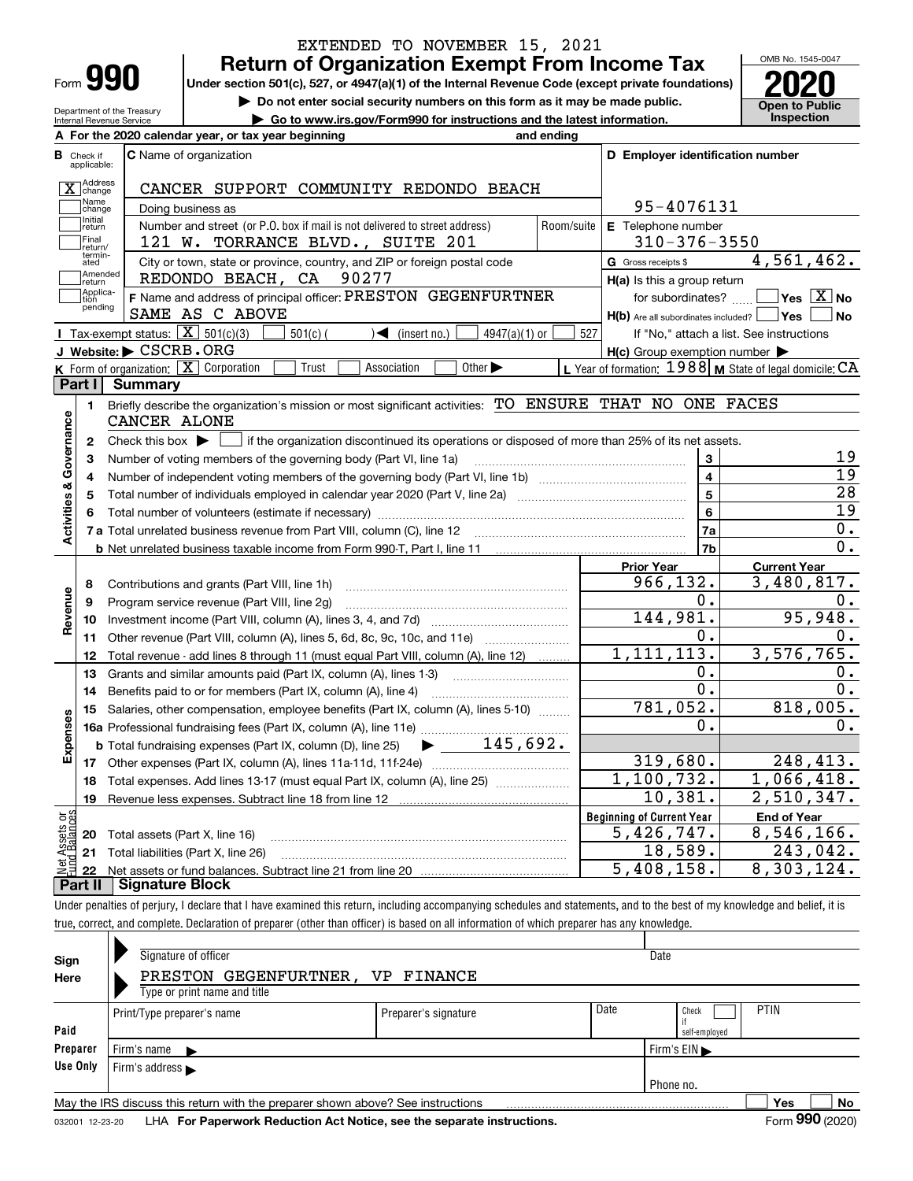| Form | ∎ |  |
|------|---|--|
|      |   |  |

**A**

Department of the Treasury Internal Revenue Service

## **Return of Organization Exempt From Income Tax** EXTENDED TO NOVEMBER 15, 2021

**Under section 501(c), 527, or 4947(a)(1) of the Internal Revenue Code (except private foundations) 2020**

**| Do not enter social security numbers on this form as it may be made public.**

**| Go to www.irs.gov/Form990 for instructions and the latest information. Inspection**



|                         |                             | A For the 2020 calendar year, or tax year beginning                                                                                     | and ending         |                                                                       |                                                           |  |  |  |
|-------------------------|-----------------------------|-----------------------------------------------------------------------------------------------------------------------------------------|--------------------|-----------------------------------------------------------------------|-----------------------------------------------------------|--|--|--|
| В                       | Check if<br>applicable:     | C Name of organization                                                                                                                  |                    | D Employer identification number                                      |                                                           |  |  |  |
|                         | Address<br>$X$ change       | CANCER SUPPORT COMMUNITY REDONDO BEACH                                                                                                  |                    |                                                                       |                                                           |  |  |  |
|                         | Name<br>change              | Doing business as                                                                                                                       |                    | 95-4076131                                                            |                                                           |  |  |  |
|                         | Initial<br>return           | Number and street (or P.O. box if mail is not delivered to street address)<br>Room/suite                                                | E Telephone number |                                                                       |                                                           |  |  |  |
|                         | Final<br>return/            | 121 W. TORRANCE BLVD., SUITE 201                                                                                                        | $310 - 376 - 3550$ |                                                                       |                                                           |  |  |  |
|                         | termin-<br>ated             | G Gross receipts \$                                                                                                                     | 4,561,462.         |                                                                       |                                                           |  |  |  |
|                         | Amended<br>İreturn          | City or town, state or province, country, and ZIP or foreign postal code<br>REDONDO BEACH, CA 90277                                     |                    | $H(a)$ is this a group return                                         |                                                           |  |  |  |
|                         | Applica-<br>tion<br>pending | F Name and address of principal officer: PRESTON GEGENFURTNER<br>SAME AS C ABOVE                                                        |                    | for subordinates?<br>$H(b)$ Are all subordinates included? $\Box$ Yes | $\overline{\ }$ Yes $\overline{\phantom{a}X}$ No<br>No    |  |  |  |
|                         |                             | Tax-exempt status: $\boxed{\mathbf{X}}$ 501(c)(3)<br>$501(c)$ (<br>$\sqrt{\bullet}$ (insert no.)<br>$4947(a)(1)$ or                     | 527                |                                                                       | If "No," attach a list. See instructions                  |  |  |  |
|                         |                             | J Website: CSCRB.ORG                                                                                                                    |                    | $H(c)$ Group exemption number $\blacktriangleright$                   |                                                           |  |  |  |
|                         |                             | <b>K</b> Form of organization: $\boxed{\mathbf{X}}$ Corporation<br>Trust<br>Other $\blacktriangleright$<br>Association                  |                    |                                                                       | L Year of formation: $1988$ M State of legal domicile: CA |  |  |  |
|                         | Part I                      | Summary                                                                                                                                 |                    |                                                                       |                                                           |  |  |  |
|                         | 1.                          | Briefly describe the organization's mission or most significant activities: TO ENSURE THAT NO ONE FACES<br>CANCER ALONE                 |                    |                                                                       |                                                           |  |  |  |
| Activities & Governance | $\mathbf{2}$                | Check this box $\blacktriangleright$<br>if the organization discontinued its operations or disposed of more than 25% of its net assets. |                    |                                                                       |                                                           |  |  |  |
|                         | 3                           | Number of voting members of the governing body (Part VI, line 1a)                                                                       |                    | 3                                                                     | 19                                                        |  |  |  |
|                         | 4                           |                                                                                                                                         |                    | $\overline{4}$                                                        | $\overline{19}$                                           |  |  |  |
|                         | 5                           |                                                                                                                                         |                    | $\overline{5}$                                                        | $\overline{28}$                                           |  |  |  |
|                         | 6                           |                                                                                                                                         |                    |                                                                       |                                                           |  |  |  |
|                         |                             | 7 a Total unrelated business revenue from Part VIII, column (C), line 12                                                                |                    | 6<br>7a                                                               | $\overline{19}$<br>0.                                     |  |  |  |
|                         |                             |                                                                                                                                         |                    | 7b                                                                    | 0.                                                        |  |  |  |
|                         |                             |                                                                                                                                         |                    | <b>Prior Year</b>                                                     | <b>Current Year</b>                                       |  |  |  |
|                         | 8                           | Contributions and grants (Part VIII, line 1h)                                                                                           |                    | 966,132.                                                              | 3,480,817.                                                |  |  |  |
| Revenue                 | 9                           | Program service revenue (Part VIII, line 2g)                                                                                            |                    | 0.                                                                    | 0.                                                        |  |  |  |
|                         | 10                          |                                                                                                                                         |                    | 144,981.                                                              | 95,948.                                                   |  |  |  |
|                         | 11                          | Other revenue (Part VIII, column (A), lines 5, 6d, 8c, 9c, 10c, and 11e)                                                                |                    | 0.                                                                    | 0.                                                        |  |  |  |
|                         | 12                          | Total revenue - add lines 8 through 11 (must equal Part VIII, column (A), line 12)                                                      |                    | 1, 111, 113.                                                          | 3,576,765.                                                |  |  |  |
|                         | 13                          | Grants and similar amounts paid (Part IX, column (A), lines 1-3) <i>manumumumumum</i>                                                   |                    | 0.                                                                    | 0.                                                        |  |  |  |
|                         | 14                          | Benefits paid to or for members (Part IX, column (A), line 4)                                                                           |                    | 0.                                                                    | 0.                                                        |  |  |  |
|                         | 15                          | Salaries, other compensation, employee benefits (Part IX, column (A), lines 5-10)                                                       |                    | 781,052.                                                              | 818,005.                                                  |  |  |  |
| Expenses                |                             |                                                                                                                                         |                    | 0.                                                                    | 0.                                                        |  |  |  |
|                         |                             | $\blacktriangleright$ 145,692.<br><b>b</b> Total fundraising expenses (Part IX, column (D), line 25)                                    |                    |                                                                       |                                                           |  |  |  |
|                         |                             |                                                                                                                                         |                    | 319,680.                                                              | 248,413.                                                  |  |  |  |
|                         | 18                          | Total expenses. Add lines 13-17 (must equal Part IX, column (A), line 25)                                                               |                    | 1,100,732.                                                            | 1,066,418.                                                |  |  |  |
|                         | 19                          |                                                                                                                                         |                    | 10,381.                                                               | 2,510,347.                                                |  |  |  |
|                         |                             |                                                                                                                                         |                    | <b>Beginning of Current Year</b>                                      | <b>End of Year</b>                                        |  |  |  |
| Assets or<br>1 Balances |                             | 20 Total assets (Part X, line 16)                                                                                                       |                    | 5,426,747.                                                            | 8,546,166.                                                |  |  |  |
|                         |                             | 21 Total liabilities (Part X, line 26)                                                                                                  |                    | 18,589.                                                               | 243,042.                                                  |  |  |  |
|                         |                             |                                                                                                                                         |                    | 5,408,158.                                                            | 8,303,124.                                                |  |  |  |
|                         |                             |                                                                                                                                         |                    |                                                                       |                                                           |  |  |  |

**Part II Signature Block**

Under penalties of perjury, I declare that I have examined this return, including accompanying schedules and statements, and to the best of my knowledge and belief, it is true, correct, and complete. Declaration of preparer (other than officer) is based on all information of which preparer has any knowledge.

| Sign     | Signature of officer                                                            |                      | Date |                                  |  |  |  |  |  |  |  |  |
|----------|---------------------------------------------------------------------------------|----------------------|------|----------------------------------|--|--|--|--|--|--|--|--|
| Here     | PRESTON GEGENFURTNER,<br>VP FINANCE                                             |                      |      |                                  |  |  |  |  |  |  |  |  |
|          | Type or print name and title                                                    |                      |      |                                  |  |  |  |  |  |  |  |  |
|          | Print/Type preparer's name                                                      | Preparer's signature | Date | <b>PTIN</b><br>Check             |  |  |  |  |  |  |  |  |
| Paid     |                                                                                 |                      |      | self-employed                    |  |  |  |  |  |  |  |  |
| Preparer | Firm's name $\blacktriangleright$                                               |                      |      | Firm's $EIN \blacktriangleright$ |  |  |  |  |  |  |  |  |
| Use Only | Firm's address $\blacktriangleright$                                            |                      |      |                                  |  |  |  |  |  |  |  |  |
|          | Phone no.                                                                       |                      |      |                                  |  |  |  |  |  |  |  |  |
|          | May the IRS discuss this return with the preparer shown above? See instructions |                      |      | No<br>Yes                        |  |  |  |  |  |  |  |  |
|          |                                                                                 |                      |      | $000$ ( $0.00$ )<br>-            |  |  |  |  |  |  |  |  |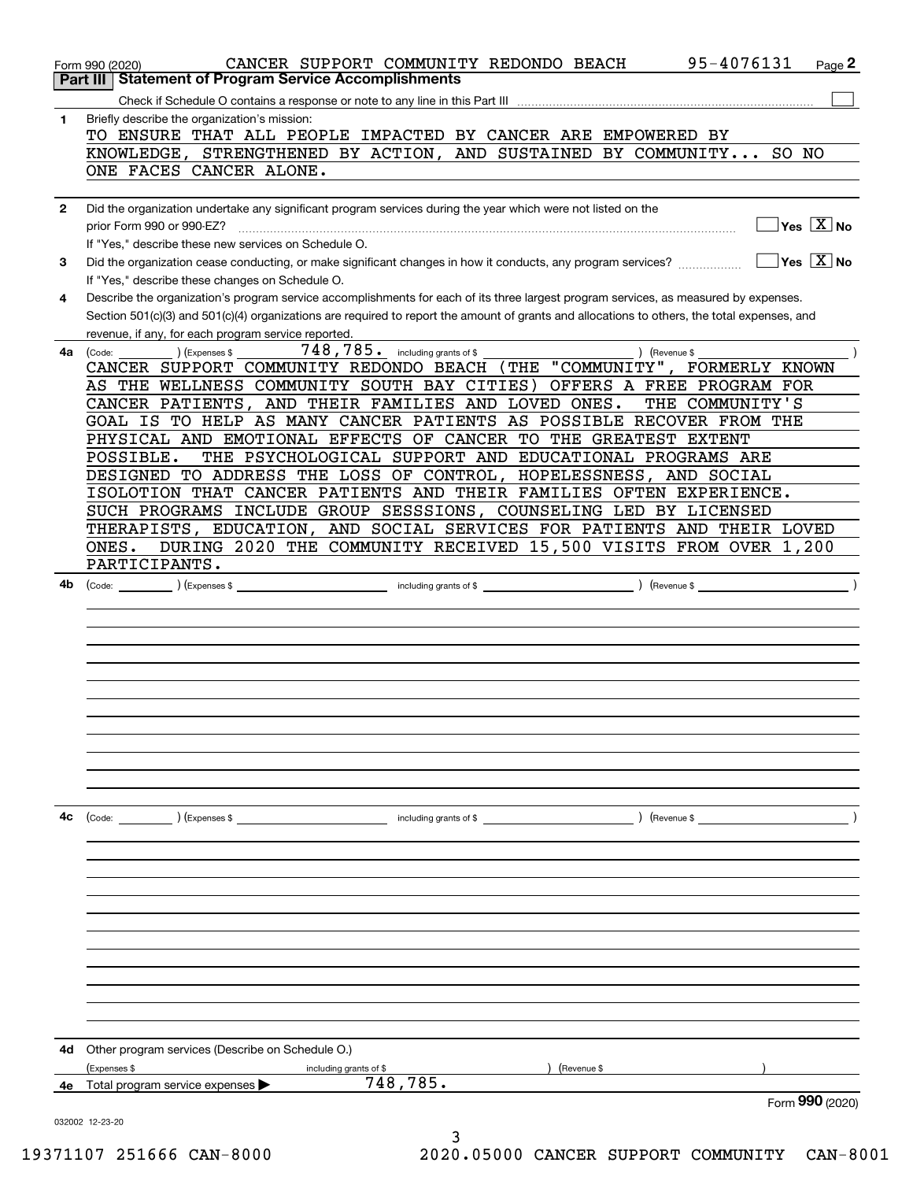|              | 95-4076131<br>CANCER SUPPORT COMMUNITY REDONDO BEACH<br>Page 2<br>Form 990 (2020)                                                                                                                   |
|--------------|-----------------------------------------------------------------------------------------------------------------------------------------------------------------------------------------------------|
|              | <b>Part III   Statement of Program Service Accomplishments</b>                                                                                                                                      |
|              |                                                                                                                                                                                                     |
| 1            | Briefly describe the organization's mission:<br>TO ENSURE THAT ALL PEOPLE IMPACTED BY CANCER ARE EMPOWERED BY                                                                                       |
|              | KNOWLEDGE, STRENGTHENED BY ACTION, AND SUSTAINED BY COMMUNITY SO NO                                                                                                                                 |
|              | ONE FACES CANCER ALONE.                                                                                                                                                                             |
| $\mathbf{2}$ | Did the organization undertake any significant program services during the year which were not listed on the<br>$Yes \ \boxed{X}$ No<br>prior Form 990 or 990-EZ?                                   |
|              | If "Yes," describe these new services on Schedule O.                                                                                                                                                |
| 3            | $Yes \ \overline{X}$ No<br>Did the organization cease conducting, or make significant changes in how it conducts, any program services?<br>If "Yes," describe these changes on Schedule O.          |
| 4            | Describe the organization's program service accomplishments for each of its three largest program services, as measured by expenses.                                                                |
|              | Section 501(c)(3) and 501(c)(4) organizations are required to report the amount of grants and allocations to others, the total expenses, and<br>revenue, if any, for each program service reported. |
| 4a           | 748,785. including grants of \$<br>(Code:<br>(Expenses \$<br>) (Revenue \$                                                                                                                          |
|              | CANCER SUPPORT COMMUNITY REDONDO BEACH (THE "COMMUNITY", FORMERLY KNOWN                                                                                                                             |
|              | AS THE WELLNESS COMMUNITY SOUTH BAY CITIES) OFFERS A FREE PROGRAM FOR                                                                                                                               |
|              | CANCER PATIENTS, AND THEIR FAMILIES AND LOVED ONES.<br>THE COMMUNITY'S                                                                                                                              |
|              | GOAL IS TO HELP AS MANY CANCER PATIENTS AS POSSIBLE RECOVER FROM THE                                                                                                                                |
|              | PHYSICAL AND EMOTIONAL EFFECTS OF CANCER TO THE GREATEST EXTENT                                                                                                                                     |
|              | THE PSYCHOLOGICAL SUPPORT AND EDUCATIONAL PROGRAMS ARE<br>POSSIBLE.                                                                                                                                 |
|              | DESIGNED TO ADDRESS THE LOSS OF CONTROL, HOPELESSNESS, AND SOCIAL                                                                                                                                   |
|              | ISOLOTION THAT CANCER PATIENTS AND THEIR FAMILIES OFTEN EXPERIENCE.                                                                                                                                 |
|              | SUCH PROGRAMS INCLUDE GROUP SESSSIONS, COUNSELING LED BY LICENSED                                                                                                                                   |
|              | THERAPISTS, EDUCATION, AND SOCIAL SERVICES FOR PATIENTS AND THEIR LOVED                                                                                                                             |
|              | DURING 2020 THE COMMUNITY RECEIVED 15,500 VISITS FROM OVER 1,200<br>ONES.                                                                                                                           |
|              | PARTICIPANTS.                                                                                                                                                                                       |
| 4b           | including grants of \$<br>) (Revenue \$<br>) (Expenses \$<br>(Code:                                                                                                                                 |
|              |                                                                                                                                                                                                     |
|              |                                                                                                                                                                                                     |
|              |                                                                                                                                                                                                     |
|              |                                                                                                                                                                                                     |
|              |                                                                                                                                                                                                     |
|              |                                                                                                                                                                                                     |
|              |                                                                                                                                                                                                     |
|              |                                                                                                                                                                                                     |
|              |                                                                                                                                                                                                     |
|              |                                                                                                                                                                                                     |
|              |                                                                                                                                                                                                     |
| 4с           | and the set of \$<br>) (Revenue \$<br>(Code: ) (Expenses \$                                                                                                                                         |
|              |                                                                                                                                                                                                     |
|              |                                                                                                                                                                                                     |
|              |                                                                                                                                                                                                     |
|              |                                                                                                                                                                                                     |
|              |                                                                                                                                                                                                     |
|              |                                                                                                                                                                                                     |
|              |                                                                                                                                                                                                     |
|              |                                                                                                                                                                                                     |
|              |                                                                                                                                                                                                     |
|              |                                                                                                                                                                                                     |
|              |                                                                                                                                                                                                     |
| 4d           | Other program services (Describe on Schedule O.)                                                                                                                                                    |
|              | (Expenses \$<br>(Revenue \$<br>including grants of \$                                                                                                                                               |
| 4е           | 748,785.<br>Total program service expenses                                                                                                                                                          |
|              | Form 990 (2020)                                                                                                                                                                                     |
|              | 032002 12-23-20<br>3                                                                                                                                                                                |

19371107 251666 CAN-8000 2020.05000 CANCER SUPPORT COMMUNITY CAN-8001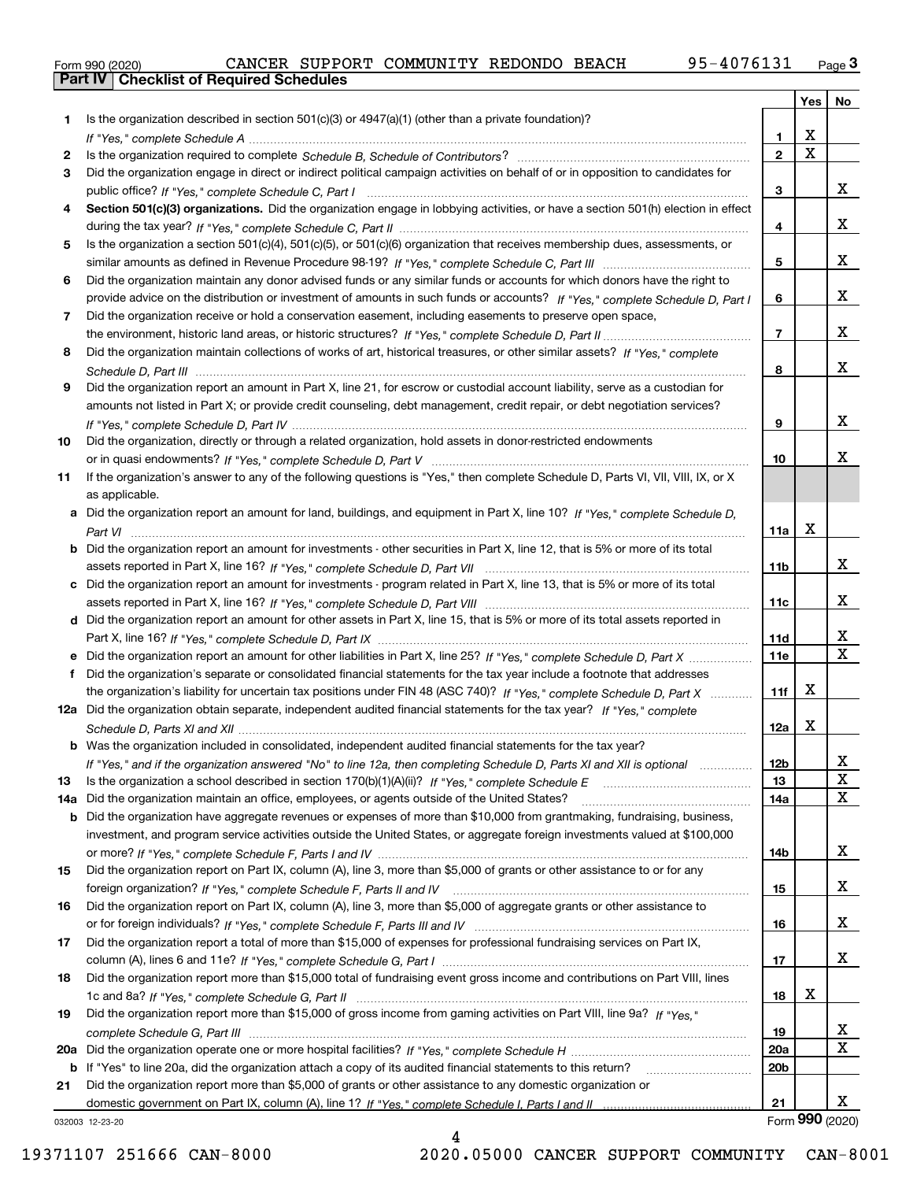|  | Form 990 (2020) |
|--|-----------------|

|     |                                                                                                                                  |                 | Yes   No                |                         |
|-----|----------------------------------------------------------------------------------------------------------------------------------|-----------------|-------------------------|-------------------------|
| 1.  | Is the organization described in section $501(c)(3)$ or $4947(a)(1)$ (other than a private foundation)?                          |                 |                         |                         |
|     |                                                                                                                                  | 1.              | X                       |                         |
| 2   |                                                                                                                                  | $\overline{2}$  | $\overline{\mathbf{x}}$ |                         |
| 3   | Did the organization engage in direct or indirect political campaign activities on behalf of or in opposition to candidates for  |                 |                         |                         |
|     |                                                                                                                                  | 3               |                         | x                       |
| 4   | Section 501(c)(3) organizations. Did the organization engage in lobbying activities, or have a section 501(h) election in effect |                 |                         |                         |
|     |                                                                                                                                  | 4               |                         | X                       |
| 5   | Is the organization a section 501(c)(4), 501(c)(5), or 501(c)(6) organization that receives membership dues, assessments, or     |                 |                         |                         |
|     |                                                                                                                                  | 5               |                         | X                       |
| 6   | Did the organization maintain any donor advised funds or any similar funds or accounts for which donors have the right to        |                 |                         |                         |
|     | provide advice on the distribution or investment of amounts in such funds or accounts? If "Yes," complete Schedule D, Part I     | 6               |                         | X                       |
| 7   | Did the organization receive or hold a conservation easement, including easements to preserve open space,                        |                 |                         | X                       |
|     |                                                                                                                                  | $\overline{7}$  |                         |                         |
| 8   | Did the organization maintain collections of works of art, historical treasures, or other similar assets? If "Yes," complete     |                 |                         | X                       |
|     |                                                                                                                                  | 8               |                         |                         |
| 9   | Did the organization report an amount in Part X, line 21, for escrow or custodial account liability, serve as a custodian for    |                 |                         |                         |
|     | amounts not listed in Part X; or provide credit counseling, debt management, credit repair, or debt negotiation services?        | 9               |                         | X                       |
|     |                                                                                                                                  |                 |                         |                         |
| 10  | Did the organization, directly or through a related organization, hold assets in donor-restricted endowments                     | 10              |                         | х                       |
| 11  | If the organization's answer to any of the following questions is "Yes," then complete Schedule D, Parts VI, VII, VIII, IX, or X |                 |                         |                         |
|     | as applicable.                                                                                                                   |                 |                         |                         |
| a   | Did the organization report an amount for land, buildings, and equipment in Part X, line 10? If "Yes." complete Schedule D.      |                 |                         |                         |
|     |                                                                                                                                  | 11a             | $\mathbf X$             |                         |
| b   | Did the organization report an amount for investments - other securities in Part X, line 12, that is 5% or more of its total     |                 |                         |                         |
|     |                                                                                                                                  | 11 <sub>b</sub> |                         | X                       |
| c   | Did the organization report an amount for investments - program related in Part X, line 13, that is 5% or more of its total      |                 |                         |                         |
|     |                                                                                                                                  | 11c             |                         | х                       |
|     | d Did the organization report an amount for other assets in Part X, line 15, that is 5% or more of its total assets reported in  |                 |                         |                         |
|     |                                                                                                                                  | 11d             |                         | х                       |
|     | Did the organization report an amount for other liabilities in Part X, line 25? If "Yes," complete Schedule D, Part X            | 11e             |                         | $\overline{\mathbf{X}}$ |
| f   | Did the organization's separate or consolidated financial statements for the tax year include a footnote that addresses          |                 |                         |                         |
|     | the organization's liability for uncertain tax positions under FIN 48 (ASC 740)? If "Yes," complete Schedule D, Part X           | 11f             | X                       |                         |
|     | 12a Did the organization obtain separate, independent audited financial statements for the tax year? If "Yes," complete          |                 |                         |                         |
|     |                                                                                                                                  | 12a             | X                       |                         |
|     | <b>b</b> Was the organization included in consolidated, independent audited financial statements for the tax year?               |                 |                         |                         |
|     | If "Yes," and if the organization answered "No" to line 12a, then completing Schedule D, Parts XI and XII is optional            | 12b             |                         | 4                       |
| 13  |                                                                                                                                  | 13              |                         | X                       |
| 14a | Did the organization maintain an office, employees, or agents outside of the United States?                                      | 14a             |                         | X                       |
| b   | Did the organization have aggregate revenues or expenses of more than \$10,000 from grantmaking, fundraising, business,          |                 |                         |                         |
|     | investment, and program service activities outside the United States, or aggregate foreign investments valued at \$100,000       |                 |                         |                         |
|     |                                                                                                                                  | 14b             |                         | X                       |
| 15  | Did the organization report on Part IX, column (A), line 3, more than \$5,000 of grants or other assistance to or for any        |                 |                         |                         |
|     |                                                                                                                                  | 15              |                         | X                       |
| 16  | Did the organization report on Part IX, column (A), line 3, more than \$5,000 of aggregate grants or other assistance to         |                 |                         |                         |
|     |                                                                                                                                  | 16              |                         | X                       |
| 17  | Did the organization report a total of more than \$15,000 of expenses for professional fundraising services on Part IX,          |                 |                         |                         |
|     |                                                                                                                                  | 17              |                         | X                       |
| 18  | Did the organization report more than \$15,000 total of fundraising event gross income and contributions on Part VIII, lines     |                 |                         |                         |
|     |                                                                                                                                  | 18              | X                       |                         |
| 19  | Did the organization report more than \$15,000 of gross income from gaming activities on Part VIII, line 9a? If "Yes."           |                 |                         |                         |
|     |                                                                                                                                  | 19              |                         | х                       |
| 20a |                                                                                                                                  | 20a             |                         | $\mathbf X$             |
|     | b If "Yes" to line 20a, did the organization attach a copy of its audited financial statements to this return?                   | 20 <sub>b</sub> |                         |                         |
| 21  | Did the organization report more than \$5,000 of grants or other assistance to any domestic organization or                      |                 |                         |                         |
|     |                                                                                                                                  | 21              |                         | x                       |
|     | 032003 12-23-20                                                                                                                  |                 | Form 990 (2020)         |                         |

4

032003 12-23-20

19371107 251666 CAN-8000 2020.05000 CANCER SUPPORT COMMUNITY CAN-8001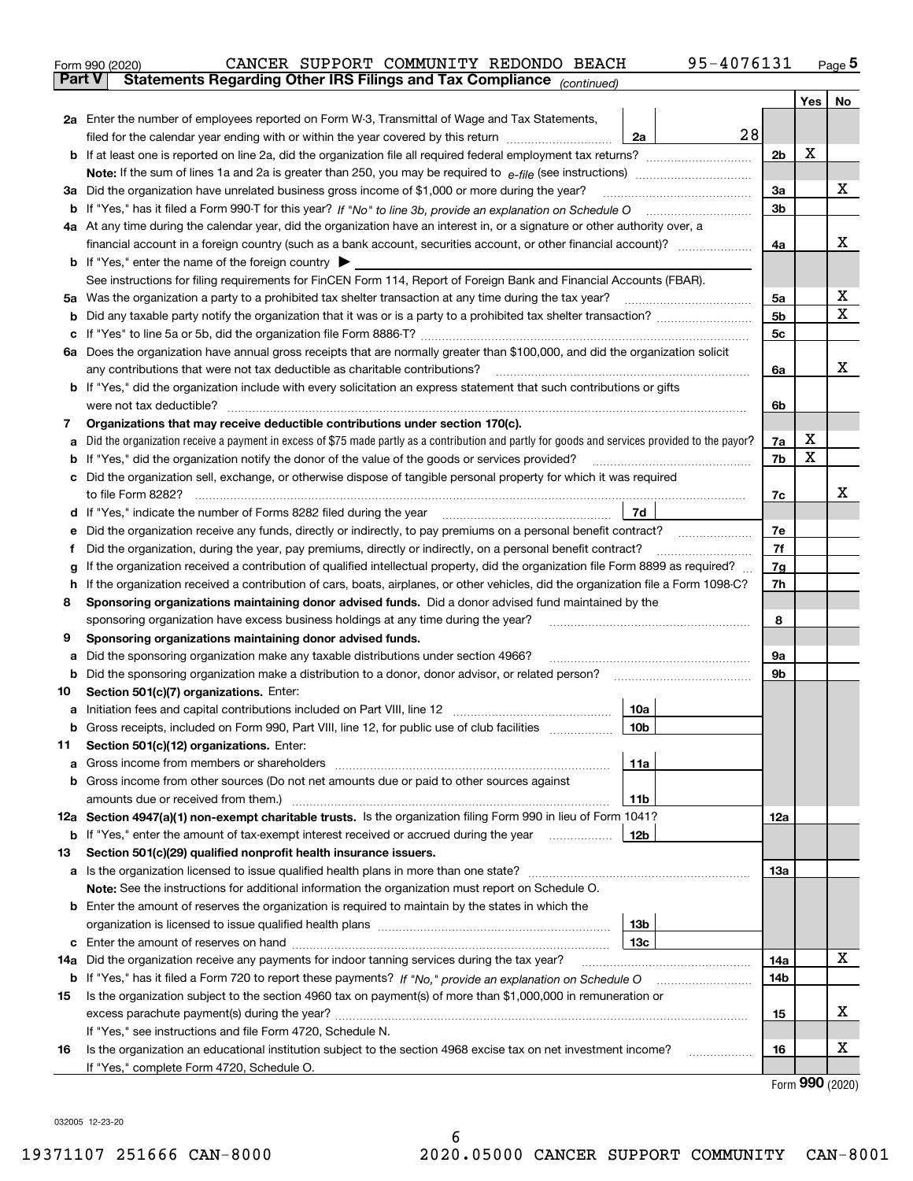|               | 95-4076131<br>CANCER SUPPORT COMMUNITY REDONDO BEACH<br>Form 990 (2020)                                                                                                                                                               |     |     | $_{\text{Page}}$ 5 |  |  |  |  |  |  |  |  |  |
|---------------|---------------------------------------------------------------------------------------------------------------------------------------------------------------------------------------------------------------------------------------|-----|-----|--------------------|--|--|--|--|--|--|--|--|--|
| <b>Part V</b> | Statements Regarding Other IRS Filings and Tax Compliance (continued)                                                                                                                                                                 |     |     |                    |  |  |  |  |  |  |  |  |  |
|               |                                                                                                                                                                                                                                       |     | Yes | No                 |  |  |  |  |  |  |  |  |  |
|               | 2a Enter the number of employees reported on Form W-3, Transmittal of Wage and Tax Statements,                                                                                                                                        |     |     |                    |  |  |  |  |  |  |  |  |  |
|               | 28<br>filed for the calendar year ending with or within the year covered by this return <i>manumumumum</i><br>2a                                                                                                                      |     |     |                    |  |  |  |  |  |  |  |  |  |
|               |                                                                                                                                                                                                                                       | 2b  | x   |                    |  |  |  |  |  |  |  |  |  |
|               |                                                                                                                                                                                                                                       |     |     |                    |  |  |  |  |  |  |  |  |  |
| За            | Did the organization have unrelated business gross income of \$1,000 or more during the year?                                                                                                                                         | 3a  |     | х                  |  |  |  |  |  |  |  |  |  |
|               |                                                                                                                                                                                                                                       | 3b  |     |                    |  |  |  |  |  |  |  |  |  |
|               | 4a At any time during the calendar year, did the organization have an interest in, or a signature or other authority over, a                                                                                                          |     |     |                    |  |  |  |  |  |  |  |  |  |
|               |                                                                                                                                                                                                                                       | 4a  |     | х                  |  |  |  |  |  |  |  |  |  |
|               | <b>b</b> If "Yes," enter the name of the foreign country $\blacktriangleright$                                                                                                                                                        |     |     |                    |  |  |  |  |  |  |  |  |  |
|               | See instructions for filing requirements for FinCEN Form 114, Report of Foreign Bank and Financial Accounts (FBAR).                                                                                                                   |     |     |                    |  |  |  |  |  |  |  |  |  |
| 5a            |                                                                                                                                                                                                                                       |     |     |                    |  |  |  |  |  |  |  |  |  |
| b             |                                                                                                                                                                                                                                       | 5b  |     | Χ                  |  |  |  |  |  |  |  |  |  |
| с             |                                                                                                                                                                                                                                       | 5c  |     |                    |  |  |  |  |  |  |  |  |  |
|               | 6a Does the organization have annual gross receipts that are normally greater than \$100,000, and did the organization solicit                                                                                                        |     |     |                    |  |  |  |  |  |  |  |  |  |
|               |                                                                                                                                                                                                                                       | 6a  |     | х                  |  |  |  |  |  |  |  |  |  |
|               | <b>b</b> If "Yes," did the organization include with every solicitation an express statement that such contributions or gifts                                                                                                         |     |     |                    |  |  |  |  |  |  |  |  |  |
|               |                                                                                                                                                                                                                                       | 6b  |     |                    |  |  |  |  |  |  |  |  |  |
| 7             | Organizations that may receive deductible contributions under section 170(c).                                                                                                                                                         |     |     |                    |  |  |  |  |  |  |  |  |  |
| а             | Did the organization receive a payment in excess of \$75 made partly as a contribution and partly for goods and services provided to the payor?                                                                                       | 7a  | х   |                    |  |  |  |  |  |  |  |  |  |
| b             | If "Yes," did the organization notify the donor of the value of the goods or services provided?                                                                                                                                       | 7b  | х   |                    |  |  |  |  |  |  |  |  |  |
| с             | Did the organization sell, exchange, or otherwise dispose of tangible personal property for which it was required                                                                                                                     |     |     |                    |  |  |  |  |  |  |  |  |  |
|               |                                                                                                                                                                                                                                       | 7c  |     | х                  |  |  |  |  |  |  |  |  |  |
|               | 7d                                                                                                                                                                                                                                    |     |     |                    |  |  |  |  |  |  |  |  |  |
| е             |                                                                                                                                                                                                                                       | 7e  |     |                    |  |  |  |  |  |  |  |  |  |
| f             | Did the organization, during the year, pay premiums, directly or indirectly, on a personal benefit contract?                                                                                                                          | 7f  |     |                    |  |  |  |  |  |  |  |  |  |
| g             | If the organization received a contribution of qualified intellectual property, did the organization file Form 8899 as required?                                                                                                      | 7g  |     |                    |  |  |  |  |  |  |  |  |  |
| h             | If the organization received a contribution of cars, boats, airplanes, or other vehicles, did the organization file a Form 1098-C?                                                                                                    | 7h  |     |                    |  |  |  |  |  |  |  |  |  |
| 8             | Sponsoring organizations maintaining donor advised funds. Did a donor advised fund maintained by the                                                                                                                                  |     |     |                    |  |  |  |  |  |  |  |  |  |
|               | sponsoring organization have excess business holdings at any time during the year?                                                                                                                                                    | 8   |     |                    |  |  |  |  |  |  |  |  |  |
| 9             | Sponsoring organizations maintaining donor advised funds.                                                                                                                                                                             |     |     |                    |  |  |  |  |  |  |  |  |  |
| а             | Did the sponsoring organization make any taxable distributions under section 4966?                                                                                                                                                    | 9а  |     |                    |  |  |  |  |  |  |  |  |  |
| b             | Did the sponsoring organization make a distribution to a donor, donor advisor, or related person?                                                                                                                                     | 9b  |     |                    |  |  |  |  |  |  |  |  |  |
| 10            | Section 501(c)(7) organizations. Enter:                                                                                                                                                                                               |     |     |                    |  |  |  |  |  |  |  |  |  |
|               | 10a<br>a Initiation fees and capital contributions included on Part VIII, line 12 [111] [12] [11] [12] [11] [12] [11] [12] [11] [12] [11] [12] [11] [12] [11] [12] [11] [12] [11] [12] [11] [12] [11] [12] [11] [12] [11] [12] [11] [ |     |     |                    |  |  |  |  |  |  |  |  |  |
|               | 10 <sub>b</sub>  <br>Gross receipts, included on Form 990, Part VIII, line 12, for public use of club facilities                                                                                                                      |     |     |                    |  |  |  |  |  |  |  |  |  |
| 11            | Section 501(c)(12) organizations. Enter:                                                                                                                                                                                              |     |     |                    |  |  |  |  |  |  |  |  |  |
| a             | 11a                                                                                                                                                                                                                                   |     |     |                    |  |  |  |  |  |  |  |  |  |
|               | b Gross income from other sources (Do not net amounts due or paid to other sources against                                                                                                                                            |     |     |                    |  |  |  |  |  |  |  |  |  |
|               | 11 <sub>b</sub>                                                                                                                                                                                                                       |     |     |                    |  |  |  |  |  |  |  |  |  |
|               | 12a Section 4947(a)(1) non-exempt charitable trusts. Is the organization filing Form 990 in lieu of Form 1041?                                                                                                                        | 12a |     |                    |  |  |  |  |  |  |  |  |  |
|               | 12b<br><b>b</b> If "Yes," enter the amount of tax-exempt interest received or accrued during the year <i>manument</i> of                                                                                                              |     |     |                    |  |  |  |  |  |  |  |  |  |
| 13            | Section 501(c)(29) qualified nonprofit health insurance issuers.                                                                                                                                                                      |     |     |                    |  |  |  |  |  |  |  |  |  |
|               | a Is the organization licensed to issue qualified health plans in more than one state?                                                                                                                                                | 13a |     |                    |  |  |  |  |  |  |  |  |  |
|               | Note: See the instructions for additional information the organization must report on Schedule O.                                                                                                                                     |     |     |                    |  |  |  |  |  |  |  |  |  |
|               | Enter the amount of reserves the organization is required to maintain by the states in which the                                                                                                                                      |     |     |                    |  |  |  |  |  |  |  |  |  |
| b             | 13 <sub>b</sub>                                                                                                                                                                                                                       |     |     |                    |  |  |  |  |  |  |  |  |  |
|               | 13 <sub>c</sub>                                                                                                                                                                                                                       |     |     |                    |  |  |  |  |  |  |  |  |  |
|               |                                                                                                                                                                                                                                       |     |     | х                  |  |  |  |  |  |  |  |  |  |
| 14a           | Did the organization receive any payments for indoor tanning services during the tax year?                                                                                                                                            | 14a |     |                    |  |  |  |  |  |  |  |  |  |
|               | <b>b</b> If "Yes," has it filed a Form 720 to report these payments? If "No," provide an explanation on Schedule O                                                                                                                    | 14b |     |                    |  |  |  |  |  |  |  |  |  |
| 15            | Is the organization subject to the section 4960 tax on payment(s) of more than \$1,000,000 in remuneration or                                                                                                                         |     |     | х                  |  |  |  |  |  |  |  |  |  |
|               |                                                                                                                                                                                                                                       | 15  |     |                    |  |  |  |  |  |  |  |  |  |
|               | If "Yes," see instructions and file Form 4720, Schedule N.                                                                                                                                                                            |     |     |                    |  |  |  |  |  |  |  |  |  |
| 16            | Is the organization an educational institution subject to the section 4968 excise tax on net investment income?                                                                                                                       | 16  |     | х                  |  |  |  |  |  |  |  |  |  |
|               | If "Yes," complete Form 4720, Schedule O.                                                                                                                                                                                             |     |     | $000 \times 000$   |  |  |  |  |  |  |  |  |  |

6

Form (2020) **990**

032005 12-23-20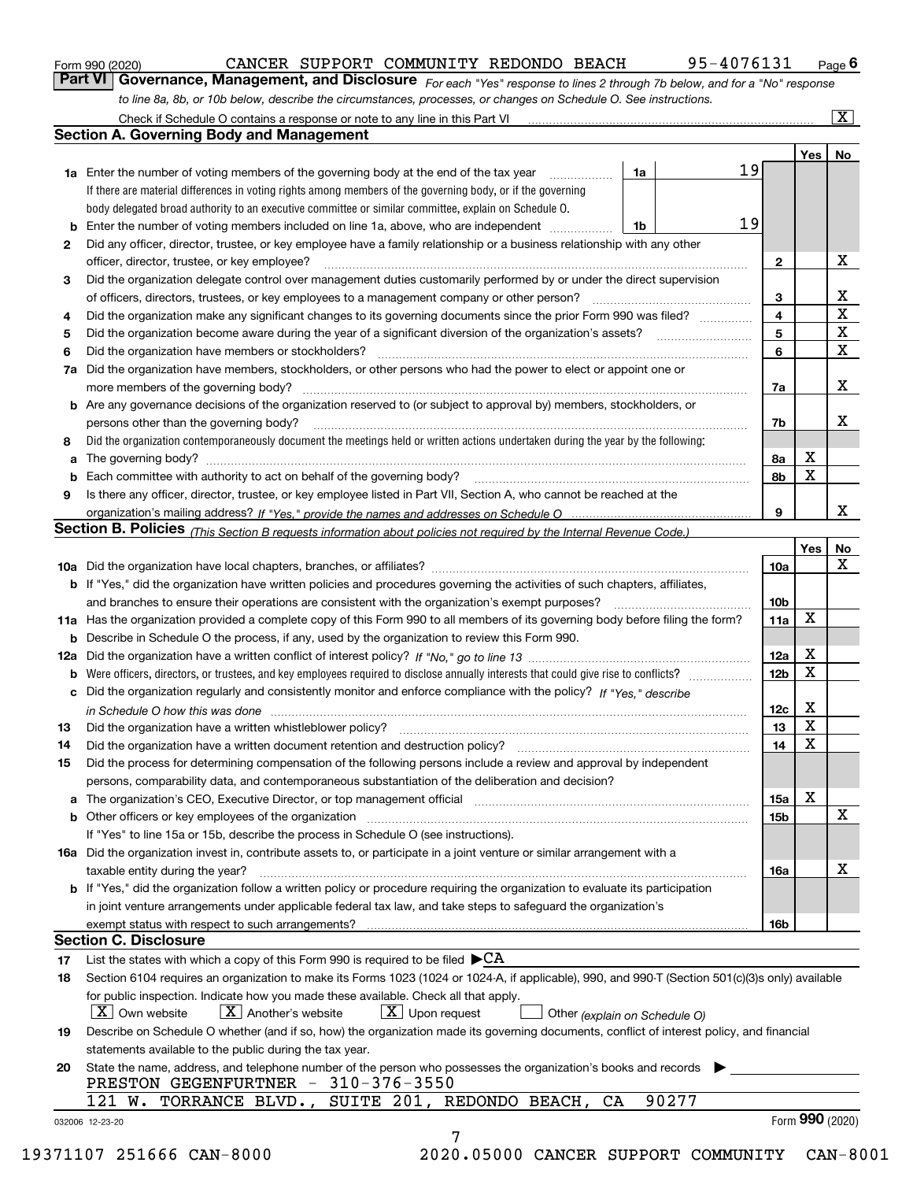| Form 990 (2020) |
|-----------------|
|-----------------|

*For each "Yes" response to lines 2 through 7b below, and for a "No" response to line 8a, 8b, or 10b below, describe the circumstances, processes, or changes on Schedule O. See instructions.* Form 990 (2020) **CANCER SUPPORT COMMUNITY REDONDO BEACH** 95-4076131 Page 6<br>**Part VI Governance, Management, and Disclosure** For each "Yes" response to lines 2 through 7b below, and for a "No" response

|                 |                                                                                                                                                                               |    |       |    |                 | Yes   No        |             |  |  |  |  |
|-----------------|-------------------------------------------------------------------------------------------------------------------------------------------------------------------------------|----|-------|----|-----------------|-----------------|-------------|--|--|--|--|
|                 | <b>1a</b> Enter the number of voting members of the governing body at the end of the tax year <i>manumum</i>                                                                  | 1a |       | 19 |                 |                 |             |  |  |  |  |
|                 | If there are material differences in voting rights among members of the governing body, or if the governing                                                                   |    |       |    |                 |                 |             |  |  |  |  |
|                 | body delegated broad authority to an executive committee or similar committee, explain on Schedule O.                                                                         |    |       |    |                 |                 |             |  |  |  |  |
|                 | <b>b</b> Enter the number of voting members included on line 1a, above, who are independent <i>manumum</i>                                                                    | 1b |       | 19 |                 |                 |             |  |  |  |  |
| $\mathbf{2}$    | Did any officer, director, trustee, or key employee have a family relationship or a business relationship with any other                                                      |    |       |    |                 |                 |             |  |  |  |  |
|                 | officer, director, trustee, or key employee?                                                                                                                                  |    |       |    | $\mathbf{2}$    |                 | X           |  |  |  |  |
| 3               | Did the organization delegate control over management duties customarily performed by or under the direct supervision                                                         |    |       |    |                 |                 |             |  |  |  |  |
|                 |                                                                                                                                                                               |    |       |    | 3               |                 | X           |  |  |  |  |
| 4               | Did the organization make any significant changes to its governing documents since the prior Form 990 was filed?                                                              |    |       |    | $\overline{4}$  |                 | $\mathbf X$ |  |  |  |  |
| 5               |                                                                                                                                                                               |    |       |    |                 |                 |             |  |  |  |  |
| 6               |                                                                                                                                                                               |    |       |    | 6               |                 | $\mathbf X$ |  |  |  |  |
| 7a              | Did the organization have members, stockholders, or other persons who had the power to elect or appoint one or                                                                |    |       |    |                 |                 |             |  |  |  |  |
|                 |                                                                                                                                                                               |    |       |    | 7a              |                 | x           |  |  |  |  |
|                 | <b>b</b> Are any governance decisions of the organization reserved to (or subject to approval by) members, stockholders, or                                                   |    |       |    |                 |                 |             |  |  |  |  |
|                 | persons other than the governing body?                                                                                                                                        |    |       |    | 7b              |                 | х           |  |  |  |  |
| 8               | Did the organization contemporaneously document the meetings held or written actions undertaken during the year by the following:                                             |    |       |    |                 |                 |             |  |  |  |  |
| a               |                                                                                                                                                                               |    |       |    | 8a              | X               |             |  |  |  |  |
|                 |                                                                                                                                                                               |    |       |    | 8b              | X               |             |  |  |  |  |
| 9               | Is there any officer, director, trustee, or key employee listed in Part VII, Section A, who cannot be reached at the                                                          |    |       |    |                 |                 |             |  |  |  |  |
|                 |                                                                                                                                                                               |    |       |    | 9               |                 | x           |  |  |  |  |
|                 | Section B. Policies (This Section B requests information about policies not required by the Internal Revenue Code.)                                                           |    |       |    |                 |                 |             |  |  |  |  |
|                 |                                                                                                                                                                               |    |       |    |                 | Yes             | No          |  |  |  |  |
|                 |                                                                                                                                                                               |    |       |    | 10a             |                 | X           |  |  |  |  |
|                 | <b>b</b> If "Yes," did the organization have written policies and procedures governing the activities of such chapters, affiliates,                                           |    |       |    |                 |                 |             |  |  |  |  |
|                 |                                                                                                                                                                               |    |       |    | 10 <sub>b</sub> |                 |             |  |  |  |  |
|                 | 11a Has the organization provided a complete copy of this Form 990 to all members of its governing body before filing the form?                                               |    |       |    | 11a             | X               |             |  |  |  |  |
|                 | <b>b</b> Describe in Schedule O the process, if any, used by the organization to review this Form 990.                                                                        |    |       |    |                 |                 |             |  |  |  |  |
|                 |                                                                                                                                                                               |    |       |    | 12a             | X               |             |  |  |  |  |
| b               |                                                                                                                                                                               |    |       |    | 12 <sub>b</sub> | X               |             |  |  |  |  |
|                 | c Did the organization regularly and consistently monitor and enforce compliance with the policy? If "Yes." describe                                                          |    |       |    |                 |                 |             |  |  |  |  |
|                 |                                                                                                                                                                               |    |       |    | 12c             | X               |             |  |  |  |  |
|                 | in Schedule O how this was done manufactured and continuum control of the Schedule O how this was done manufactured and continuum control of the Schedule O how this was done |    |       |    | 13              | X               |             |  |  |  |  |
| 13              |                                                                                                                                                                               |    |       |    | 14              | X               |             |  |  |  |  |
| 14              | Did the organization have a written document retention and destruction policy? manufactured and the organization have a written document retention and destruction policy?    |    |       |    |                 |                 |             |  |  |  |  |
| 15              | Did the process for determining compensation of the following persons include a review and approval by independent                                                            |    |       |    |                 |                 |             |  |  |  |  |
|                 | persons, comparability data, and contemporaneous substantiation of the deliberation and decision?                                                                             |    |       |    |                 | X               |             |  |  |  |  |
|                 |                                                                                                                                                                               |    |       |    | 15a             |                 | X           |  |  |  |  |
|                 |                                                                                                                                                                               |    |       |    | 15 <sub>b</sub> |                 |             |  |  |  |  |
|                 | If "Yes" to line 15a or 15b, describe the process in Schedule O (see instructions).                                                                                           |    |       |    |                 |                 |             |  |  |  |  |
|                 | 16a Did the organization invest in, contribute assets to, or participate in a joint venture or similar arrangement with a                                                     |    |       |    |                 |                 |             |  |  |  |  |
|                 | taxable entity during the year?                                                                                                                                               |    |       |    | 16a             |                 | х           |  |  |  |  |
|                 | <b>b</b> If "Yes," did the organization follow a written policy or procedure requiring the organization to evaluate its participation                                         |    |       |    |                 |                 |             |  |  |  |  |
|                 | in joint venture arrangements under applicable federal tax law, and take steps to safequard the organization's                                                                |    |       |    |                 |                 |             |  |  |  |  |
|                 | exempt status with respect to such arrangements?                                                                                                                              |    |       |    | 16 <sub>b</sub> |                 |             |  |  |  |  |
|                 | <b>Section C. Disclosure</b>                                                                                                                                                  |    |       |    |                 |                 |             |  |  |  |  |
| 17              | List the states with which a copy of this Form 990 is required to be filed $\blacktriangleright$ CA                                                                           |    |       |    |                 |                 |             |  |  |  |  |
| 18              | Section 6104 requires an organization to make its Forms 1023 (1024 or 1024-A, if applicable), 990, and 990-T (Section 501(c)(3)s only) available                              |    |       |    |                 |                 |             |  |  |  |  |
|                 | for public inspection. Indicate how you made these available. Check all that apply.                                                                                           |    |       |    |                 |                 |             |  |  |  |  |
|                 | $X$ Upon request<br>$ X $ Own website<br>$X$ Another's website<br>Other (explain on Schedule O)                                                                               |    |       |    |                 |                 |             |  |  |  |  |
| 19              | Describe on Schedule O whether (and if so, how) the organization made its governing documents, conflict of interest policy, and financial                                     |    |       |    |                 |                 |             |  |  |  |  |
|                 | statements available to the public during the tax year.                                                                                                                       |    |       |    |                 |                 |             |  |  |  |  |
| 20              | State the name, address, and telephone number of the person who possesses the organization's books and records                                                                |    |       |    |                 |                 |             |  |  |  |  |
|                 | PRESTON GEGENFURTNER - 310-376-3550                                                                                                                                           |    |       |    |                 |                 |             |  |  |  |  |
|                 | 121 W. TORRANCE BLVD., SUITE 201, REDONDO BEACH,<br>CA                                                                                                                        |    | 90277 |    |                 |                 |             |  |  |  |  |
| 032006 12-23-20 |                                                                                                                                                                               |    |       |    |                 | Form 990 (2020) |             |  |  |  |  |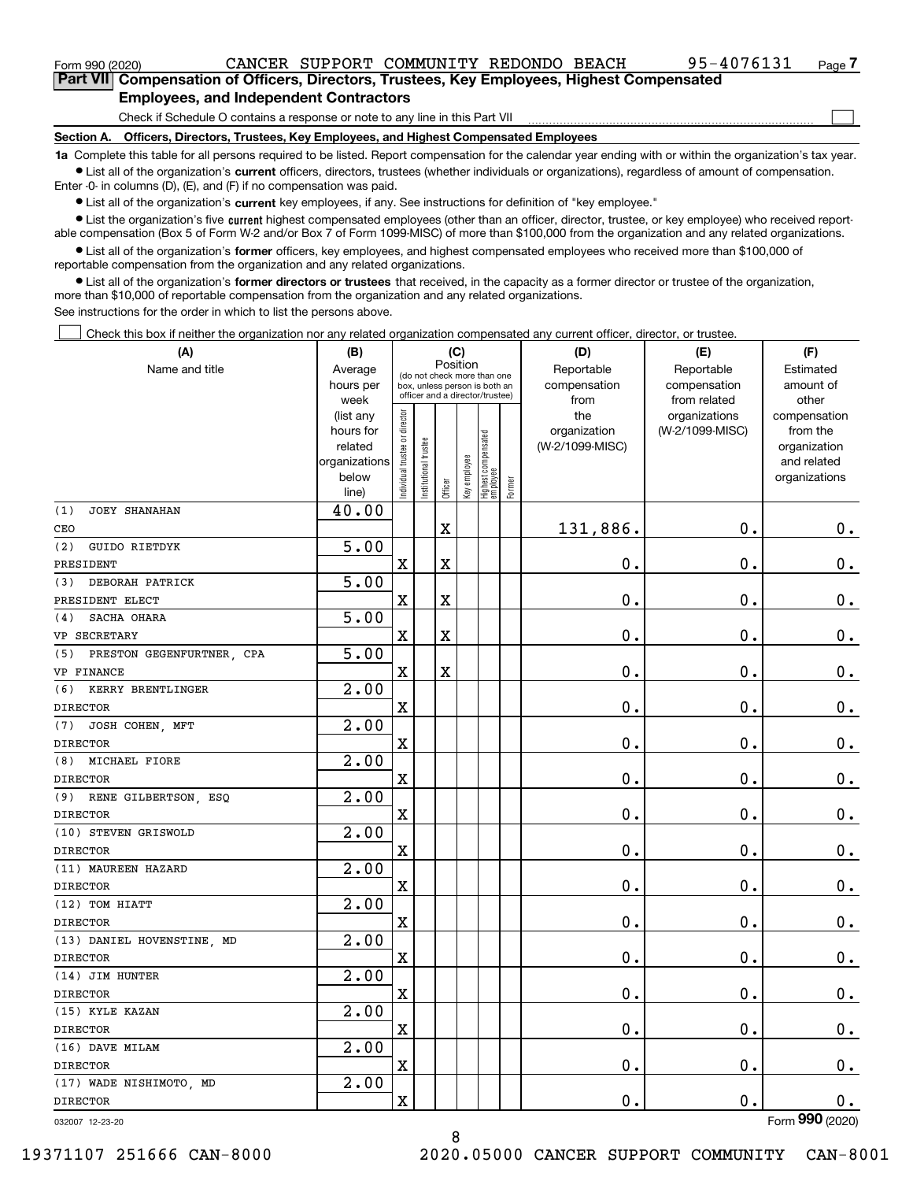$\mathcal{L}^{\text{max}}$ 

| Form 990 (2020) |                                                                                            |  | CANCER SUPPORT COMMUNITY REDONDO BEACH |  | 95-4076131 | Page $7$ |
|-----------------|--------------------------------------------------------------------------------------------|--|----------------------------------------|--|------------|----------|
|                 | Part VII Compensation of Officers, Directors, Trustees, Key Employees, Highest Compensated |  |                                        |  |            |          |
|                 | <b>Employees, and Independent Contractors</b>                                              |  |                                        |  |            |          |

Check if Schedule O contains a response or note to any line in this Part VII

**Section A. Officers, Directors, Trustees, Key Employees, and Highest Compensated Employees**

**1a**  Complete this table for all persons required to be listed. Report compensation for the calendar year ending with or within the organization's tax year. **•** List all of the organization's current officers, directors, trustees (whether individuals or organizations), regardless of amount of compensation.

Enter -0- in columns (D), (E), and (F) if no compensation was paid.

 $\bullet$  List all of the organization's  $\,$ current key employees, if any. See instructions for definition of "key employee."

**•** List the organization's five current highest compensated employees (other than an officer, director, trustee, or key employee) who received reportable compensation (Box 5 of Form W-2 and/or Box 7 of Form 1099-MISC) of more than \$100,000 from the organization and any related organizations.

**•** List all of the organization's former officers, key employees, and highest compensated employees who received more than \$100,000 of reportable compensation from the organization and any related organizations.

**former directors or trustees**  ¥ List all of the organization's that received, in the capacity as a former director or trustee of the organization, more than \$10,000 of reportable compensation from the organization and any related organizations.

See instructions for the order in which to list the persons above.

Check this box if neither the organization nor any related organization compensated any current officer, director, or trustee.  $\mathcal{L}^{\text{max}}$ 

| Name and title<br>Reportable<br>Reportable<br>Estimated<br>Average<br>(do not check more than one<br>compensation<br>amount of<br>hours per<br>compensation<br>box, unless person is both an<br>officer and a director/trustee)<br>other<br>week<br>from<br>from related<br>ndividual trustee or director<br>the<br>organizations<br>(list any<br>compensation<br>(W-2/1099-MISC)<br>hours for<br>organization<br>from the<br>Highest compensated<br> employee<br>nstitutional trustee<br>related<br>(W-2/1099-MISC)<br>organization<br>Key employee<br>organizations<br>and related<br>below<br>organizations<br>Former<br>Officer<br>line)<br>40.00<br><b>JOEY SHANAHAN</b><br>131,886.<br>$\mathbf 0$ .<br>$\mathbf X$<br>0.<br>CEO<br>5.00<br>(2)<br>GUIDO RIETDYK<br>$\mathbf X$<br>$\rm X$<br>0.<br>$\mathbf 0$ .<br>0.<br>PRESIDENT<br>5.00<br>(3)<br>DEBORAH PATRICK<br>$\overline{\mathbf{X}}$<br>$\rm X$<br>0.<br>$\mathbf 0$ .<br>$\mathbf 0$ .<br>PRESIDENT ELECT<br>5.00<br>SACHA OHARA<br>(4)<br>$\overline{\mathbf{X}}$<br>0.<br>$\mathbf 0$ .<br>$\mathbf 0$ .<br>$\mathbf X$<br>VP SECRETARY<br>5.00<br>(5) PRESTON GEGENFURTNER, CPA<br>$\mathbf 0$ .<br>$\overline{\text{X}}$<br>$\rm X$<br>0.<br>$\mathbf 0$ .<br>VP FINANCE<br>2.00<br>(6)<br>KERRY BRENTLINGER<br>$\overline{\textbf{X}}$<br>0.<br>$\mathbf 0$ .<br>$0_{.}$<br><b>DIRECTOR</b><br>2.00<br>JOSH COHEN, MFT<br>$\mathbf X$<br>0.<br>$\mathbf 0$ .<br>$\mathbf 0$ .<br><b>DIRECTOR</b><br>2.00<br>MICHAEL FIORE<br>(8)<br>$\overline{\mathbf{X}}$<br>0.<br>0.<br>$\mathbf 0$ .<br><b>DIRECTOR</b><br>2.00<br>RENE GILBERTSON, ESQ<br>(9)<br>$\mathbf X$<br>0.<br>$\mathbf 0$ .<br>$0_{.}$<br><b>DIRECTOR</b><br>2.00<br>(10) STEVEN GRISWOLD<br>$\mathbf X$<br>$\mathbf 0$ .<br>$\mathbf 0$ .<br>$0_{.}$<br><b>DIRECTOR</b><br>2.00<br>(11) MAUREEN HAZARD<br>$\overline{\mathbf{X}}$<br>0.<br>$\mathbf 0$ .<br>$\mathbf 0$ .<br><b>DIRECTOR</b><br>2.00<br>(12) TOM HIATT<br>0.<br>0.<br>$\rm X$<br>$\mathbf 0$ .<br><b>DIRECTOR</b><br>$\overline{2.00}$<br>(13) DANIEL HOVENSTINE, MD<br>$\mathbf X$<br>0.<br>0.<br>$\mathbf 0$ .<br><b>DIRECTOR</b><br>2.00<br>(14) JIM HUNTER<br>$\rm X$<br>0.<br>$\mathbf 0$ .<br>$\mathbf 0$ .<br><b>DIRECTOR</b><br>2.00<br>(15) KYLE KAZAN<br>$\overline{\mathbf{X}}$<br>0.<br>$\mathbf 0$ .<br>0.<br><b>DIRECTOR</b><br>$\overline{2.00}$<br>(16) DAVE MILAM<br>$\rm X$<br>0.<br>$\mathbf 0$ .<br>$\mathbf 0$ .<br>2.00<br>(17) WADE NISHIMOTO, MD<br>$\mathbf 0$ .<br>$\overline{\textbf{X}}$<br>0.<br>0.<br><b>DIRECTOR</b><br>$000 \text{ m}$ | (A)             | (B) | (C)      |  |  |  |  | (D) | (E) | (F) |  |
|-------------------------------------------------------------------------------------------------------------------------------------------------------------------------------------------------------------------------------------------------------------------------------------------------------------------------------------------------------------------------------------------------------------------------------------------------------------------------------------------------------------------------------------------------------------------------------------------------------------------------------------------------------------------------------------------------------------------------------------------------------------------------------------------------------------------------------------------------------------------------------------------------------------------------------------------------------------------------------------------------------------------------------------------------------------------------------------------------------------------------------------------------------------------------------------------------------------------------------------------------------------------------------------------------------------------------------------------------------------------------------------------------------------------------------------------------------------------------------------------------------------------------------------------------------------------------------------------------------------------------------------------------------------------------------------------------------------------------------------------------------------------------------------------------------------------------------------------------------------------------------------------------------------------------------------------------------------------------------------------------------------------------------------------------------------------------------------------------------------------------------------------------------------------------------------------------------------------------------------------------------------------------------------------------------------------------------------------------------------------------------------------------------------------------------------------------------------------------------------------------------------------------------------------------------------------------------|-----------------|-----|----------|--|--|--|--|-----|-----|-----|--|
|                                                                                                                                                                                                                                                                                                                                                                                                                                                                                                                                                                                                                                                                                                                                                                                                                                                                                                                                                                                                                                                                                                                                                                                                                                                                                                                                                                                                                                                                                                                                                                                                                                                                                                                                                                                                                                                                                                                                                                                                                                                                                                                                                                                                                                                                                                                                                                                                                                                                                                                                                                               |                 |     | Position |  |  |  |  |     |     |     |  |
|                                                                                                                                                                                                                                                                                                                                                                                                                                                                                                                                                                                                                                                                                                                                                                                                                                                                                                                                                                                                                                                                                                                                                                                                                                                                                                                                                                                                                                                                                                                                                                                                                                                                                                                                                                                                                                                                                                                                                                                                                                                                                                                                                                                                                                                                                                                                                                                                                                                                                                                                                                               |                 |     |          |  |  |  |  |     |     |     |  |
|                                                                                                                                                                                                                                                                                                                                                                                                                                                                                                                                                                                                                                                                                                                                                                                                                                                                                                                                                                                                                                                                                                                                                                                                                                                                                                                                                                                                                                                                                                                                                                                                                                                                                                                                                                                                                                                                                                                                                                                                                                                                                                                                                                                                                                                                                                                                                                                                                                                                                                                                                                               |                 |     |          |  |  |  |  |     |     |     |  |
|                                                                                                                                                                                                                                                                                                                                                                                                                                                                                                                                                                                                                                                                                                                                                                                                                                                                                                                                                                                                                                                                                                                                                                                                                                                                                                                                                                                                                                                                                                                                                                                                                                                                                                                                                                                                                                                                                                                                                                                                                                                                                                                                                                                                                                                                                                                                                                                                                                                                                                                                                                               |                 |     |          |  |  |  |  |     |     |     |  |
|                                                                                                                                                                                                                                                                                                                                                                                                                                                                                                                                                                                                                                                                                                                                                                                                                                                                                                                                                                                                                                                                                                                                                                                                                                                                                                                                                                                                                                                                                                                                                                                                                                                                                                                                                                                                                                                                                                                                                                                                                                                                                                                                                                                                                                                                                                                                                                                                                                                                                                                                                                               |                 |     |          |  |  |  |  |     |     |     |  |
|                                                                                                                                                                                                                                                                                                                                                                                                                                                                                                                                                                                                                                                                                                                                                                                                                                                                                                                                                                                                                                                                                                                                                                                                                                                                                                                                                                                                                                                                                                                                                                                                                                                                                                                                                                                                                                                                                                                                                                                                                                                                                                                                                                                                                                                                                                                                                                                                                                                                                                                                                                               |                 |     |          |  |  |  |  |     |     |     |  |
|                                                                                                                                                                                                                                                                                                                                                                                                                                                                                                                                                                                                                                                                                                                                                                                                                                                                                                                                                                                                                                                                                                                                                                                                                                                                                                                                                                                                                                                                                                                                                                                                                                                                                                                                                                                                                                                                                                                                                                                                                                                                                                                                                                                                                                                                                                                                                                                                                                                                                                                                                                               |                 |     |          |  |  |  |  |     |     |     |  |
|                                                                                                                                                                                                                                                                                                                                                                                                                                                                                                                                                                                                                                                                                                                                                                                                                                                                                                                                                                                                                                                                                                                                                                                                                                                                                                                                                                                                                                                                                                                                                                                                                                                                                                                                                                                                                                                                                                                                                                                                                                                                                                                                                                                                                                                                                                                                                                                                                                                                                                                                                                               |                 |     |          |  |  |  |  |     |     |     |  |
|                                                                                                                                                                                                                                                                                                                                                                                                                                                                                                                                                                                                                                                                                                                                                                                                                                                                                                                                                                                                                                                                                                                                                                                                                                                                                                                                                                                                                                                                                                                                                                                                                                                                                                                                                                                                                                                                                                                                                                                                                                                                                                                                                                                                                                                                                                                                                                                                                                                                                                                                                                               | (1)             |     |          |  |  |  |  |     |     |     |  |
|                                                                                                                                                                                                                                                                                                                                                                                                                                                                                                                                                                                                                                                                                                                                                                                                                                                                                                                                                                                                                                                                                                                                                                                                                                                                                                                                                                                                                                                                                                                                                                                                                                                                                                                                                                                                                                                                                                                                                                                                                                                                                                                                                                                                                                                                                                                                                                                                                                                                                                                                                                               |                 |     |          |  |  |  |  |     |     |     |  |
|                                                                                                                                                                                                                                                                                                                                                                                                                                                                                                                                                                                                                                                                                                                                                                                                                                                                                                                                                                                                                                                                                                                                                                                                                                                                                                                                                                                                                                                                                                                                                                                                                                                                                                                                                                                                                                                                                                                                                                                                                                                                                                                                                                                                                                                                                                                                                                                                                                                                                                                                                                               |                 |     |          |  |  |  |  |     |     |     |  |
|                                                                                                                                                                                                                                                                                                                                                                                                                                                                                                                                                                                                                                                                                                                                                                                                                                                                                                                                                                                                                                                                                                                                                                                                                                                                                                                                                                                                                                                                                                                                                                                                                                                                                                                                                                                                                                                                                                                                                                                                                                                                                                                                                                                                                                                                                                                                                                                                                                                                                                                                                                               |                 |     |          |  |  |  |  |     |     |     |  |
|                                                                                                                                                                                                                                                                                                                                                                                                                                                                                                                                                                                                                                                                                                                                                                                                                                                                                                                                                                                                                                                                                                                                                                                                                                                                                                                                                                                                                                                                                                                                                                                                                                                                                                                                                                                                                                                                                                                                                                                                                                                                                                                                                                                                                                                                                                                                                                                                                                                                                                                                                                               |                 |     |          |  |  |  |  |     |     |     |  |
|                                                                                                                                                                                                                                                                                                                                                                                                                                                                                                                                                                                                                                                                                                                                                                                                                                                                                                                                                                                                                                                                                                                                                                                                                                                                                                                                                                                                                                                                                                                                                                                                                                                                                                                                                                                                                                                                                                                                                                                                                                                                                                                                                                                                                                                                                                                                                                                                                                                                                                                                                                               |                 |     |          |  |  |  |  |     |     |     |  |
|                                                                                                                                                                                                                                                                                                                                                                                                                                                                                                                                                                                                                                                                                                                                                                                                                                                                                                                                                                                                                                                                                                                                                                                                                                                                                                                                                                                                                                                                                                                                                                                                                                                                                                                                                                                                                                                                                                                                                                                                                                                                                                                                                                                                                                                                                                                                                                                                                                                                                                                                                                               |                 |     |          |  |  |  |  |     |     |     |  |
|                                                                                                                                                                                                                                                                                                                                                                                                                                                                                                                                                                                                                                                                                                                                                                                                                                                                                                                                                                                                                                                                                                                                                                                                                                                                                                                                                                                                                                                                                                                                                                                                                                                                                                                                                                                                                                                                                                                                                                                                                                                                                                                                                                                                                                                                                                                                                                                                                                                                                                                                                                               |                 |     |          |  |  |  |  |     |     |     |  |
|                                                                                                                                                                                                                                                                                                                                                                                                                                                                                                                                                                                                                                                                                                                                                                                                                                                                                                                                                                                                                                                                                                                                                                                                                                                                                                                                                                                                                                                                                                                                                                                                                                                                                                                                                                                                                                                                                                                                                                                                                                                                                                                                                                                                                                                                                                                                                                                                                                                                                                                                                                               |                 |     |          |  |  |  |  |     |     |     |  |
|                                                                                                                                                                                                                                                                                                                                                                                                                                                                                                                                                                                                                                                                                                                                                                                                                                                                                                                                                                                                                                                                                                                                                                                                                                                                                                                                                                                                                                                                                                                                                                                                                                                                                                                                                                                                                                                                                                                                                                                                                                                                                                                                                                                                                                                                                                                                                                                                                                                                                                                                                                               |                 |     |          |  |  |  |  |     |     |     |  |
|                                                                                                                                                                                                                                                                                                                                                                                                                                                                                                                                                                                                                                                                                                                                                                                                                                                                                                                                                                                                                                                                                                                                                                                                                                                                                                                                                                                                                                                                                                                                                                                                                                                                                                                                                                                                                                                                                                                                                                                                                                                                                                                                                                                                                                                                                                                                                                                                                                                                                                                                                                               |                 |     |          |  |  |  |  |     |     |     |  |
|                                                                                                                                                                                                                                                                                                                                                                                                                                                                                                                                                                                                                                                                                                                                                                                                                                                                                                                                                                                                                                                                                                                                                                                                                                                                                                                                                                                                                                                                                                                                                                                                                                                                                                                                                                                                                                                                                                                                                                                                                                                                                                                                                                                                                                                                                                                                                                                                                                                                                                                                                                               |                 |     |          |  |  |  |  |     |     |     |  |
|                                                                                                                                                                                                                                                                                                                                                                                                                                                                                                                                                                                                                                                                                                                                                                                                                                                                                                                                                                                                                                                                                                                                                                                                                                                                                                                                                                                                                                                                                                                                                                                                                                                                                                                                                                                                                                                                                                                                                                                                                                                                                                                                                                                                                                                                                                                                                                                                                                                                                                                                                                               | (7)             |     |          |  |  |  |  |     |     |     |  |
|                                                                                                                                                                                                                                                                                                                                                                                                                                                                                                                                                                                                                                                                                                                                                                                                                                                                                                                                                                                                                                                                                                                                                                                                                                                                                                                                                                                                                                                                                                                                                                                                                                                                                                                                                                                                                                                                                                                                                                                                                                                                                                                                                                                                                                                                                                                                                                                                                                                                                                                                                                               |                 |     |          |  |  |  |  |     |     |     |  |
|                                                                                                                                                                                                                                                                                                                                                                                                                                                                                                                                                                                                                                                                                                                                                                                                                                                                                                                                                                                                                                                                                                                                                                                                                                                                                                                                                                                                                                                                                                                                                                                                                                                                                                                                                                                                                                                                                                                                                                                                                                                                                                                                                                                                                                                                                                                                                                                                                                                                                                                                                                               |                 |     |          |  |  |  |  |     |     |     |  |
|                                                                                                                                                                                                                                                                                                                                                                                                                                                                                                                                                                                                                                                                                                                                                                                                                                                                                                                                                                                                                                                                                                                                                                                                                                                                                                                                                                                                                                                                                                                                                                                                                                                                                                                                                                                                                                                                                                                                                                                                                                                                                                                                                                                                                                                                                                                                                                                                                                                                                                                                                                               |                 |     |          |  |  |  |  |     |     |     |  |
|                                                                                                                                                                                                                                                                                                                                                                                                                                                                                                                                                                                                                                                                                                                                                                                                                                                                                                                                                                                                                                                                                                                                                                                                                                                                                                                                                                                                                                                                                                                                                                                                                                                                                                                                                                                                                                                                                                                                                                                                                                                                                                                                                                                                                                                                                                                                                                                                                                                                                                                                                                               |                 |     |          |  |  |  |  |     |     |     |  |
|                                                                                                                                                                                                                                                                                                                                                                                                                                                                                                                                                                                                                                                                                                                                                                                                                                                                                                                                                                                                                                                                                                                                                                                                                                                                                                                                                                                                                                                                                                                                                                                                                                                                                                                                                                                                                                                                                                                                                                                                                                                                                                                                                                                                                                                                                                                                                                                                                                                                                                                                                                               |                 |     |          |  |  |  |  |     |     |     |  |
|                                                                                                                                                                                                                                                                                                                                                                                                                                                                                                                                                                                                                                                                                                                                                                                                                                                                                                                                                                                                                                                                                                                                                                                                                                                                                                                                                                                                                                                                                                                                                                                                                                                                                                                                                                                                                                                                                                                                                                                                                                                                                                                                                                                                                                                                                                                                                                                                                                                                                                                                                                               |                 |     |          |  |  |  |  |     |     |     |  |
|                                                                                                                                                                                                                                                                                                                                                                                                                                                                                                                                                                                                                                                                                                                                                                                                                                                                                                                                                                                                                                                                                                                                                                                                                                                                                                                                                                                                                                                                                                                                                                                                                                                                                                                                                                                                                                                                                                                                                                                                                                                                                                                                                                                                                                                                                                                                                                                                                                                                                                                                                                               |                 |     |          |  |  |  |  |     |     |     |  |
|                                                                                                                                                                                                                                                                                                                                                                                                                                                                                                                                                                                                                                                                                                                                                                                                                                                                                                                                                                                                                                                                                                                                                                                                                                                                                                                                                                                                                                                                                                                                                                                                                                                                                                                                                                                                                                                                                                                                                                                                                                                                                                                                                                                                                                                                                                                                                                                                                                                                                                                                                                               |                 |     |          |  |  |  |  |     |     |     |  |
|                                                                                                                                                                                                                                                                                                                                                                                                                                                                                                                                                                                                                                                                                                                                                                                                                                                                                                                                                                                                                                                                                                                                                                                                                                                                                                                                                                                                                                                                                                                                                                                                                                                                                                                                                                                                                                                                                                                                                                                                                                                                                                                                                                                                                                                                                                                                                                                                                                                                                                                                                                               |                 |     |          |  |  |  |  |     |     |     |  |
|                                                                                                                                                                                                                                                                                                                                                                                                                                                                                                                                                                                                                                                                                                                                                                                                                                                                                                                                                                                                                                                                                                                                                                                                                                                                                                                                                                                                                                                                                                                                                                                                                                                                                                                                                                                                                                                                                                                                                                                                                                                                                                                                                                                                                                                                                                                                                                                                                                                                                                                                                                               |                 |     |          |  |  |  |  |     |     |     |  |
|                                                                                                                                                                                                                                                                                                                                                                                                                                                                                                                                                                                                                                                                                                                                                                                                                                                                                                                                                                                                                                                                                                                                                                                                                                                                                                                                                                                                                                                                                                                                                                                                                                                                                                                                                                                                                                                                                                                                                                                                                                                                                                                                                                                                                                                                                                                                                                                                                                                                                                                                                                               |                 |     |          |  |  |  |  |     |     |     |  |
|                                                                                                                                                                                                                                                                                                                                                                                                                                                                                                                                                                                                                                                                                                                                                                                                                                                                                                                                                                                                                                                                                                                                                                                                                                                                                                                                                                                                                                                                                                                                                                                                                                                                                                                                                                                                                                                                                                                                                                                                                                                                                                                                                                                                                                                                                                                                                                                                                                                                                                                                                                               |                 |     |          |  |  |  |  |     |     |     |  |
|                                                                                                                                                                                                                                                                                                                                                                                                                                                                                                                                                                                                                                                                                                                                                                                                                                                                                                                                                                                                                                                                                                                                                                                                                                                                                                                                                                                                                                                                                                                                                                                                                                                                                                                                                                                                                                                                                                                                                                                                                                                                                                                                                                                                                                                                                                                                                                                                                                                                                                                                                                               |                 |     |          |  |  |  |  |     |     |     |  |
|                                                                                                                                                                                                                                                                                                                                                                                                                                                                                                                                                                                                                                                                                                                                                                                                                                                                                                                                                                                                                                                                                                                                                                                                                                                                                                                                                                                                                                                                                                                                                                                                                                                                                                                                                                                                                                                                                                                                                                                                                                                                                                                                                                                                                                                                                                                                                                                                                                                                                                                                                                               |                 |     |          |  |  |  |  |     |     |     |  |
|                                                                                                                                                                                                                                                                                                                                                                                                                                                                                                                                                                                                                                                                                                                                                                                                                                                                                                                                                                                                                                                                                                                                                                                                                                                                                                                                                                                                                                                                                                                                                                                                                                                                                                                                                                                                                                                                                                                                                                                                                                                                                                                                                                                                                                                                                                                                                                                                                                                                                                                                                                               |                 |     |          |  |  |  |  |     |     |     |  |
|                                                                                                                                                                                                                                                                                                                                                                                                                                                                                                                                                                                                                                                                                                                                                                                                                                                                                                                                                                                                                                                                                                                                                                                                                                                                                                                                                                                                                                                                                                                                                                                                                                                                                                                                                                                                                                                                                                                                                                                                                                                                                                                                                                                                                                                                                                                                                                                                                                                                                                                                                                               |                 |     |          |  |  |  |  |     |     |     |  |
|                                                                                                                                                                                                                                                                                                                                                                                                                                                                                                                                                                                                                                                                                                                                                                                                                                                                                                                                                                                                                                                                                                                                                                                                                                                                                                                                                                                                                                                                                                                                                                                                                                                                                                                                                                                                                                                                                                                                                                                                                                                                                                                                                                                                                                                                                                                                                                                                                                                                                                                                                                               |                 |     |          |  |  |  |  |     |     |     |  |
|                                                                                                                                                                                                                                                                                                                                                                                                                                                                                                                                                                                                                                                                                                                                                                                                                                                                                                                                                                                                                                                                                                                                                                                                                                                                                                                                                                                                                                                                                                                                                                                                                                                                                                                                                                                                                                                                                                                                                                                                                                                                                                                                                                                                                                                                                                                                                                                                                                                                                                                                                                               |                 |     |          |  |  |  |  |     |     |     |  |
|                                                                                                                                                                                                                                                                                                                                                                                                                                                                                                                                                                                                                                                                                                                                                                                                                                                                                                                                                                                                                                                                                                                                                                                                                                                                                                                                                                                                                                                                                                                                                                                                                                                                                                                                                                                                                                                                                                                                                                                                                                                                                                                                                                                                                                                                                                                                                                                                                                                                                                                                                                               | <b>DIRECTOR</b> |     |          |  |  |  |  |     |     |     |  |
|                                                                                                                                                                                                                                                                                                                                                                                                                                                                                                                                                                                                                                                                                                                                                                                                                                                                                                                                                                                                                                                                                                                                                                                                                                                                                                                                                                                                                                                                                                                                                                                                                                                                                                                                                                                                                                                                                                                                                                                                                                                                                                                                                                                                                                                                                                                                                                                                                                                                                                                                                                               |                 |     |          |  |  |  |  |     |     |     |  |
|                                                                                                                                                                                                                                                                                                                                                                                                                                                                                                                                                                                                                                                                                                                                                                                                                                                                                                                                                                                                                                                                                                                                                                                                                                                                                                                                                                                                                                                                                                                                                                                                                                                                                                                                                                                                                                                                                                                                                                                                                                                                                                                                                                                                                                                                                                                                                                                                                                                                                                                                                                               |                 |     |          |  |  |  |  |     |     |     |  |

8

032007 12-23-20

Form (2020) **990**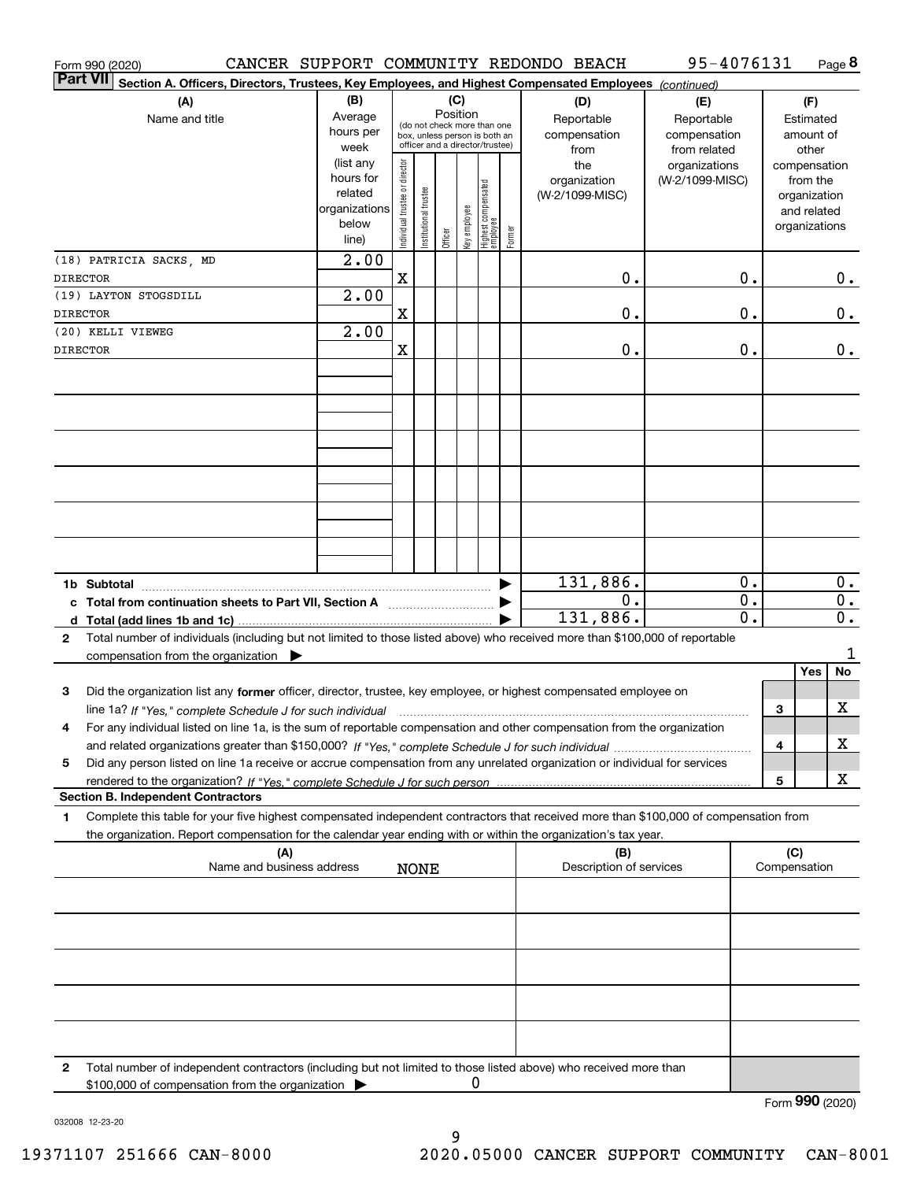|                 | Form 990 (2020)                                                                                                                                                                                                                                        |                                                                                                                                                                                 |                                |                                                                                                               |         |              |                                  |                     | CANCER SUPPORT COMMUNITY REDONDO BEACH            | 95-4076131                       |                  |                                        |                                                                          | Page 8                 |
|-----------------|--------------------------------------------------------------------------------------------------------------------------------------------------------------------------------------------------------------------------------------------------------|---------------------------------------------------------------------------------------------------------------------------------------------------------------------------------|--------------------------------|---------------------------------------------------------------------------------------------------------------|---------|--------------|----------------------------------|---------------------|---------------------------------------------------|----------------------------------|------------------|----------------------------------------|--------------------------------------------------------------------------|------------------------|
| <b>Part VII</b> | Section A. Officers, Directors, Trustees, Key Employees, and Highest Compensated Employees (continued)                                                                                                                                                 |                                                                                                                                                                                 |                                |                                                                                                               |         |              |                                  |                     |                                                   |                                  |                  |                                        |                                                                          |                        |
|                 | (A)<br>Name and title                                                                                                                                                                                                                                  | (B)<br>(C)<br>Position<br>Average<br>Reportable<br>(do not check more than one<br>hours per<br>box, unless person is both an<br>officer and a director/trustee)<br>week<br>from |                                |                                                                                                               |         |              |                                  | (D)<br>compensation | (E)<br>Reportable<br>compensation<br>from related |                                  |                  | (F)<br>Estimated<br>amount of<br>other |                                                                          |                        |
|                 |                                                                                                                                                                                                                                                        | (list any<br>hours for<br>related<br>organizations<br>below<br>line)                                                                                                            | Individual trustee or director | nstitutional trustee                                                                                          | Officer | key employee | Highest compensated<br> employee | Former              | the<br>organization<br>(W-2/1099-MISC)            | organizations<br>(W-2/1099-MISC) |                  |                                        | compensation<br>from the<br>organization<br>and related<br>organizations |                        |
|                 | (18) PATRICIA SACKS, MD                                                                                                                                                                                                                                | 2.00                                                                                                                                                                            |                                |                                                                                                               |         |              |                                  |                     |                                                   |                                  |                  |                                        |                                                                          |                        |
| <b>DIRECTOR</b> | (19) LAYTON STOGSDILL                                                                                                                                                                                                                                  | 2.00                                                                                                                                                                            | X                              |                                                                                                               |         |              |                                  |                     | 0.                                                |                                  | 0.               |                                        |                                                                          | 0.                     |
| <b>DIRECTOR</b> |                                                                                                                                                                                                                                                        |                                                                                                                                                                                 | X                              |                                                                                                               |         |              |                                  |                     | 0.                                                |                                  | 0.               |                                        |                                                                          | 0.                     |
| <b>DIRECTOR</b> | (20) KELLI VIEWEG                                                                                                                                                                                                                                      | 2.00                                                                                                                                                                            | X                              |                                                                                                               |         |              |                                  |                     | 0.                                                |                                  | 0.               |                                        |                                                                          | 0.                     |
|                 |                                                                                                                                                                                                                                                        |                                                                                                                                                                                 |                                |                                                                                                               |         |              |                                  |                     |                                                   |                                  |                  |                                        |                                                                          |                        |
|                 |                                                                                                                                                                                                                                                        |                                                                                                                                                                                 |                                |                                                                                                               |         |              |                                  |                     |                                                   |                                  |                  |                                        |                                                                          |                        |
|                 |                                                                                                                                                                                                                                                        |                                                                                                                                                                                 |                                |                                                                                                               |         |              |                                  |                     |                                                   |                                  |                  |                                        |                                                                          |                        |
|                 |                                                                                                                                                                                                                                                        |                                                                                                                                                                                 |                                |                                                                                                               |         |              |                                  |                     |                                                   |                                  |                  |                                        |                                                                          |                        |
|                 |                                                                                                                                                                                                                                                        |                                                                                                                                                                                 |                                |                                                                                                               |         |              |                                  |                     |                                                   |                                  |                  |                                        |                                                                          |                        |
|                 |                                                                                                                                                                                                                                                        |                                                                                                                                                                                 |                                |                                                                                                               |         |              |                                  |                     |                                                   |                                  |                  |                                        |                                                                          |                        |
|                 | 1b Subtotal<br>c Total from continuation sheets to Part VII, Section A                                                                                                                                                                                 |                                                                                                                                                                                 |                                | and a strategic contract of the strategic contract of the strategic contract of the strategic contract of the |         |              |                                  | ▶                   | 131,886.<br>0.                                    |                                  | 0.<br>$0$ .      |                                        |                                                                          | $0$ .<br>$\mathbf 0$ . |
| 2               | Total number of individuals (including but not limited to those listed above) who received more than \$100,000 of reportable                                                                                                                           |                                                                                                                                                                                 |                                |                                                                                                               |         |              |                                  |                     | 131,886.                                          |                                  | $\overline{0}$ . |                                        |                                                                          | $\overline{0}$ .       |
|                 | compensation from the organization $\blacktriangleright$                                                                                                                                                                                               |                                                                                                                                                                                 |                                |                                                                                                               |         |              |                                  |                     |                                                   |                                  |                  |                                        | Yes                                                                      | No                     |
| 3               | Did the organization list any former officer, director, trustee, key employee, or highest compensated employee on                                                                                                                                      |                                                                                                                                                                                 |                                |                                                                                                               |         |              |                                  |                     |                                                   |                                  |                  |                                        |                                                                          |                        |
|                 |                                                                                                                                                                                                                                                        |                                                                                                                                                                                 |                                |                                                                                                               |         |              |                                  |                     |                                                   |                                  |                  | 3                                      |                                                                          | x                      |
| 4               | For any individual listed on line 1a, is the sum of reportable compensation and other compensation from the organization                                                                                                                               |                                                                                                                                                                                 |                                |                                                                                                               |         |              |                                  |                     |                                                   |                                  |                  | 4                                      |                                                                          | x                      |
| 5               | Did any person listed on line 1a receive or accrue compensation from any unrelated organization or individual for services                                                                                                                             |                                                                                                                                                                                 |                                |                                                                                                               |         |              |                                  |                     |                                                   |                                  |                  |                                        |                                                                          |                        |
|                 | <b>Section B. Independent Contractors</b>                                                                                                                                                                                                              |                                                                                                                                                                                 |                                |                                                                                                               |         |              |                                  |                     |                                                   |                                  |                  | $\overline{\mathbf{5}}$                |                                                                          | x                      |
| 1               | Complete this table for your five highest compensated independent contractors that received more than \$100,000 of compensation from<br>the organization. Report compensation for the calendar year ending with or within the organization's tax year. |                                                                                                                                                                                 |                                |                                                                                                               |         |              |                                  |                     |                                                   |                                  |                  |                                        |                                                                          |                        |
|                 | (A)<br>Name and business address                                                                                                                                                                                                                       |                                                                                                                                                                                 |                                | <b>NONE</b>                                                                                                   |         |              |                                  |                     | (B)<br>Description of services                    |                                  |                  | (C)                                    | Compensation                                                             |                        |
|                 |                                                                                                                                                                                                                                                        |                                                                                                                                                                                 |                                |                                                                                                               |         |              |                                  |                     |                                                   |                                  |                  |                                        |                                                                          |                        |
|                 |                                                                                                                                                                                                                                                        |                                                                                                                                                                                 |                                |                                                                                                               |         |              |                                  |                     |                                                   |                                  |                  |                                        |                                                                          |                        |
|                 |                                                                                                                                                                                                                                                        |                                                                                                                                                                                 |                                |                                                                                                               |         |              |                                  |                     |                                                   |                                  |                  |                                        |                                                                          |                        |
|                 |                                                                                                                                                                                                                                                        |                                                                                                                                                                                 |                                |                                                                                                               |         |              |                                  |                     |                                                   |                                  |                  |                                        |                                                                          |                        |
| 2               | Total number of independent contractors (including but not limited to those listed above) who received more than                                                                                                                                       |                                                                                                                                                                                 |                                |                                                                                                               |         |              |                                  |                     |                                                   |                                  |                  |                                        |                                                                          |                        |
|                 | \$100,000 of compensation from the organization                                                                                                                                                                                                        |                                                                                                                                                                                 |                                |                                                                                                               |         |              |                                  |                     |                                                   |                                  |                  |                                        | ההה                                                                      |                        |

032008 12-23-20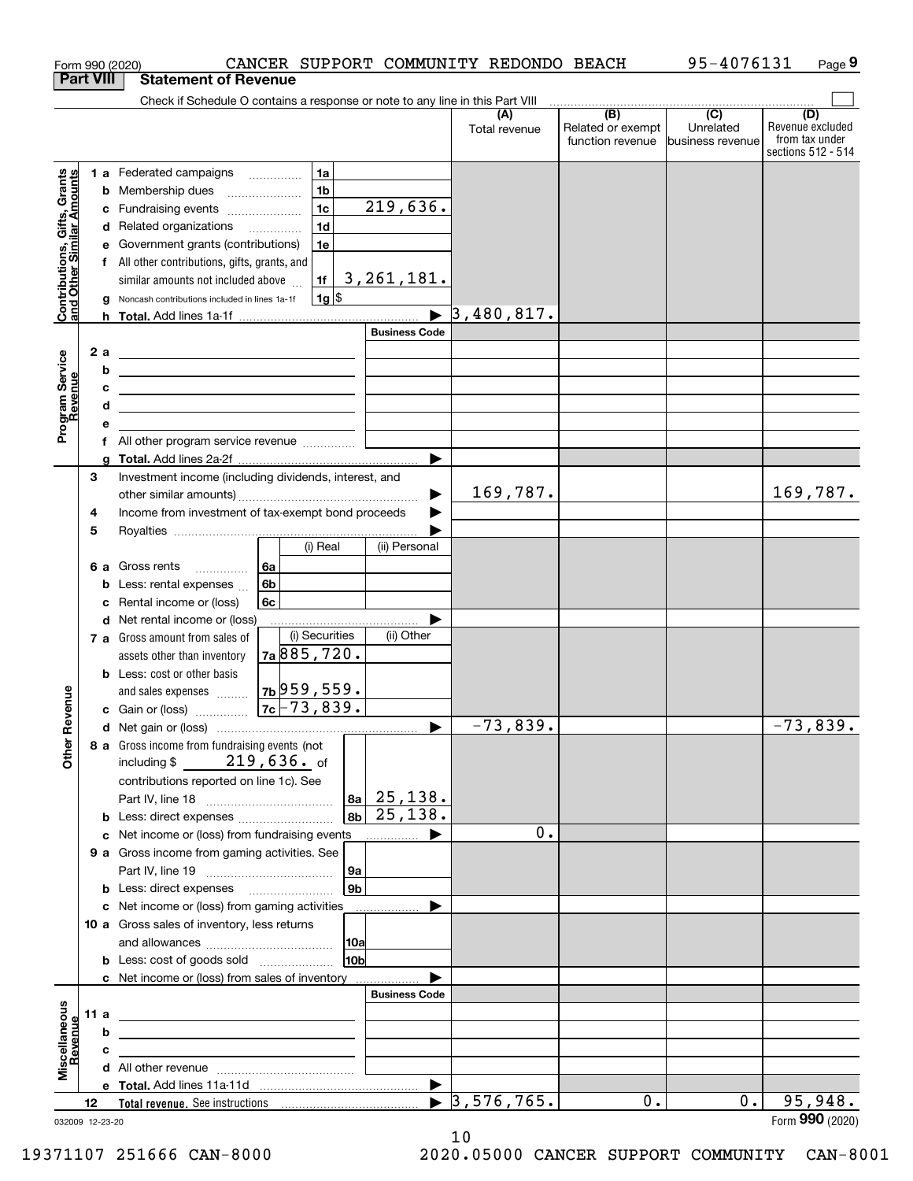|                                                           |                  |     | Form 990 (2020)                                                                                                       | CANCER SUPPORT COMMUNITY REDONDO BEACH |                      |                                  |                           | 95-4076131        | Page 9                  |
|-----------------------------------------------------------|------------------|-----|-----------------------------------------------------------------------------------------------------------------------|----------------------------------------|----------------------|----------------------------------|---------------------------|-------------------|-------------------------|
|                                                           | <b>Part VIII</b> |     | <b>Statement of Revenue</b>                                                                                           |                                        |                      |                                  |                           |                   |                         |
|                                                           |                  |     | Check if Schedule O contains a response or note to any line in this Part VIII                                         |                                        |                      |                                  | $\overline{(\mathsf{B})}$ | $\overline{(C)}$  |                         |
|                                                           |                  |     |                                                                                                                       |                                        |                      | (A)<br>Total revenue             | Related or exempt         | Unrelated         | (D)<br>Revenue excluded |
|                                                           |                  |     |                                                                                                                       |                                        |                      |                                  | function revenue          | Ibusiness revenue | from tax under          |
|                                                           |                  |     |                                                                                                                       |                                        |                      |                                  |                           |                   | sections 512 - 514      |
|                                                           |                  |     | 1 a Federated campaigns                                                                                               | 1a                                     |                      |                                  |                           |                   |                         |
| Contributions, Gifts, Grants<br>and Other Similar Amounts |                  |     | <b>b</b> Membership dues                                                                                              | 1 <sub>b</sub>                         |                      |                                  |                           |                   |                         |
|                                                           |                  |     | c Fundraising events                                                                                                  | 1 <sub>c</sub>                         | 219,636.             |                                  |                           |                   |                         |
|                                                           |                  |     | d Related organizations                                                                                               | 1 <sub>d</sub>                         |                      |                                  |                           |                   |                         |
|                                                           |                  |     | e Government grants (contributions)                                                                                   | 1e                                     |                      |                                  |                           |                   |                         |
|                                                           |                  |     | f All other contributions, gifts, grants, and                                                                         |                                        |                      |                                  |                           |                   |                         |
|                                                           |                  |     | similar amounts not included above                                                                                    | 1f                                     | 3, 261, 181.         |                                  |                           |                   |                         |
|                                                           |                  |     | g Noncash contributions included in lines 1a-1f                                                                       | $1g$ \$                                |                      |                                  |                           |                   |                         |
|                                                           |                  |     |                                                                                                                       |                                        |                      | $\blacktriangleright$ 3,480,817. |                           |                   |                         |
|                                                           |                  |     |                                                                                                                       |                                        | <b>Business Code</b> |                                  |                           |                   |                         |
|                                                           |                  | 2 a | <u> 1989 - Johann Barbara, martxa eta idazlea (h. 1989).</u>                                                          |                                        |                      |                                  |                           |                   |                         |
|                                                           |                  | b   | <u> 1989 - Johann Stein, marwolaethau a bhann an t-Amhainn an t-Amhainn an t-Amhainn an t-Amhainn an t-Amhainn an</u> |                                        |                      |                                  |                           |                   |                         |
|                                                           |                  | c   | <u> 1989 - Johann Stein, mars an deutscher Stein († 1958)</u>                                                         |                                        |                      |                                  |                           |                   |                         |
|                                                           |                  | d   | the control of the control of the control of the control of the control of the control of                             |                                        |                      |                                  |                           |                   |                         |
| Program Service<br>Revenue                                |                  | е   |                                                                                                                       |                                        |                      |                                  |                           |                   |                         |
|                                                           |                  |     | f All other program service revenue                                                                                   |                                        |                      |                                  |                           |                   |                         |
|                                                           |                  |     |                                                                                                                       |                                        |                      |                                  |                           |                   |                         |
|                                                           | З                |     | Investment income (including dividends, interest, and                                                                 |                                        |                      |                                  |                           |                   |                         |
|                                                           |                  |     |                                                                                                                       |                                        |                      | 169,787.                         |                           |                   | 169,787.                |
|                                                           | 4                |     | Income from investment of tax-exempt bond proceeds                                                                    |                                        |                      |                                  |                           |                   |                         |
|                                                           | 5                |     |                                                                                                                       | (i) Real                               |                      |                                  |                           |                   |                         |
|                                                           |                  |     |                                                                                                                       |                                        | (ii) Personal        |                                  |                           |                   |                         |
|                                                           |                  |     | 6 a Gross rents                                                                                                       | 6а                                     |                      |                                  |                           |                   |                         |
|                                                           |                  |     | <b>b</b> Less: rental expenses                                                                                        | 6 <sub>b</sub>                         |                      |                                  |                           |                   |                         |
|                                                           |                  |     | c Rental income or (loss)                                                                                             | 6c                                     |                      |                                  |                           |                   |                         |
|                                                           |                  |     | d Net rental income or (loss)                                                                                         | (i) Securities                         | (ii) Other           |                                  |                           |                   |                         |
|                                                           |                  |     | 7 a Gross amount from sales of                                                                                        | 7a885,720.                             |                      |                                  |                           |                   |                         |
|                                                           |                  |     | assets other than inventory<br><b>b</b> Less: cost or other basis                                                     |                                        |                      |                                  |                           |                   |                         |
|                                                           |                  |     |                                                                                                                       | $7b$ 959,559.                          |                      |                                  |                           |                   |                         |
| wenue                                                     |                  |     | and sales expenses                                                                                                    | $ 7c $ 73,839.                         |                      |                                  |                           |                   |                         |
|                                                           |                  |     | <b>c</b> Gain or (loss)                                                                                               |                                        |                      | $-73,839.$                       |                           |                   | $-73,839.$              |
| Other R                                                   |                  |     | 8 a Gross income from fundraising events (not                                                                         |                                        |                      |                                  |                           |                   |                         |
|                                                           |                  |     | including $$219,636.$ of                                                                                              |                                        |                      |                                  |                           |                   |                         |
|                                                           |                  |     | contributions reported on line 1c). See                                                                               |                                        |                      |                                  |                           |                   |                         |
|                                                           |                  |     |                                                                                                                       |                                        | $ 8a $ 25, 138.      |                                  |                           |                   |                         |
|                                                           |                  |     | <b>b</b> Less: direct expenses <b>constants b</b>                                                                     |                                        | $ 8b $ 25, 138.      |                                  |                           |                   |                         |
|                                                           |                  |     | c Net income or (loss) from fundraising events                                                                        |                                        |                      | 0.                               |                           |                   |                         |
|                                                           |                  |     | 9 a Gross income from gaming activities. See                                                                          |                                        |                      |                                  |                           |                   |                         |
|                                                           |                  |     |                                                                                                                       | 9a                                     |                      |                                  |                           |                   |                         |
|                                                           |                  |     | <b>b</b> Less: direct expenses <b>manually</b>                                                                        | 9b                                     |                      |                                  |                           |                   |                         |
|                                                           |                  |     | c Net income or (loss) from gaming activities                                                                         |                                        |                      |                                  |                           |                   |                         |
|                                                           |                  |     | 10 a Gross sales of inventory, less returns                                                                           |                                        |                      |                                  |                           |                   |                         |
|                                                           |                  |     |                                                                                                                       | 10a                                    |                      |                                  |                           |                   |                         |
|                                                           |                  |     |                                                                                                                       | 10 <sub>b</sub>                        |                      |                                  |                           |                   |                         |
|                                                           |                  |     | c Net income or (loss) from sales of inventory                                                                        |                                        |                      |                                  |                           |                   |                         |
|                                                           |                  |     |                                                                                                                       |                                        | <b>Business Code</b> |                                  |                           |                   |                         |
| Miscellaneous<br>Revenue                                  | 11 a             |     |                                                                                                                       |                                        |                      |                                  |                           |                   |                         |
|                                                           |                  | b   |                                                                                                                       |                                        |                      |                                  |                           |                   |                         |
|                                                           |                  | c   |                                                                                                                       |                                        |                      |                                  |                           |                   |                         |
|                                                           |                  |     |                                                                                                                       |                                        |                      |                                  |                           |                   |                         |
|                                                           |                  |     |                                                                                                                       |                                        |                      |                                  |                           |                   |                         |
|                                                           | 12               |     |                                                                                                                       |                                        |                      | $\blacktriangleright$ 3,576,765. | 0.                        | 0.                | 95,948.                 |
| 032009 12-23-20                                           |                  |     |                                                                                                                       |                                        |                      |                                  |                           |                   | Form 990 (2020)         |

032009 12-23-20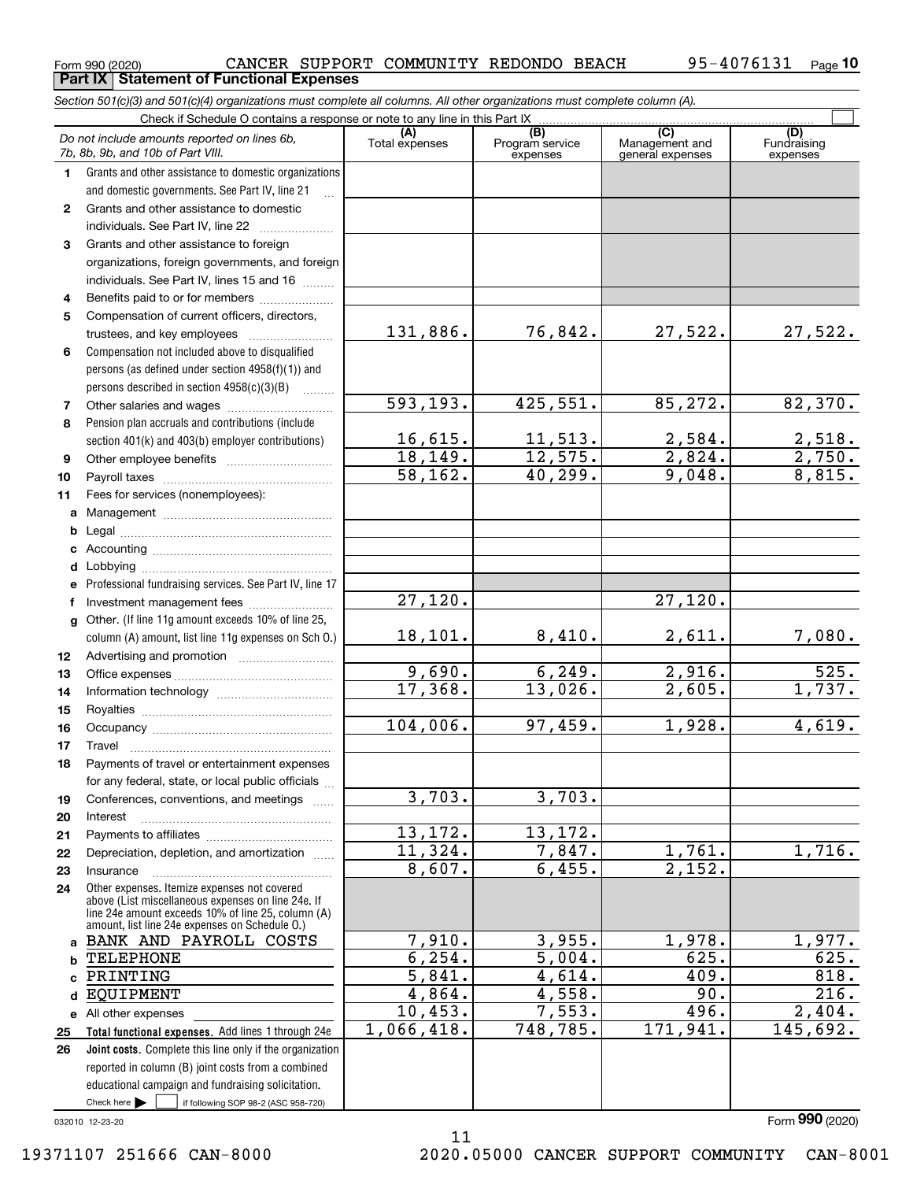**Part IX Statement of Functional Expenses**

|                  | Section 501(c)(3) and 501(c)(4) organizations must complete all columns. All other organizations must complete column (A).                                                                                 |                       |                                    |                                                      |                                |
|------------------|------------------------------------------------------------------------------------------------------------------------------------------------------------------------------------------------------------|-----------------------|------------------------------------|------------------------------------------------------|--------------------------------|
|                  | Check if Schedule O contains a response or note to any line in this Part IX                                                                                                                                |                       |                                    |                                                      |                                |
|                  | Do not include amounts reported on lines 6b,<br>7b, 8b, 9b, and 10b of Part VIII.                                                                                                                          | (A)<br>Total expenses | (B)<br>Program service<br>expenses | $\overline{C}$<br>Management and<br>general expenses | (D)<br>Fundraising<br>expenses |
| 1.               | Grants and other assistance to domestic organizations                                                                                                                                                      |                       |                                    |                                                      |                                |
|                  | and domestic governments. See Part IV, line 21                                                                                                                                                             |                       |                                    |                                                      |                                |
| $\mathbf{2}$     | Grants and other assistance to domestic                                                                                                                                                                    |                       |                                    |                                                      |                                |
|                  | individuals. See Part IV, line 22<br>.                                                                                                                                                                     |                       |                                    |                                                      |                                |
| 3                | Grants and other assistance to foreign                                                                                                                                                                     |                       |                                    |                                                      |                                |
|                  | organizations, foreign governments, and foreign                                                                                                                                                            |                       |                                    |                                                      |                                |
|                  | individuals. See Part IV, lines 15 and 16                                                                                                                                                                  |                       |                                    |                                                      |                                |
| 4                | Benefits paid to or for members                                                                                                                                                                            |                       |                                    |                                                      |                                |
| 5                | Compensation of current officers, directors,                                                                                                                                                               |                       |                                    |                                                      |                                |
|                  |                                                                                                                                                                                                            | 131,886.              | 76,842.                            | 27,522.                                              | 27,522.                        |
| 6                | Compensation not included above to disqualified                                                                                                                                                            |                       |                                    |                                                      |                                |
|                  | persons (as defined under section 4958(f)(1)) and                                                                                                                                                          |                       |                                    |                                                      |                                |
|                  | persons described in section 4958(c)(3)(B)                                                                                                                                                                 |                       |                                    |                                                      |                                |
| 7                |                                                                                                                                                                                                            | 593, 193.             | 425,551.                           | 85,272.                                              | 82,370.                        |
| 8                | Pension plan accruals and contributions (include                                                                                                                                                           |                       |                                    |                                                      |                                |
|                  | section 401(k) and 403(b) employer contributions)                                                                                                                                                          | 16,615.               | 11,513.                            | 2,584.                                               | $\frac{2,518}{2,750}$          |
| 9                |                                                                                                                                                                                                            | 18, 149.              | 12,575.                            | $\overline{2,824}$ .                                 |                                |
| 10               |                                                                                                                                                                                                            | 58, 162.              | 40,299.                            | 9,048.                                               | 8,815.                         |
| 11               | Fees for services (nonemployees):                                                                                                                                                                          |                       |                                    |                                                      |                                |
| а                |                                                                                                                                                                                                            |                       |                                    |                                                      |                                |
| b                |                                                                                                                                                                                                            |                       |                                    |                                                      |                                |
| c                |                                                                                                                                                                                                            |                       |                                    |                                                      |                                |
| d                |                                                                                                                                                                                                            |                       |                                    |                                                      |                                |
| е                | Professional fundraising services. See Part IV, line 17                                                                                                                                                    |                       |                                    |                                                      |                                |
| f                | Investment management fees                                                                                                                                                                                 | 27,120.               |                                    | 27,120.                                              |                                |
| g                | Other. (If line 11g amount exceeds 10% of line 25,                                                                                                                                                         |                       |                                    |                                                      |                                |
|                  | column (A) amount, list line 11g expenses on Sch 0.)                                                                                                                                                       | 18,101.               | 8,410.                             | 2,611.                                               | 7,080.                         |
| 12 <sup>12</sup> |                                                                                                                                                                                                            |                       |                                    |                                                      |                                |
| 13               |                                                                                                                                                                                                            | 9,690.                | 6, 249.                            | 2,916.                                               | $\overline{525}$ .             |
| 14               |                                                                                                                                                                                                            | 17,368.               | 13,026.                            | $\overline{2,605}$ .                                 | 1,737.                         |
| 15               |                                                                                                                                                                                                            |                       |                                    |                                                      |                                |
| 16               |                                                                                                                                                                                                            | 104,006.              | 97,459.                            | 1,928.                                               | 4,619.                         |
| 17               |                                                                                                                                                                                                            |                       |                                    |                                                      |                                |
| 18               | Payments of travel or entertainment expenses                                                                                                                                                               |                       |                                    |                                                      |                                |
|                  | for any federal, state, or local public officials                                                                                                                                                          |                       |                                    |                                                      |                                |
| 19               | Conferences, conventions, and meetings                                                                                                                                                                     | 3,703.                | 3,703.                             |                                                      |                                |
| 20               | Interest                                                                                                                                                                                                   |                       |                                    |                                                      |                                |
| 21               |                                                                                                                                                                                                            | 13,172.               | 13,172.                            |                                                      |                                |
| 22               | Depreciation, depletion, and amortization                                                                                                                                                                  | $\overline{11,324}$ . | 7,847.                             | 1,761.                                               | 1,716.                         |
| 23               | Insurance                                                                                                                                                                                                  | 8,607.                | 6,455.                             | 2,152.                                               |                                |
| 24               | Other expenses. Itemize expenses not covered<br>above (List miscellaneous expenses on line 24e. If<br>line 24e amount exceeds 10% of line 25, column (A)<br>amount, list line 24e expenses on Schedule O.) |                       |                                    |                                                      |                                |
|                  | a BANK AND PAYROLL COSTS                                                                                                                                                                                   | 7,910.                | 3,955.                             | 1,978.                                               | 1,977.                         |
| b                | <b>TELEPHONE</b>                                                                                                                                                                                           | 6, 254.               | 5,004.                             | 625.                                                 | 625.                           |
| c                | PRINTING                                                                                                                                                                                                   | 5,841.                | 4,614.                             | 409.                                                 | 818.                           |
| d                | EQUIPMENT                                                                                                                                                                                                  | 4,864.                | 4,558.                             | 90.                                                  | 216.                           |
|                  | e All other expenses                                                                                                                                                                                       | 10,453.               | 7,553.                             | 496.                                                 | 2,404.                         |
| 25               | Total functional expenses. Add lines 1 through 24e                                                                                                                                                         | 1,066,418.            | 748,785.                           | 171,941.                                             | 145,692.                       |
| 26               | <b>Joint costs.</b> Complete this line only if the organization                                                                                                                                            |                       |                                    |                                                      |                                |
|                  | reported in column (B) joint costs from a combined                                                                                                                                                         |                       |                                    |                                                      |                                |
|                  | educational campaign and fundraising solicitation.                                                                                                                                                         |                       |                                    |                                                      |                                |
|                  | Check here $\blacktriangleright$<br>if following SOP 98-2 (ASC 958-720)                                                                                                                                    |                       |                                    |                                                      |                                |

11

032010 12-23-20

Form (2020) **990**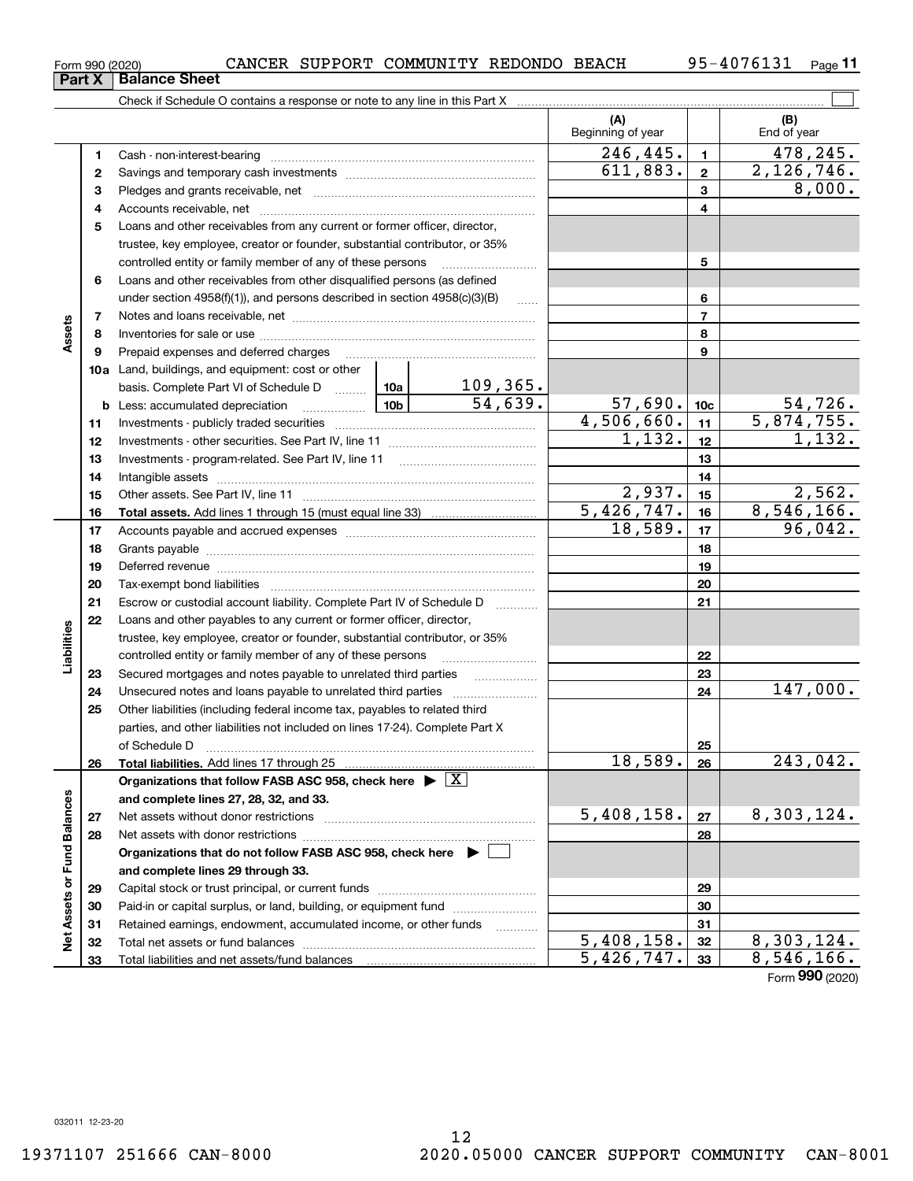Total liabilities and net assets/fund balances

**Net Assets or Fund Balances**

ğ

Assets or Fund Balances

**33**

Form (2020) **990**

**678910a**Land, buildings, and equipment: cost or other **1112131415161718192021222324252627285678911121314151617181920212223242526b** Less: accumulated depreciation  $\ldots$  **10b** basis. Complete Part VI of Schedule D will aller **Total assets.**  Add lines 1 through 15 (must equal line 33) **Total liabilities.**  Add lines 17 through 25 **Organizations that follow FASB ASC 958, check here** | X **and complete lines 27, 28, 32, and 33. 2728Organizations that do not follow FASB ASC 958, check here** | **and complete lines 29 through 33.** trustee, key employee, creator or founder, substantial contributor, or 35% controlled entity or family member of any of these persons ............................ Loans and other receivables from other disqualified persons (as defined under section  $4958(f)(1)$ , and persons described in section  $4958(c)(3)(B)$ Notes and loans receivable, net ~~~~~~~~~~~~~~~~~~~~~~~Inventories for sale or use ~~~~~~~~~~~~~~~~~~~~~~~~~~ Prepaid expenses and deferred charges ~~~~~~~~~~~~~~~~~~ Investments - publicly traded securities ~~~~~~~~~~~~~~~~~~~ Investments - other securities. See Part IV, line 11 ~~~~~~~~~~~~~~ Investments - program-related. See Part IV, line 11 ~~~~~~~~~~~~~Intangible assets ~~~~~~~~~~~~~~~~~~~~~~~~~~~~~~ Other assets. See Part IV, line 11 ~~~~~~~~~~~~~~~~~~~~~~ Accounts payable and accrued expenses ~~~~~~~~~~~~~~~~~~ Grants payable ~~~~~~~~~~~~~~~~~~~~~~~~~~~~~~~ Deferred revenue ~~~~~~~~~~~~~~~~~~~~~~~~~~~~~~ Tax-exempt bond liabilities …………………………………………………………… Escrow or custodial account liability. Complete Part IV of Schedule D Loans and other payables to any current or former officer, director, trustee, key employee, creator or founder, substantial contributor, or 35% controlled entity or family member of any of these persons ~~~~~~~~~Secured mortgages and notes payable to unrelated third parties Unsecured notes and loans payable to unrelated third parties ~~~~~~~~ Other liabilities (including federal income tax, payables to related third parties, and other liabilities not included on lines 17-24). Complete Part X of Schedule D ~~~~~~~~~~~~~~~~~~~~~~~~~~~~~~~ Net assets without donor restrictions ~~~~~~~~~~~~~~~~~~~~ Net assets with donor restrictions ~~~~~~~~~~~~~~~~~~~~~~ 109,365.

Form 990 (2020) CANCER SUPPORT COMMUNITY REDONDO BEACH 95-4076131 <sub>Page</sub> **Part X** Balance Sheet

**3** Pledges and grants receivable, net  $\ldots$  **multimes contained and grants receivable**, net **multimes contained and grants receivable**, net **multimes contained and grants receivable** 

Cash - non-interest-bearing ~~~~~~~~~~~~~~~~~~~~~~~~~ Savings and temporary cash investments ~~~~~~~~~~~~~~~~~~

Accounts receivable, net ~~~~~~~~~~~~~~~~~~~~~~~~~~

Check if Schedule O contains a response or note to any line in this Part X

**5**Loans and other receivables from any current or former officer, director,

95-4076131 <sub>Page</sub> 11

 $\mathcal{L}^{\text{max}}$ 

8,000.

**(B)**

 $246, 445. \mid 1 \mid 478, 245.$ 

 $611,883.$  2,126,746.

Beginning of year  $\begin{vmatrix} 1 & 1 \\ 1 & 1 \end{vmatrix}$  End of year

**(A)**

**10c**54,639. 57,690. 54,726. **29303132**Capital stock or trust principal, or current funds ~~~~~~~~~~~~~~~Paid-in or capital surplus, or land, building, or equipment fund www.commun.com Retained earnings, endowment, accumulated income, or other funds Total net assets or fund balances ~~~~~~~~~~~~~~~~~~~~~~  $4,506,660.$  11 5,874,755.  $2,937.$   $15$   $2,562.$  $\overline{5,426,747.}$  16 8,546,166.  $18,589$ .  $17$  96,042.  $18,589. |26| 243,042.$  $5,408,158.$   $\sqrt{27}$  8,303,124.  $5,408,158.$   $32 \mid 8,303,124.$  $5,426,747.$  33 8,546,166.  $1,132.$   $12$   $1,132.$ 147,000.

**12**

**4**

**Assets**

**Liabilities**

iabilities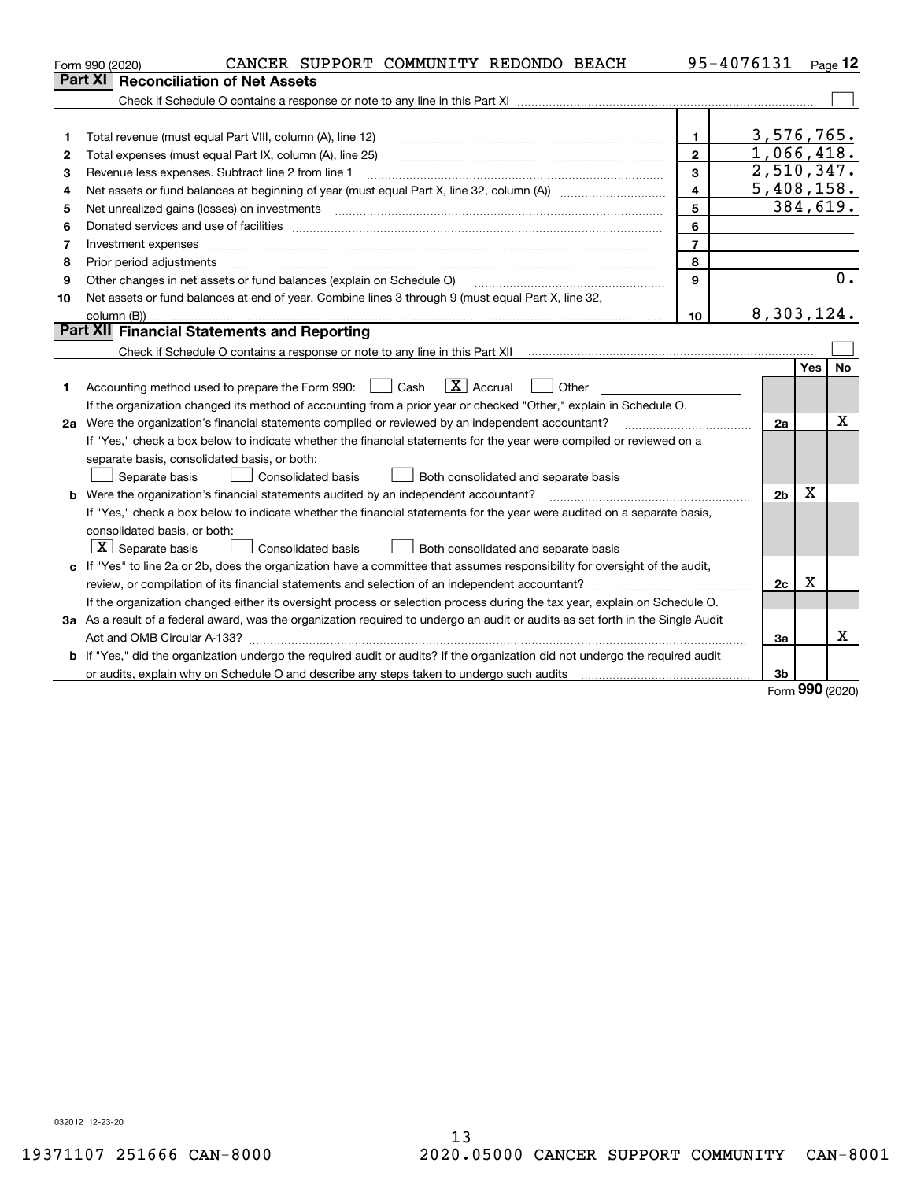|    | CANCER SUPPORT COMMUNITY REDONDO BEACH<br>Form 990 (2020)                                                                                                                                                                      |                         | 95-4076131     |     | Page 12 |
|----|--------------------------------------------------------------------------------------------------------------------------------------------------------------------------------------------------------------------------------|-------------------------|----------------|-----|---------|
|    | <b>Reconciliation of Net Assets</b><br>Part XI                                                                                                                                                                                 |                         |                |     |         |
|    |                                                                                                                                                                                                                                |                         |                |     |         |
|    |                                                                                                                                                                                                                                |                         |                |     |         |
| 1  | Total revenue (must equal Part VIII, column (A), line 12)                                                                                                                                                                      | $\mathbf{1}$            | 3,576,765.     |     |         |
| 2  | Total expenses (must equal Part IX, column (A), line 25)                                                                                                                                                                       | $\mathbf{2}$            | 1,066,418.     |     |         |
| 3  | Revenue less expenses. Subtract line 2 from line 1                                                                                                                                                                             | 3                       | 2,510,347.     |     |         |
| 4  |                                                                                                                                                                                                                                | $\overline{\mathbf{4}}$ | 5,408,158.     |     |         |
| 5  | Net unrealized gains (losses) on investments [11] matter contracts and the state of the state of the state of the state of the state of the state of the state of the state of the state of the state of the state of the stat | 5                       | 384,619.       |     |         |
| 6  | Donated services and use of facilities [111] Donated and the service of facilities [11] Donated services and use of facilities [11] Donated and the service of the service of the service of the service of the service of the | 6                       |                |     |         |
| 7  | Investment expenses www.communication.com/www.communication.com/www.communication.com/www.communication.com                                                                                                                    | $\overline{7}$          |                |     |         |
| 8  | Prior period adjustments                                                                                                                                                                                                       | 8                       |                |     |         |
| 9  | Other changes in net assets or fund balances (explain on Schedule O)                                                                                                                                                           | 9                       |                |     | 0.      |
| 10 | Net assets or fund balances at end of year. Combine lines 3 through 9 (must equal Part X, line 32,                                                                                                                             |                         |                |     |         |
|    |                                                                                                                                                                                                                                | 10                      | 8,303,124.     |     |         |
|    | Part XII Financial Statements and Reporting                                                                                                                                                                                    |                         |                |     |         |
|    |                                                                                                                                                                                                                                |                         |                |     |         |
|    |                                                                                                                                                                                                                                |                         |                | Yes | No      |
| 1  | $\boxed{\mathbf{X}}$ Accrual<br>Accounting method used to prepare the Form 990: <u>June</u> Cash<br>Other                                                                                                                      |                         |                |     |         |
|    | If the organization changed its method of accounting from a prior year or checked "Other," explain in Schedule O.                                                                                                              |                         |                |     |         |
|    | 2a Were the organization's financial statements compiled or reviewed by an independent accountant?                                                                                                                             |                         | 2a             |     | x       |
|    | If "Yes," check a box below to indicate whether the financial statements for the year were compiled or reviewed on a                                                                                                           |                         |                |     |         |
|    | separate basis, consolidated basis, or both:                                                                                                                                                                                   |                         |                |     |         |
|    | Separate basis<br><b>Consolidated basis</b><br>Both consolidated and separate basis                                                                                                                                            |                         |                |     |         |
|    | <b>b</b> Were the organization's financial statements audited by an independent accountant?                                                                                                                                    |                         | 2 <sub>b</sub> | Х   |         |
|    | If "Yes," check a box below to indicate whether the financial statements for the year were audited on a separate basis,                                                                                                        |                         |                |     |         |
|    | consolidated basis, or both:                                                                                                                                                                                                   |                         |                |     |         |
|    | $\vert X \vert$ Separate basis<br>Consolidated basis<br>Both consolidated and separate basis                                                                                                                                   |                         |                |     |         |
|    | c If "Yes" to line 2a or 2b, does the organization have a committee that assumes responsibility for oversight of the audit,                                                                                                    |                         |                |     |         |
|    |                                                                                                                                                                                                                                |                         | 2c             | х   |         |
|    | If the organization changed either its oversight process or selection process during the tax year, explain on Schedule O.                                                                                                      |                         |                |     |         |
|    | 3a As a result of a federal award, was the organization required to undergo an audit or audits as set forth in the Single Audit                                                                                                |                         |                |     |         |
|    |                                                                                                                                                                                                                                |                         | 3a             |     | Χ       |
|    | b If "Yes," did the organization undergo the required audit or audits? If the organization did not undergo the required audit                                                                                                  |                         |                |     |         |
|    | or audits, explain why on Schedule O and describe any steps taken to undergo such audits [11] contains the school of audits [11] or audits [11] or audits [11] or audits [11] or audits [11] or audits [11] or audits [11] or  |                         | 3b             |     |         |

Form (2020) **990**

032012 12-23-20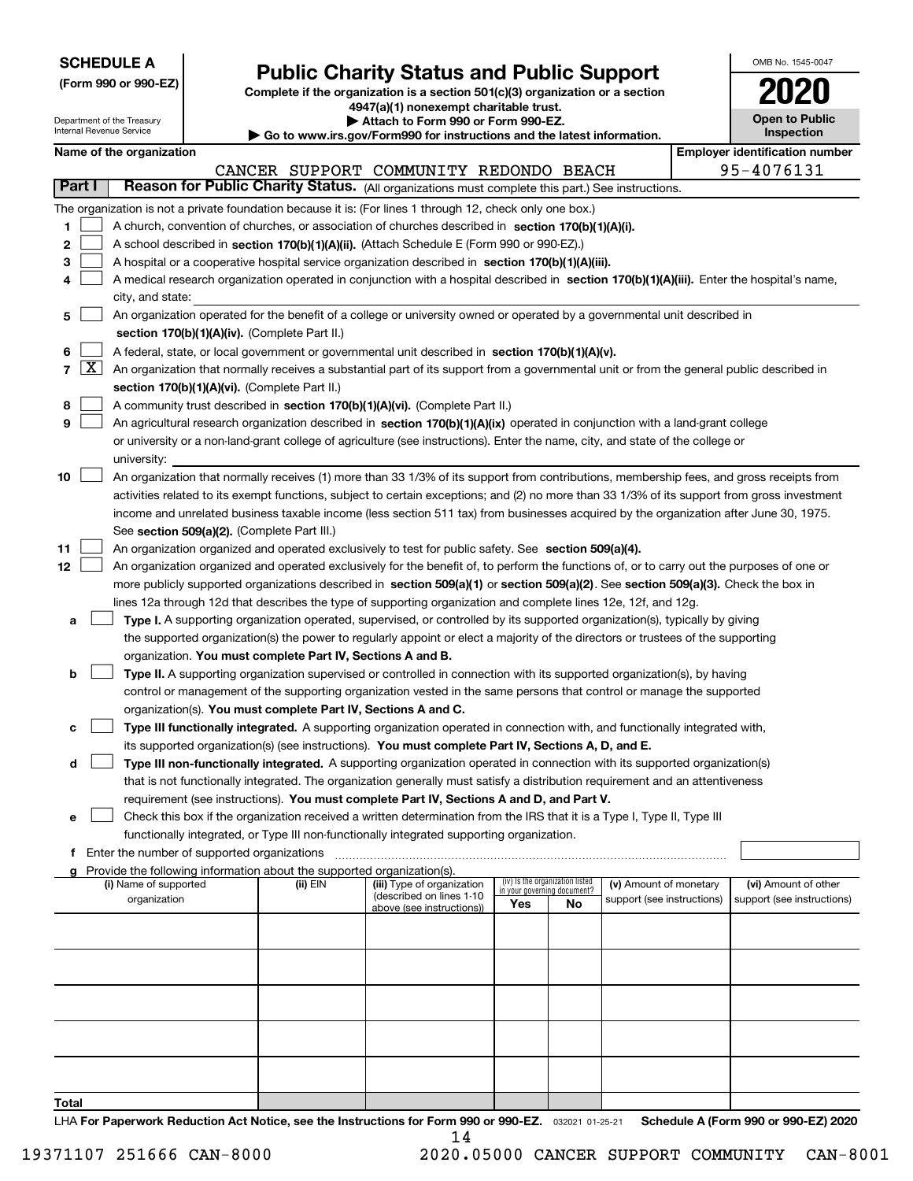| <b>SCHEDULE A</b> |
|-------------------|
|-------------------|

**(Form 990 or 990-EZ)**

# **Public Charity Status and Public Support**

**Complete if the organization is a section 501(c)(3) organization or a section 4947(a)(1) nonexempt charitable trust. | Attach to Form 990 or Form 990-EZ.** 

| OMB No. 1545-0047     |
|-----------------------|
| 2020                  |
| <b>Open to Public</b> |

 $\overline{\phantom{a}}$ 

|        | Department of the Treasury<br>Internal Revenue Service |                                               |                                                                                    | Attach to Form 990 or Form 990-EZ.                                                                                                           |     |                                 |                            | <b>Open to Public</b><br>Inspection   |
|--------|--------------------------------------------------------|-----------------------------------------------|------------------------------------------------------------------------------------|----------------------------------------------------------------------------------------------------------------------------------------------|-----|---------------------------------|----------------------------|---------------------------------------|
|        | Name of the organization                               |                                               |                                                                                    | $\blacktriangleright$ Go to www.irs.gov/Form990 for instructions and the latest information.                                                 |     |                                 |                            | <b>Employer identification number</b> |
|        |                                                        |                                               |                                                                                    | CANCER SUPPORT COMMUNITY REDONDO BEACH                                                                                                       |     |                                 |                            | 95-4076131                            |
| Part I |                                                        |                                               |                                                                                    | Reason for Public Charity Status. (All organizations must complete this part.) See instructions.                                             |     |                                 |                            |                                       |
|        |                                                        |                                               |                                                                                    |                                                                                                                                              |     |                                 |                            |                                       |
|        |                                                        |                                               |                                                                                    | The organization is not a private foundation because it is: (For lines 1 through 12, check only one box.)                                    |     |                                 |                            |                                       |
| 1      |                                                        |                                               |                                                                                    | A church, convention of churches, or association of churches described in section 170(b)(1)(A)(i).                                           |     |                                 |                            |                                       |
| 2      |                                                        |                                               |                                                                                    | A school described in section 170(b)(1)(A)(ii). (Attach Schedule E (Form 990 or 990-EZ).)                                                    |     |                                 |                            |                                       |
| з      |                                                        |                                               |                                                                                    | A hospital or a cooperative hospital service organization described in section 170(b)(1)(A)(iii).                                            |     |                                 |                            |                                       |
| 4      |                                                        |                                               |                                                                                    | A medical research organization operated in conjunction with a hospital described in section 170(b)(1)(A)(iii). Enter the hospital's name,   |     |                                 |                            |                                       |
|        | city, and state:                                       |                                               |                                                                                    | An organization operated for the benefit of a college or university owned or operated by a governmental unit described in                    |     |                                 |                            |                                       |
| 5      |                                                        |                                               | section 170(b)(1)(A)(iv). (Complete Part II.)                                      |                                                                                                                                              |     |                                 |                            |                                       |
| 6      |                                                        |                                               |                                                                                    | A federal, state, or local government or governmental unit described in section 170(b)(1)(A)(v).                                             |     |                                 |                            |                                       |
| 7   X  |                                                        |                                               |                                                                                    | An organization that normally receives a substantial part of its support from a governmental unit or from the general public described in    |     |                                 |                            |                                       |
|        |                                                        |                                               | section 170(b)(1)(A)(vi). (Complete Part II.)                                      |                                                                                                                                              |     |                                 |                            |                                       |
| 8      |                                                        |                                               |                                                                                    | A community trust described in section 170(b)(1)(A)(vi). (Complete Part II.)                                                                 |     |                                 |                            |                                       |
| 9      |                                                        |                                               |                                                                                    | An agricultural research organization described in section 170(b)(1)(A)(ix) operated in conjunction with a land-grant college                |     |                                 |                            |                                       |
|        |                                                        |                                               |                                                                                    | or university or a non-land-grant college of agriculture (see instructions). Enter the name, city, and state of the college or               |     |                                 |                            |                                       |
|        | university:                                            |                                               |                                                                                    |                                                                                                                                              |     |                                 |                            |                                       |
| 10     |                                                        |                                               |                                                                                    | An organization that normally receives (1) more than 33 1/3% of its support from contributions, membership fees, and gross receipts from     |     |                                 |                            |                                       |
|        |                                                        |                                               |                                                                                    | activities related to its exempt functions, subject to certain exceptions; and (2) no more than 33 1/3% of its support from gross investment |     |                                 |                            |                                       |
|        |                                                        |                                               |                                                                                    | income and unrelated business taxable income (less section 511 tax) from businesses acquired by the organization after June 30, 1975.        |     |                                 |                            |                                       |
|        |                                                        |                                               | See section 509(a)(2). (Complete Part III.)                                        |                                                                                                                                              |     |                                 |                            |                                       |
| 11     |                                                        |                                               |                                                                                    | An organization organized and operated exclusively to test for public safety. See section 509(a)(4).                                         |     |                                 |                            |                                       |
| 12     |                                                        |                                               |                                                                                    | An organization organized and operated exclusively for the benefit of, to perform the functions of, or to carry out the purposes of one or   |     |                                 |                            |                                       |
|        |                                                        |                                               |                                                                                    | more publicly supported organizations described in section 509(a)(1) or section 509(a)(2). See section 509(a)(3). Check the box in           |     |                                 |                            |                                       |
|        |                                                        |                                               |                                                                                    | lines 12a through 12d that describes the type of supporting organization and complete lines 12e, 12f, and 12g.                               |     |                                 |                            |                                       |
| а      |                                                        |                                               |                                                                                    | Type I. A supporting organization operated, supervised, or controlled by its supported organization(s), typically by giving                  |     |                                 |                            |                                       |
|        |                                                        |                                               |                                                                                    | the supported organization(s) the power to regularly appoint or elect a majority of the directors or trustees of the supporting              |     |                                 |                            |                                       |
|        |                                                        |                                               | organization. You must complete Part IV, Sections A and B.                         |                                                                                                                                              |     |                                 |                            |                                       |
| b      |                                                        |                                               |                                                                                    | Type II. A supporting organization supervised or controlled in connection with its supported organization(s), by having                      |     |                                 |                            |                                       |
|        |                                                        |                                               |                                                                                    | control or management of the supporting organization vested in the same persons that control or manage the supported                         |     |                                 |                            |                                       |
|        |                                                        |                                               | organization(s). You must complete Part IV, Sections A and C.                      |                                                                                                                                              |     |                                 |                            |                                       |
| с      |                                                        |                                               |                                                                                    | Type III functionally integrated. A supporting organization operated in connection with, and functionally integrated with,                   |     |                                 |                            |                                       |
|        |                                                        |                                               |                                                                                    | its supported organization(s) (see instructions). You must complete Part IV, Sections A, D, and E.                                           |     |                                 |                            |                                       |
| d      |                                                        |                                               |                                                                                    | Type III non-functionally integrated. A supporting organization operated in connection with its supported organization(s)                    |     |                                 |                            |                                       |
|        |                                                        |                                               |                                                                                    | that is not functionally integrated. The organization generally must satisfy a distribution requirement and an attentiveness                 |     |                                 |                            |                                       |
|        |                                                        |                                               |                                                                                    | requirement (see instructions). You must complete Part IV, Sections A and D, and Part V.                                                     |     |                                 |                            |                                       |
| е      |                                                        |                                               |                                                                                    | Check this box if the organization received a written determination from the IRS that it is a Type I, Type II, Type III                      |     |                                 |                            |                                       |
|        |                                                        |                                               |                                                                                    | functionally integrated, or Type III non-functionally integrated supporting organization.                                                    |     |                                 |                            |                                       |
|        |                                                        | f Enter the number of supported organizations |                                                                                    |                                                                                                                                              |     |                                 |                            |                                       |
| a      | (i) Name of supported                                  |                                               | Provide the following information about the supported organization(s).<br>(ii) EIN | (iii) Type of organization                                                                                                                   |     | (iv) Is the organization listed | (v) Amount of monetary     | (vi) Amount of other                  |
|        | organization                                           |                                               |                                                                                    | (described on lines 1-10                                                                                                                     |     | in your governing document?     | support (see instructions) | support (see instructions)            |
|        |                                                        |                                               |                                                                                    | above (see instructions))                                                                                                                    | Yes | No                              |                            |                                       |
|        |                                                        |                                               |                                                                                    |                                                                                                                                              |     |                                 |                            |                                       |
|        |                                                        |                                               |                                                                                    |                                                                                                                                              |     |                                 |                            |                                       |
|        |                                                        |                                               |                                                                                    |                                                                                                                                              |     |                                 |                            |                                       |
|        |                                                        |                                               |                                                                                    |                                                                                                                                              |     |                                 |                            |                                       |
|        |                                                        |                                               |                                                                                    |                                                                                                                                              |     |                                 |                            |                                       |
|        |                                                        |                                               |                                                                                    |                                                                                                                                              |     |                                 |                            |                                       |
|        |                                                        |                                               |                                                                                    |                                                                                                                                              |     |                                 |                            |                                       |
|        |                                                        |                                               |                                                                                    |                                                                                                                                              |     |                                 |                            |                                       |
|        |                                                        |                                               |                                                                                    |                                                                                                                                              |     |                                 |                            |                                       |
| Total  |                                                        |                                               |                                                                                    |                                                                                                                                              |     |                                 |                            |                                       |

LHA For Paperwork Reduction Act Notice, see the Instructions for Form 990 or 990-EZ. <sub>032021</sub> o1-25-21 Schedule A (Form 990 or 990-EZ) 2020 14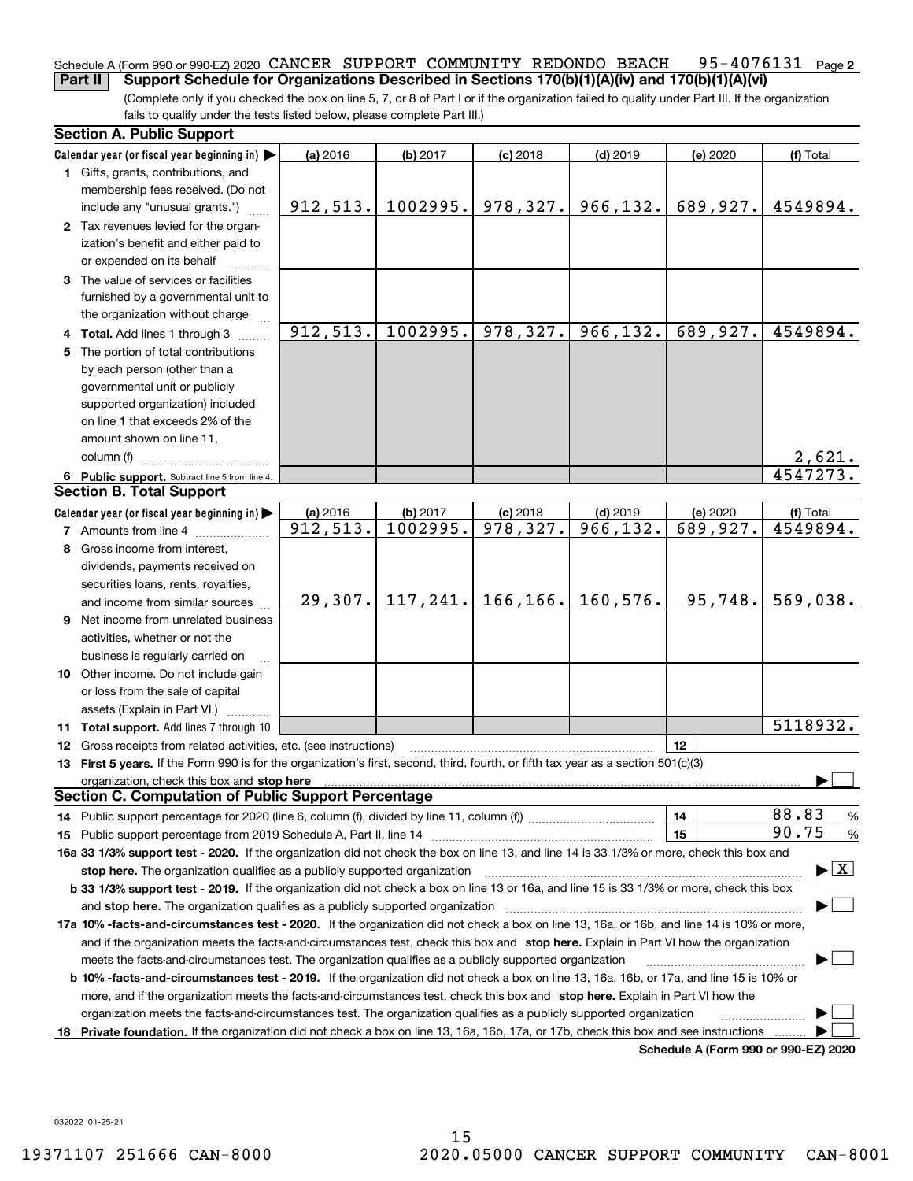#### 95-4076131 Page 2 Schedule A (Form 990 or 990-EZ) 2020  $\,$  CANCER  $\,$  SUPPORT  $\,$  COMMUNITY  $\,$  REDONDO  $\,$  BEACH  $\,$   $\,$  95 –  $4\,0\,7\,6\,1\,3\,1$   $\,$   $\,$  Page **Part II Support Schedule for Organizations Described in Sections 170(b)(1)(A)(iv) and 170(b)(1)(A)(vi)**

(Complete only if you checked the box on line 5, 7, or 8 of Part I or if the organization failed to qualify under Part III. If the organization fails to qualify under the tests listed below, please complete Part III.)

| <b>Section A. Public Support</b>                                                                                                                                                                                                    |           |          |                         |            |                                      |                                          |
|-------------------------------------------------------------------------------------------------------------------------------------------------------------------------------------------------------------------------------------|-----------|----------|-------------------------|------------|--------------------------------------|------------------------------------------|
| Calendar year (or fiscal year beginning in) $\blacktriangleright$                                                                                                                                                                   | (a) 2016  | (b) 2017 | $(c)$ 2018              | $(d)$ 2019 | (e) 2020                             | (f) Total                                |
| <b>1</b> Gifts, grants, contributions, and<br>membership fees received. (Do not                                                                                                                                                     |           |          |                         |            |                                      |                                          |
| include any "unusual grants.")                                                                                                                                                                                                      | 912, 513. | 1002995. | 978, 327.               | 966, 132.  | 689,927.                             | 4549894.                                 |
| 2 Tax revenues levied for the organ-<br>ization's benefit and either paid to<br>or expended on its behalf                                                                                                                           |           |          |                         |            |                                      |                                          |
| 3 The value of services or facilities<br>furnished by a governmental unit to<br>the organization without charge                                                                                                                     |           |          |                         |            |                                      |                                          |
| 4 Total. Add lines 1 through 3                                                                                                                                                                                                      | 912,513.  | 1002995. | 978,327.                | 966, 132.  | 689,927.                             | 4549894.                                 |
| 5 The portion of total contributions                                                                                                                                                                                                |           |          |                         |            |                                      |                                          |
| by each person (other than a                                                                                                                                                                                                        |           |          |                         |            |                                      |                                          |
| governmental unit or publicly                                                                                                                                                                                                       |           |          |                         |            |                                      |                                          |
| supported organization) included                                                                                                                                                                                                    |           |          |                         |            |                                      |                                          |
| on line 1 that exceeds 2% of the                                                                                                                                                                                                    |           |          |                         |            |                                      |                                          |
| amount shown on line 11,                                                                                                                                                                                                            |           |          |                         |            |                                      |                                          |
| column (f)                                                                                                                                                                                                                          |           |          |                         |            |                                      | <u>2,621.</u>                            |
| 6 Public support. Subtract line 5 from line 4.                                                                                                                                                                                      |           |          |                         |            |                                      | 4547273.                                 |
| <b>Section B. Total Support</b>                                                                                                                                                                                                     |           |          |                         |            |                                      |                                          |
| Calendar year (or fiscal year beginning in)                                                                                                                                                                                         | (a) 2016  | (b) 2017 | $(c)$ 2018              | $(d)$ 2019 | (e) 2020                             | (f) Total                                |
| <b>7</b> Amounts from line 4                                                                                                                                                                                                        | 912,513.  | 1002995. | $\overline{978, 327}$ . | 966, 132.  | 689,927.                             | 4549894.                                 |
| 8 Gross income from interest,                                                                                                                                                                                                       |           |          |                         |            |                                      |                                          |
| dividends, payments received on                                                                                                                                                                                                     |           |          |                         |            |                                      |                                          |
| securities loans, rents, royalties,                                                                                                                                                                                                 |           |          |                         |            |                                      |                                          |
| and income from similar sources                                                                                                                                                                                                     | 29,307.   |          | $117, 241.$ 166, 166.   | 160,576.   | 95,748.                              | 569,038.                                 |
| 9 Net income from unrelated business                                                                                                                                                                                                |           |          |                         |            |                                      |                                          |
| activities, whether or not the                                                                                                                                                                                                      |           |          |                         |            |                                      |                                          |
| business is regularly carried on                                                                                                                                                                                                    |           |          |                         |            |                                      |                                          |
| <b>10</b> Other income. Do not include gain                                                                                                                                                                                         |           |          |                         |            |                                      |                                          |
| or loss from the sale of capital                                                                                                                                                                                                    |           |          |                         |            |                                      |                                          |
| assets (Explain in Part VI.)                                                                                                                                                                                                        |           |          |                         |            |                                      |                                          |
| 11 Total support. Add lines 7 through 10                                                                                                                                                                                            |           |          |                         |            |                                      | $\overline{51}18932.$                    |
| <b>12</b> Gross receipts from related activities, etc. (see instructions)                                                                                                                                                           |           |          |                         |            | 12                                   |                                          |
| 13 First 5 years. If the Form 990 is for the organization's first, second, third, fourth, or fifth tax year as a section 501(c)(3)                                                                                                  |           |          |                         |            |                                      |                                          |
| organization, check this box and <b>stop here</b> manual content content content to the content of the content of the content of the content of the content of the content of the content of the content of the content of the cont |           |          |                         |            |                                      |                                          |
| <b>Section C. Computation of Public Support Percentage</b>                                                                                                                                                                          |           |          |                         |            |                                      |                                          |
| 14 Public support percentage for 2020 (line 6, column (f), divided by line 11, column (f) <i>mummumumum</i>                                                                                                                         |           |          |                         |            | 14                                   | 88.83<br>%                               |
|                                                                                                                                                                                                                                     |           |          |                         |            | 15                                   | 90.75<br>%                               |
| 16a 33 1/3% support test - 2020. If the organization did not check the box on line 13, and line 14 is 33 1/3% or more, check this box and                                                                                           |           |          |                         |            |                                      |                                          |
| stop here. The organization qualifies as a publicly supported organization                                                                                                                                                          |           |          |                         |            |                                      | $\blacktriangleright$ $\boxed{\text{X}}$ |
| b 33 1/3% support test - 2019. If the organization did not check a box on line 13 or 16a, and line 15 is 33 1/3% or more, check this box                                                                                            |           |          |                         |            |                                      |                                          |
| and stop here. The organization qualifies as a publicly supported organization                                                                                                                                                      |           |          |                         |            |                                      |                                          |
| 17a 10% -facts-and-circumstances test - 2020. If the organization did not check a box on line 13, 16a, or 16b, and line 14 is 10% or more,                                                                                          |           |          |                         |            |                                      |                                          |
| and if the organization meets the facts and circumstances test, check this box and stop here. Explain in Part VI how the organization                                                                                               |           |          |                         |            |                                      |                                          |
| meets the facts-and-circumstances test. The organization qualifies as a publicly supported organization                                                                                                                             |           |          |                         |            |                                      |                                          |
| <b>b 10% -facts-and-circumstances test - 2019.</b> If the organization did not check a box on line 13, 16a, 16b, or 17a, and line 15 is 10% or                                                                                      |           |          |                         |            |                                      |                                          |
| more, and if the organization meets the facts-and-circumstances test, check this box and stop here. Explain in Part VI how the                                                                                                      |           |          |                         |            |                                      |                                          |
| organization meets the facts-and-circumstances test. The organization qualifies as a publicly supported organization                                                                                                                |           |          |                         |            |                                      |                                          |
| 18 Private foundation. If the organization did not check a box on line 13, 16a, 16b, 17a, or 17b, check this box and see instructions                                                                                               |           |          |                         |            |                                      |                                          |
|                                                                                                                                                                                                                                     |           |          |                         |            | Schedule A (Form 990 or 990-EZ) 2020 |                                          |

032022 01-25-21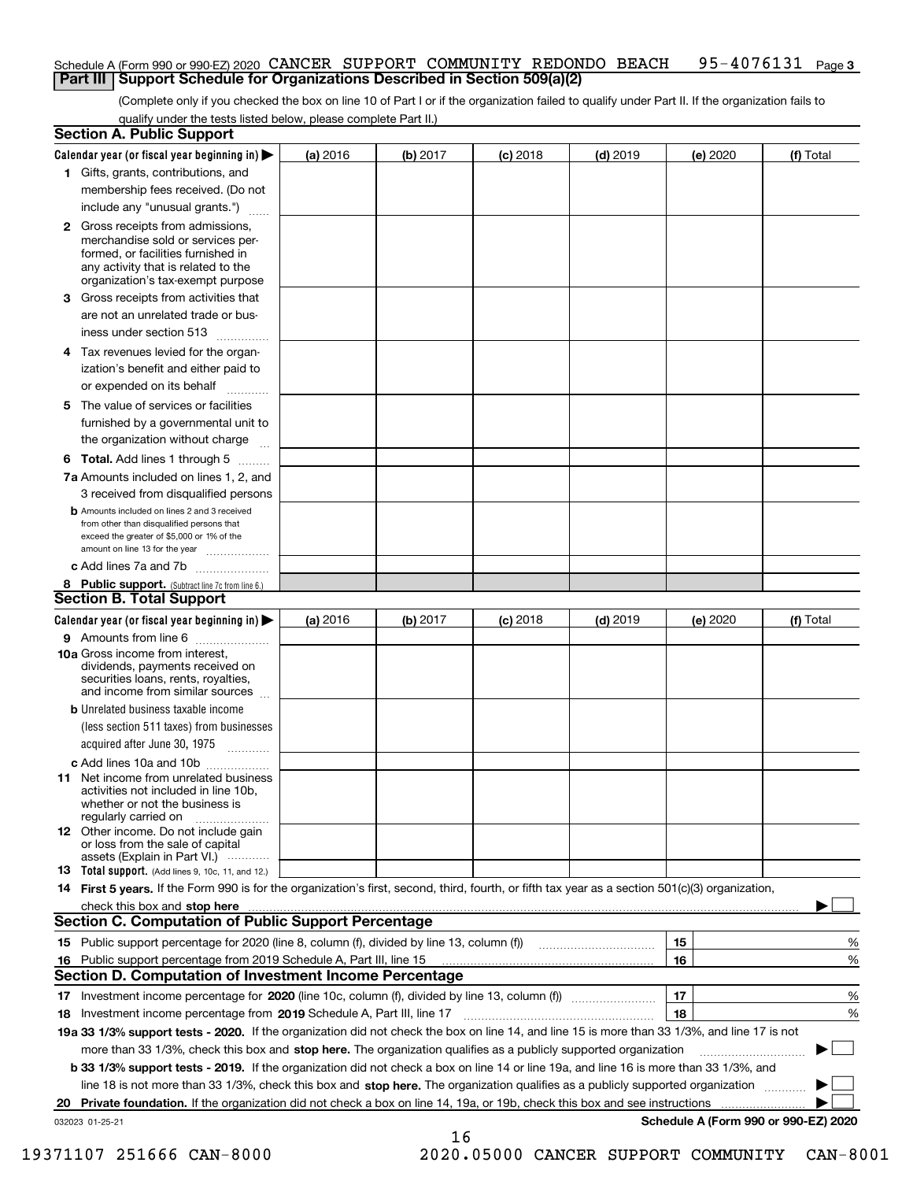### Schedule A (Form 990 or 990-EZ) 2020 CANCER SUPPORT COMMUNITY REDONDO BEACH 95-4076131 <sub>Page 3</sub> **Part III Support Schedule for Organizations Described in Section 509(a)(2)**

(Complete only if you checked the box on line 10 of Part I or if the organization failed to qualify under Part II. If the organization fails to qualify under the tests listed below, please complete Part II.)

|    | <b>Section A. Public Support</b>                                                                                                                                                                                                      |          |          |            |            |                                      |           |
|----|---------------------------------------------------------------------------------------------------------------------------------------------------------------------------------------------------------------------------------------|----------|----------|------------|------------|--------------------------------------|-----------|
|    | Calendar year (or fiscal year beginning in) $\blacktriangleright$                                                                                                                                                                     | (a) 2016 | (b) 2017 | $(c)$ 2018 | $(d)$ 2019 | (e) 2020                             | (f) Total |
|    | 1 Gifts, grants, contributions, and                                                                                                                                                                                                   |          |          |            |            |                                      |           |
|    | membership fees received. (Do not                                                                                                                                                                                                     |          |          |            |            |                                      |           |
|    | include any "unusual grants.")                                                                                                                                                                                                        |          |          |            |            |                                      |           |
|    | 2 Gross receipts from admissions,<br>merchandise sold or services per-<br>formed, or facilities furnished in<br>any activity that is related to the<br>organization's tax-exempt purpose                                              |          |          |            |            |                                      |           |
|    | 3 Gross receipts from activities that<br>are not an unrelated trade or bus-<br>iness under section 513                                                                                                                                |          |          |            |            |                                      |           |
|    | 4 Tax revenues levied for the organ-<br>ization's benefit and either paid to                                                                                                                                                          |          |          |            |            |                                      |           |
|    | or expended on its behalf<br>.                                                                                                                                                                                                        |          |          |            |            |                                      |           |
|    | 5 The value of services or facilities                                                                                                                                                                                                 |          |          |            |            |                                      |           |
|    | furnished by a governmental unit to                                                                                                                                                                                                   |          |          |            |            |                                      |           |
|    | the organization without charge                                                                                                                                                                                                       |          |          |            |            |                                      |           |
|    | <b>6 Total.</b> Add lines 1 through 5                                                                                                                                                                                                 |          |          |            |            |                                      |           |
|    | 7a Amounts included on lines 1, 2, and                                                                                                                                                                                                |          |          |            |            |                                      |           |
|    | 3 received from disqualified persons<br><b>b</b> Amounts included on lines 2 and 3 received                                                                                                                                           |          |          |            |            |                                      |           |
|    | from other than disqualified persons that                                                                                                                                                                                             |          |          |            |            |                                      |           |
|    | exceed the greater of \$5,000 or 1% of the<br>amount on line 13 for the year                                                                                                                                                          |          |          |            |            |                                      |           |
|    | c Add lines 7a and 7b                                                                                                                                                                                                                 |          |          |            |            |                                      |           |
|    | 8 Public support. (Subtract line 7c from line 6.)                                                                                                                                                                                     |          |          |            |            |                                      |           |
|    | <b>Section B. Total Support</b>                                                                                                                                                                                                       |          |          |            |            |                                      |           |
|    | Calendar year (or fiscal year beginning in) $\blacktriangleright$                                                                                                                                                                     | (a) 2016 | (b) 2017 | $(c)$ 2018 | $(d)$ 2019 | (e) 2020                             | (f) Total |
|    | 9 Amounts from line 6                                                                                                                                                                                                                 |          |          |            |            |                                      |           |
|    | 10a Gross income from interest,<br>dividends, payments received on<br>securities loans, rents, royalties,<br>and income from similar sources                                                                                          |          |          |            |            |                                      |           |
|    | <b>b</b> Unrelated business taxable income                                                                                                                                                                                            |          |          |            |            |                                      |           |
|    | (less section 511 taxes) from businesses                                                                                                                                                                                              |          |          |            |            |                                      |           |
|    | acquired after June 30, 1975                                                                                                                                                                                                          |          |          |            |            |                                      |           |
|    | c Add lines 10a and 10b<br>11 Net income from unrelated business<br>activities not included in line 10b,<br>whether or not the business is<br>regularly carried on                                                                    |          |          |            |            |                                      |           |
|    | <b>12</b> Other income. Do not include gain<br>or loss from the sale of capital<br>assets (Explain in Part VI.)                                                                                                                       |          |          |            |            |                                      |           |
|    | <b>13</b> Total support. (Add lines 9, 10c, 11, and 12.)                                                                                                                                                                              |          |          |            |            |                                      |           |
|    | 14 First 5 years. If the Form 990 is for the organization's first, second, third, fourth, or fifth tax year as a section 501(c)(3) organization,                                                                                      |          |          |            |            |                                      |           |
|    | check this box and stop here with the continuum control to the change of the state of the state of the change of the state of the change of the change of the state of the change of the change of the change of the change of        |          |          |            |            |                                      |           |
|    | <b>Section C. Computation of Public Support Percentage</b>                                                                                                                                                                            |          |          |            |            |                                      |           |
|    | 15 Public support percentage for 2020 (line 8, column (f), divided by line 13, column (f))                                                                                                                                            |          |          |            |            | 15                                   | %         |
|    | 16 Public support percentage from 2019 Schedule A, Part III, line 15<br><b>Section D. Computation of Investment Income Percentage</b>                                                                                                 |          |          |            |            | 16                                   | %         |
|    |                                                                                                                                                                                                                                       |          |          |            |            | 17                                   |           |
|    | 17 Investment income percentage for 2020 (line 10c, column (f), divided by line 13, column (f))                                                                                                                                       |          |          |            |            | 18                                   | %         |
|    | <b>18</b> Investment income percentage from <b>2019</b> Schedule A, Part III, line 17<br>19a 33 1/3% support tests - 2020. If the organization did not check the box on line 14, and line 15 is more than 33 1/3%, and line 17 is not |          |          |            |            |                                      | %         |
|    | more than 33 1/3%, check this box and stop here. The organization qualifies as a publicly supported organization                                                                                                                      |          |          |            |            |                                      | ▶         |
|    | b 33 1/3% support tests - 2019. If the organization did not check a box on line 14 or line 19a, and line 16 is more than 33 1/3%, and                                                                                                 |          |          |            |            |                                      |           |
|    | line 18 is not more than 33 1/3%, check this box and stop here. The organization qualifies as a publicly supported organization                                                                                                       |          |          |            |            |                                      |           |
| 20 | Private foundation. If the organization did not check a box on line 14, 19a, or 19b, check this box and see instructions                                                                                                              |          |          |            |            | .                                    |           |
|    | 032023 01-25-21                                                                                                                                                                                                                       |          |          |            |            | Schedule A (Form 990 or 990-EZ) 2020 |           |

16

 <sup>19371107 251666</sup> CAN-8000 2020.05000 CANCER SUPPORT COMMUNITY CAN-8001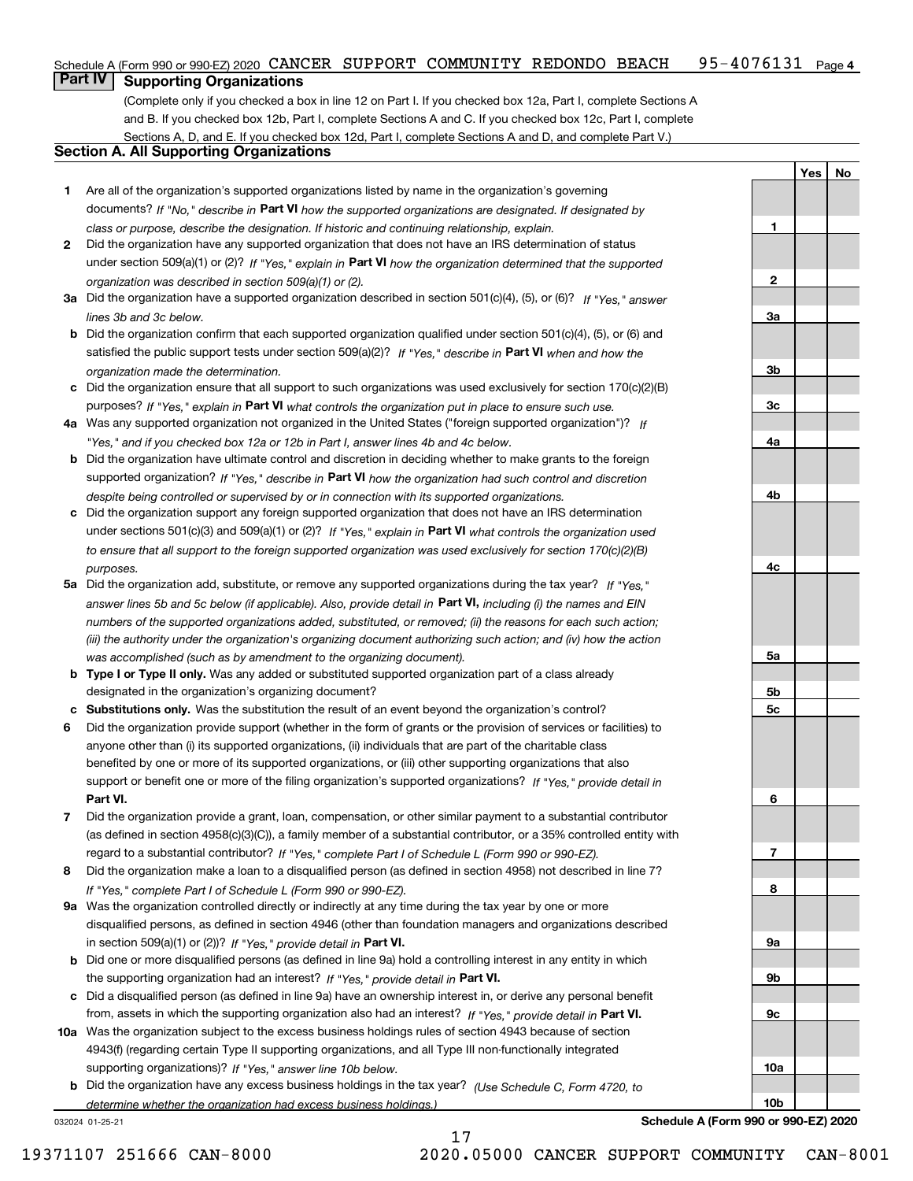#### $95 - 4076131$  Page 4 Schedule A (Form 990 or 990-EZ) 2020  $\,$  CANCER  $\,$  SUPPORT  $\,$  COMMUNITY  $\,$  REDONDO  $\,$  BEACH  $\,$   $\,$  95 –  $4\,0\,7\,6\,1\,3\,1$   $\,$   $\,$  Page

# **Part IV Supporting Organizations**

(Complete only if you checked a box in line 12 on Part I. If you checked box 12a, Part I, complete Sections A and B. If you checked box 12b, Part I, complete Sections A and C. If you checked box 12c, Part I, complete Sections A, D, and E. If you checked box 12d, Part I, complete Sections A and D, and complete Part V.)

### **Section A. All Supporting Organizations**

- **1** Are all of the organization's supported organizations listed by name in the organization's governing documents? If "No," describe in **Part VI** how the supported organizations are designated. If designated by *class or purpose, describe the designation. If historic and continuing relationship, explain.*
- **2** Did the organization have any supported organization that does not have an IRS determination of status under section 509(a)(1) or (2)? If "Yes," explain in Part VI how the organization determined that the supported *organization was described in section 509(a)(1) or (2).*
- **3a** Did the organization have a supported organization described in section 501(c)(4), (5), or (6)? If "Yes," answer *lines 3b and 3c below.*
- **b** Did the organization confirm that each supported organization qualified under section 501(c)(4), (5), or (6) and satisfied the public support tests under section 509(a)(2)? If "Yes," describe in **Part VI** when and how the *organization made the determination.*
- **c**Did the organization ensure that all support to such organizations was used exclusively for section 170(c)(2)(B) purposes? If "Yes," explain in **Part VI** what controls the organization put in place to ensure such use.
- **4a***If* Was any supported organization not organized in the United States ("foreign supported organization")? *"Yes," and if you checked box 12a or 12b in Part I, answer lines 4b and 4c below.*
- **b** Did the organization have ultimate control and discretion in deciding whether to make grants to the foreign supported organization? If "Yes," describe in **Part VI** how the organization had such control and discretion *despite being controlled or supervised by or in connection with its supported organizations.*
- **c** Did the organization support any foreign supported organization that does not have an IRS determination under sections 501(c)(3) and 509(a)(1) or (2)? If "Yes," explain in **Part VI** what controls the organization used *to ensure that all support to the foreign supported organization was used exclusively for section 170(c)(2)(B) purposes.*
- **5a** Did the organization add, substitute, or remove any supported organizations during the tax year? If "Yes," answer lines 5b and 5c below (if applicable). Also, provide detail in **Part VI,** including (i) the names and EIN *numbers of the supported organizations added, substituted, or removed; (ii) the reasons for each such action; (iii) the authority under the organization's organizing document authorizing such action; and (iv) how the action was accomplished (such as by amendment to the organizing document).*
- **b** Type I or Type II only. Was any added or substituted supported organization part of a class already designated in the organization's organizing document?
- **cSubstitutions only.**  Was the substitution the result of an event beyond the organization's control?
- **6** Did the organization provide support (whether in the form of grants or the provision of services or facilities) to **Part VI.** *If "Yes," provide detail in* support or benefit one or more of the filing organization's supported organizations? anyone other than (i) its supported organizations, (ii) individuals that are part of the charitable class benefited by one or more of its supported organizations, or (iii) other supporting organizations that also
- **7**Did the organization provide a grant, loan, compensation, or other similar payment to a substantial contributor *If "Yes," complete Part I of Schedule L (Form 990 or 990-EZ).* regard to a substantial contributor? (as defined in section 4958(c)(3)(C)), a family member of a substantial contributor, or a 35% controlled entity with
- **8** Did the organization make a loan to a disqualified person (as defined in section 4958) not described in line 7? *If "Yes," complete Part I of Schedule L (Form 990 or 990-EZ).*
- **9a** Was the organization controlled directly or indirectly at any time during the tax year by one or more in section 509(a)(1) or (2))? If "Yes," *provide detail in* <code>Part VI.</code> disqualified persons, as defined in section 4946 (other than foundation managers and organizations described
- **b** Did one or more disqualified persons (as defined in line 9a) hold a controlling interest in any entity in which the supporting organization had an interest? If "Yes," provide detail in P**art VI**.
- **c**Did a disqualified person (as defined in line 9a) have an ownership interest in, or derive any personal benefit from, assets in which the supporting organization also had an interest? If "Yes," provide detail in P**art VI.**
- **10a** Was the organization subject to the excess business holdings rules of section 4943 because of section supporting organizations)? If "Yes," answer line 10b below. 4943(f) (regarding certain Type II supporting organizations, and all Type III non-functionally integrated
- **b** Did the organization have any excess business holdings in the tax year? (Use Schedule C, Form 4720, to *determine whether the organization had excess business holdings.)*

17

032024 01-25-21

**Schedule A (Form 990 or 990-EZ) 2020**

**YesNo**

**1**

**2**

**3a**

**3b**

**3c**

**4a**

**4b**

**4c**

**5a**

**5b5c**

**6**

**7**

**8**

**9a**

**9b**

**9c**

**10a**

**10b**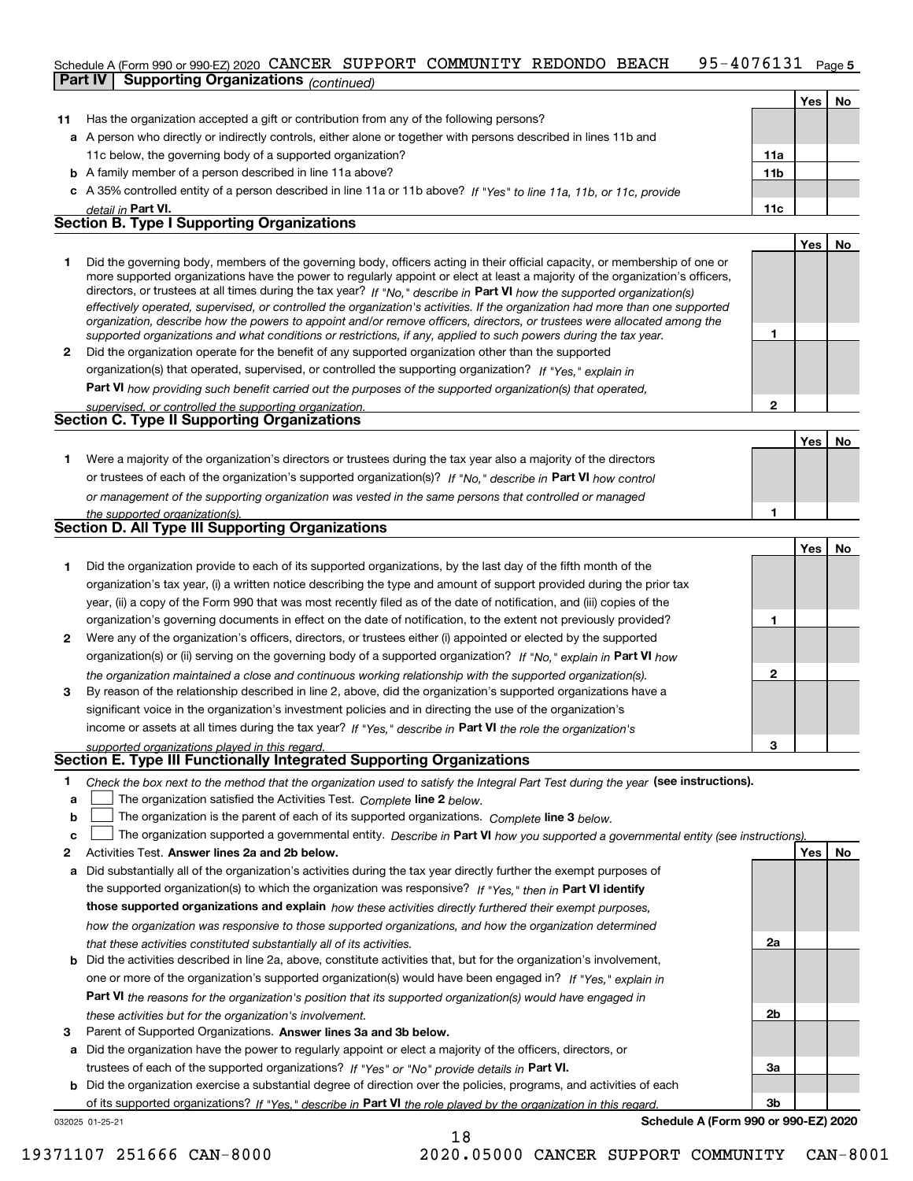#### 95-4076131 Page 5 Schedule A (Form 990 or 990-EZ) 2020  $\,$  CANCER  $\,$  SUPPORT  $\,$  COMMUNITY  $\,$  REDONDO  $\,$  BEACH  $\,$   $\,$  95 –  $4\,0\,7\,6\,1\,3\,1$   $\,$   $\,$  Page **Part IV Supporting Organizations** *(continued)*

|    |                                                                                                                                                                                                                                                             |                 | Yes | <b>No</b> |
|----|-------------------------------------------------------------------------------------------------------------------------------------------------------------------------------------------------------------------------------------------------------------|-----------------|-----|-----------|
| 11 | Has the organization accepted a gift or contribution from any of the following persons?                                                                                                                                                                     |                 |     |           |
|    | a A person who directly or indirectly controls, either alone or together with persons described in lines 11b and                                                                                                                                            |                 |     |           |
|    | 11c below, the governing body of a supported organization?                                                                                                                                                                                                  | 11a             |     |           |
|    | <b>b</b> A family member of a person described in line 11a above?                                                                                                                                                                                           | 11 <sub>b</sub> |     |           |
|    | c A 35% controlled entity of a person described in line 11a or 11b above? If "Yes" to line 11a, 11b, or 11c, provide                                                                                                                                        |                 |     |           |
|    | detail in Part VI.                                                                                                                                                                                                                                          | 11c             |     |           |
|    | <b>Section B. Type I Supporting Organizations</b>                                                                                                                                                                                                           |                 |     |           |
|    |                                                                                                                                                                                                                                                             |                 | Yes | No        |
|    | Did the governing body, members of the governing body, officers acting in their official capacity, or membership of one or<br>more supported organizations have the power to regularly appoint or elect at least a majority of the organization's officers, |                 |     |           |

|              | directors, or trustees at all times during the tax year? If "No," describe in Part VI how the supported organization(s)        |
|--------------|--------------------------------------------------------------------------------------------------------------------------------|
|              | effectively operated, supervised, or controlled the organization's activities. If the organization had more than one supported |
|              | organization, describe how the powers to appoint and/or remove officers, directors, or trustees were allocated among the       |
|              | supported organizations and what conditions or restrictions, if any, applied to such powers during the tax year.               |
| $\mathbf{2}$ | Did the organization operate for the benefit of any supported organization other than the supported                            |
|              | organization(s) that operated, supervised, or controlled the supporting organization? If "Yes," explain in                     |

**Part VI**  *how providing such benefit carried out the purposes of the supported organization(s) that operated,*

| supervised, or controlled the supporting organization. |  |
|--------------------------------------------------------|--|
| <b>Section C. Type II Supporting Organizations</b>     |  |
|                                                        |  |

**Yes No 1**or trustees of each of the organization's supported organization(s)? If "No," describe in **Part VI** how control **1***or management of the supporting organization was vested in the same persons that controlled or managed the supported organization(s).* Were a majority of the organization's directors or trustees during the tax year also a majority of the directors

| <b>Section D. All Type III Supporting Organizations</b> |  |
|---------------------------------------------------------|--|
|                                                         |  |

|              |                                                                                                                        |   | Tesi No |  |
|--------------|------------------------------------------------------------------------------------------------------------------------|---|---------|--|
|              | Did the organization provide to each of its supported organizations, by the last day of the fifth month of the         |   |         |  |
|              | organization's tax year, (i) a written notice describing the type and amount of support provided during the prior tax  |   |         |  |
|              | year, (ii) a copy of the Form 990 that was most recently filed as of the date of notification, and (iii) copies of the |   |         |  |
|              | organization's governing documents in effect on the date of notification, to the extent not previously provided?       |   |         |  |
| $\mathbf{2}$ | Were any of the organization's officers, directors, or trustees either (i) appointed or elected by the supported       |   |         |  |
|              | organization(s) or (ii) serving on the governing body of a supported organization? If "No." explain in Part VI how     |   |         |  |
|              | the organization maintained a close and continuous working relationship with the supported organization(s).            | 2 |         |  |
| 3            | By reason of the relationship described in line 2, above, did the organization's supported organizations have a        |   |         |  |
|              | significant voice in the organization's investment policies and in directing the use of the organization's             |   |         |  |
|              | income or assets at all times during the tax year? If "Yes," describe in Part VI the role the organization's           |   |         |  |
|              | supported organizations played in this regard.                                                                         | з |         |  |

# *supported organizations played in this regard.* **Section E. Type III Functionally Integrated Supporting Organizations**

- **1**Check the box next to the method that the organization used to satisfy the Integral Part Test during the year (see instructions).
- **alinupy** The organization satisfied the Activities Test. Complete line 2 below.
- **bThe organization is the parent of each of its supported organizations. Complete line 3 below.**

|  |  |  | The organization supported a governmental entity. Describe in Part VI how you supported a governmental entity (see instructions). |  |
|--|--|--|-----------------------------------------------------------------------------------------------------------------------------------|--|
|--|--|--|-----------------------------------------------------------------------------------------------------------------------------------|--|

18

- **2Answer lines 2a and 2b below. Yes No** Activities Test.
- **a** Did substantially all of the organization's activities during the tax year directly further the exempt purposes of the supported organization(s) to which the organization was responsive? If "Yes," then in **Part VI identify those supported organizations and explain**  *how these activities directly furthered their exempt purposes, how the organization was responsive to those supported organizations, and how the organization determined that these activities constituted substantially all of its activities.*
- **b** Did the activities described in line 2a, above, constitute activities that, but for the organization's involvement, **Part VI**  *the reasons for the organization's position that its supported organization(s) would have engaged in* one or more of the organization's supported organization(s) would have been engaged in? If "Yes," e*xplain in these activities but for the organization's involvement.*
- **3**Parent of Supported Organizations. Answer lines 3a and 3b below.

**a** Did the organization have the power to regularly appoint or elect a majority of the officers, directors, or trustees of each of the supported organizations? If "Yes" or "No" provide details in P**art VI.** 

032025 01-25-21 **b** Did the organization exercise a substantial degree of direction over the policies, programs, and activities of each of its supported organizations? If "Yes," describe in Part VI the role played by the organization in this regard.

**Schedule A (Form 990 or 990-EZ) 2020**

**2a**

**2b**

**3a**

**3b**

**1**

**2**

**Yes**

**No**

19371107 251666 CAN-8000 2020.05000 CANCER SUPPORT COMMUNITY CAN-8001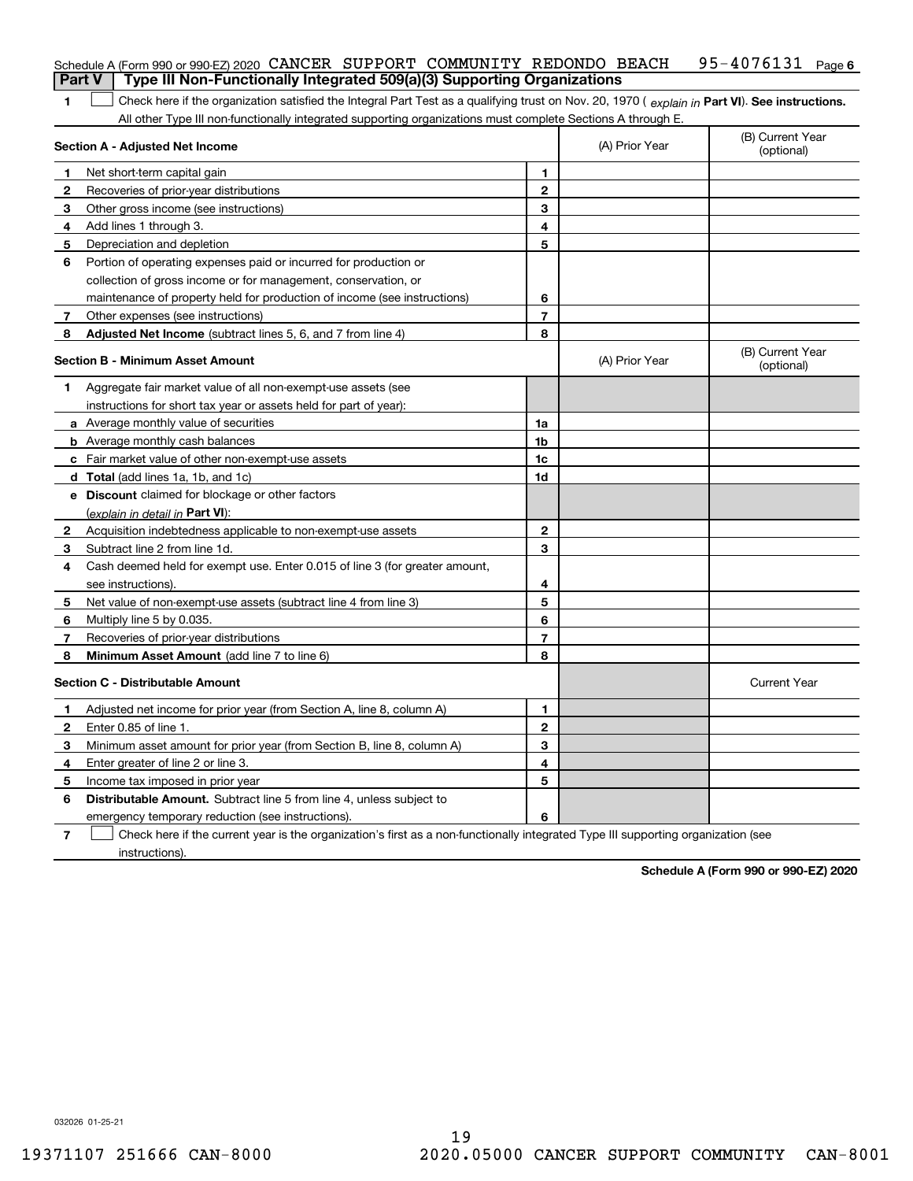|               | Schedule A (Form 990 or 990-EZ) 2020 CANCER SUPPORT COMMUNITY REDONDO BEACH                                                                                                                                                                                   |                |                | 95-4076131 Page 6              |
|---------------|---------------------------------------------------------------------------------------------------------------------------------------------------------------------------------------------------------------------------------------------------------------|----------------|----------------|--------------------------------|
| <b>Part V</b> | Type III Non-Functionally Integrated 509(a)(3) Supporting Organizations                                                                                                                                                                                       |                |                |                                |
| 1             | Check here if the organization satisfied the Integral Part Test as a qualifying trust on Nov. 20, 1970 (explain in Part VI). See instructions.<br>All other Type III non-functionally integrated supporting organizations must complete Sections A through E. |                |                |                                |
|               | <b>Section A - Adjusted Net Income</b>                                                                                                                                                                                                                        |                | (A) Prior Year | (B) Current Year<br>(optional) |
| 1             | Net short-term capital gain                                                                                                                                                                                                                                   | 1.             |                |                                |
| 2             | Recoveries of prior-year distributions                                                                                                                                                                                                                        | $\mathbf{2}$   |                |                                |
| 3             | Other gross income (see instructions)                                                                                                                                                                                                                         | 3              |                |                                |
| 4             | Add lines 1 through 3.                                                                                                                                                                                                                                        | 4              |                |                                |
| 5             | Depreciation and depletion                                                                                                                                                                                                                                    | 5              |                |                                |
| 6             | Portion of operating expenses paid or incurred for production or                                                                                                                                                                                              |                |                |                                |
|               | collection of gross income or for management, conservation, or                                                                                                                                                                                                |                |                |                                |
|               | maintenance of property held for production of income (see instructions)                                                                                                                                                                                      | 6              |                |                                |
| 7             | Other expenses (see instructions)                                                                                                                                                                                                                             | $\overline{7}$ |                |                                |
| 8             | Adjusted Net Income (subtract lines 5, 6, and 7 from line 4)                                                                                                                                                                                                  | 8              |                |                                |
|               | <b>Section B - Minimum Asset Amount</b>                                                                                                                                                                                                                       |                | (A) Prior Year | (B) Current Year<br>(optional) |
| 1             | Aggregate fair market value of all non-exempt-use assets (see                                                                                                                                                                                                 |                |                |                                |
|               | instructions for short tax year or assets held for part of year):                                                                                                                                                                                             |                |                |                                |
|               | <b>a</b> Average monthly value of securities                                                                                                                                                                                                                  | 1a             |                |                                |
|               | <b>b</b> Average monthly cash balances                                                                                                                                                                                                                        | 1b             |                |                                |
|               | c Fair market value of other non-exempt-use assets                                                                                                                                                                                                            | 1c             |                |                                |
|               | d Total (add lines 1a, 1b, and 1c)                                                                                                                                                                                                                            | 1d             |                |                                |
|               | e Discount claimed for blockage or other factors                                                                                                                                                                                                              |                |                |                                |
|               | (explain in detail in Part VI):                                                                                                                                                                                                                               |                |                |                                |
| 2             | Acquisition indebtedness applicable to non-exempt-use assets                                                                                                                                                                                                  | $\mathbf{2}$   |                |                                |
| 3             | Subtract line 2 from line 1d.                                                                                                                                                                                                                                 | 3              |                |                                |
| 4             | Cash deemed held for exempt use. Enter 0.015 of line 3 (for greater amount,                                                                                                                                                                                   |                |                |                                |
|               | see instructions).                                                                                                                                                                                                                                            | 4              |                |                                |
| 5             | Net value of non-exempt-use assets (subtract line 4 from line 3)                                                                                                                                                                                              | 5              |                |                                |
| 6             | Multiply line 5 by 0.035.                                                                                                                                                                                                                                     | 6              |                |                                |
| 7             | Recoveries of prior-year distributions                                                                                                                                                                                                                        | $\overline{7}$ |                |                                |
| 8             | Minimum Asset Amount (add line 7 to line 6)                                                                                                                                                                                                                   | 8              |                |                                |
|               | <b>Section C - Distributable Amount</b>                                                                                                                                                                                                                       |                |                | <b>Current Year</b>            |
|               | Adjusted net income for prior year (from Section A, line 8, column A)                                                                                                                                                                                         | 1              |                |                                |
|               | Enter 0.85 of line 1.                                                                                                                                                                                                                                         | 2              |                |                                |
| 3             | Minimum asset amount for prior year (from Section B, line 8, column A)                                                                                                                                                                                        | 3              |                |                                |
| 4             | Enter greater of line 2 or line 3.                                                                                                                                                                                                                            | 4              |                |                                |
| 5             | Income tax imposed in prior year                                                                                                                                                                                                                              | 5              |                |                                |
| 6             | <b>Distributable Amount.</b> Subtract line 5 from line 4, unless subject to                                                                                                                                                                                   |                |                |                                |
|               | emergency temporary reduction (see instructions).                                                                                                                                                                                                             | 6              |                |                                |
| 7             | Check here if the current year is the organization's first as a non-functionally integrated Type III supporting organization (see                                                                                                                             |                |                |                                |

instructions).

**Schedule A (Form 990 or 990-EZ) 2020**

032026 01-25-21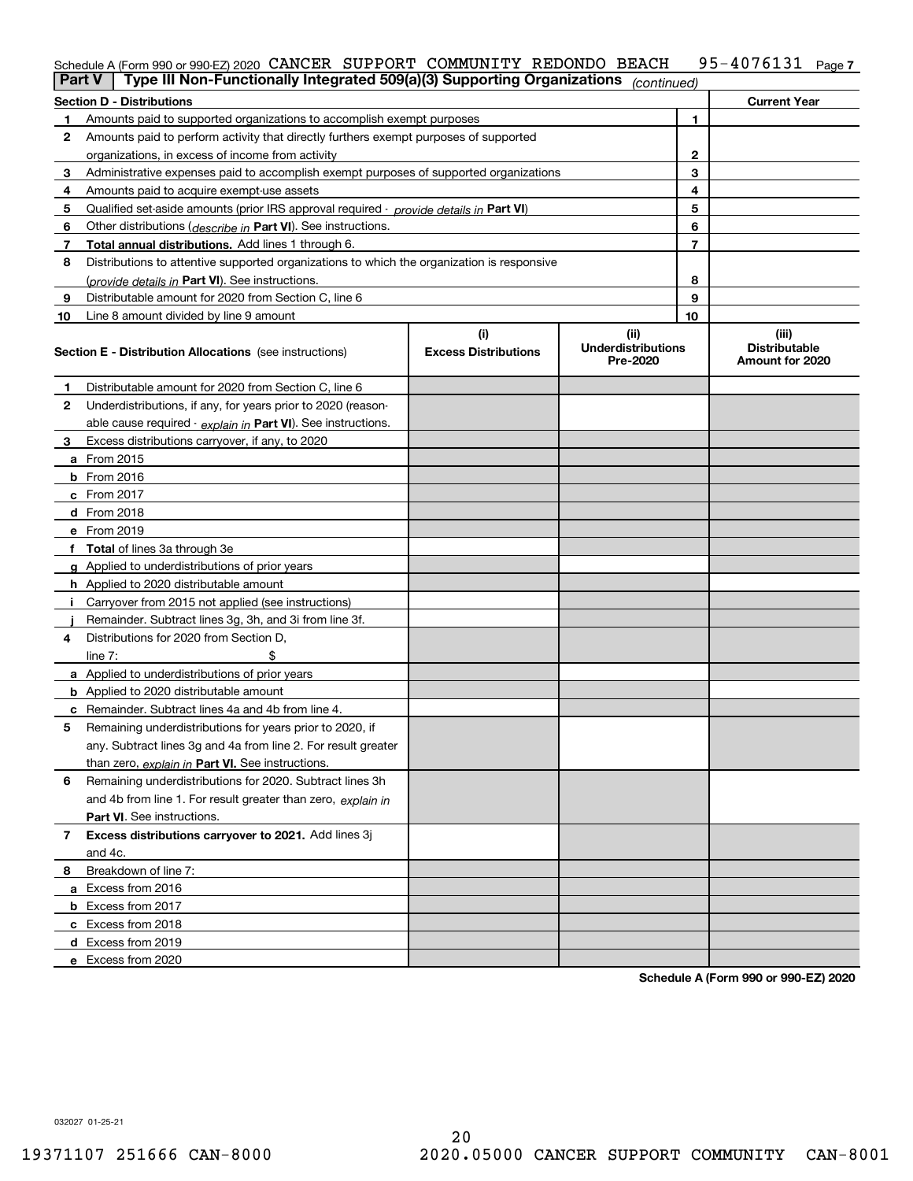## Schedule A (Form 990 or 990-EZ) 2020 CANCER SUPPORT COMMUNITY REDONDO BEACH 95-4076131 <sub>Page 7</sub>

|              | Type III Non-Functionally Integrated 509(a)(3) Supporting Organizations<br><b>Part V</b> |                                                                                            | (continued)                           |    |                                         |  |
|--------------|------------------------------------------------------------------------------------------|--------------------------------------------------------------------------------------------|---------------------------------------|----|-----------------------------------------|--|
|              | <b>Section D - Distributions</b>                                                         |                                                                                            |                                       |    | <b>Current Year</b>                     |  |
|              | Amounts paid to supported organizations to accomplish exempt purposes                    |                                                                                            |                                       | 1  |                                         |  |
| 2            | Amounts paid to perform activity that directly furthers exempt purposes of supported     |                                                                                            |                                       |    |                                         |  |
|              | organizations, in excess of income from activity                                         |                                                                                            |                                       | 2  |                                         |  |
| 3            | Administrative expenses paid to accomplish exempt purposes of supported organizations    |                                                                                            |                                       | 3  |                                         |  |
| 4            | Amounts paid to acquire exempt-use assets                                                |                                                                                            |                                       | 4  |                                         |  |
| 5            |                                                                                          | Qualified set-aside amounts (prior IRS approval required - provide details in Part VI)     |                                       |    |                                         |  |
| 6            | Other distributions ( <i>describe in</i> Part VI). See instructions.                     |                                                                                            |                                       |    |                                         |  |
| 7            | Total annual distributions. Add lines 1 through 6.                                       |                                                                                            |                                       |    |                                         |  |
| 8            |                                                                                          | Distributions to attentive supported organizations to which the organization is responsive |                                       |    |                                         |  |
|              | (provide details in Part VI). See instructions.                                          |                                                                                            |                                       | 8  |                                         |  |
| 9            | Distributable amount for 2020 from Section C, line 6                                     |                                                                                            |                                       | 9  |                                         |  |
| 10           | Line 8 amount divided by line 9 amount                                                   |                                                                                            |                                       | 10 |                                         |  |
|              |                                                                                          | (i)                                                                                        | (ii)                                  |    | (iii)                                   |  |
|              | <b>Section E - Distribution Allocations</b> (see instructions)                           | <b>Excess Distributions</b>                                                                | <b>Underdistributions</b><br>Pre-2020 |    | <b>Distributable</b><br>Amount for 2020 |  |
| 1            | Distributable amount for 2020 from Section C, line 6                                     |                                                                                            |                                       |    |                                         |  |
| $\mathbf{2}$ | Underdistributions, if any, for years prior to 2020 (reason-                             |                                                                                            |                                       |    |                                         |  |
|              | able cause required - explain in Part VI). See instructions.                             |                                                                                            |                                       |    |                                         |  |
| 3            | Excess distributions carryover, if any, to 2020                                          |                                                                                            |                                       |    |                                         |  |
|              | a From 2015                                                                              |                                                                                            |                                       |    |                                         |  |
|              | <b>b</b> From 2016                                                                       |                                                                                            |                                       |    |                                         |  |
|              | c From 2017                                                                              |                                                                                            |                                       |    |                                         |  |
|              | d From 2018                                                                              |                                                                                            |                                       |    |                                         |  |
|              | e From 2019                                                                              |                                                                                            |                                       |    |                                         |  |
|              | f Total of lines 3a through 3e                                                           |                                                                                            |                                       |    |                                         |  |
|              | g Applied to underdistributions of prior years                                           |                                                                                            |                                       |    |                                         |  |
|              | h Applied to 2020 distributable amount                                                   |                                                                                            |                                       |    |                                         |  |
|              | Carryover from 2015 not applied (see instructions)                                       |                                                                                            |                                       |    |                                         |  |
|              | Remainder. Subtract lines 3g, 3h, and 3i from line 3f.                                   |                                                                                            |                                       |    |                                         |  |
| 4            | Distributions for 2020 from Section D,                                                   |                                                                                            |                                       |    |                                         |  |
|              | line $7:$                                                                                |                                                                                            |                                       |    |                                         |  |
|              | a Applied to underdistributions of prior years                                           |                                                                                            |                                       |    |                                         |  |
|              | <b>b</b> Applied to 2020 distributable amount                                            |                                                                                            |                                       |    |                                         |  |
|              | c Remainder. Subtract lines 4a and 4b from line 4.                                       |                                                                                            |                                       |    |                                         |  |
| 5            | Remaining underdistributions for years prior to 2020, if                                 |                                                                                            |                                       |    |                                         |  |
|              | any. Subtract lines 3g and 4a from line 2. For result greater                            |                                                                                            |                                       |    |                                         |  |
|              | than zero, explain in Part VI. See instructions.                                         |                                                                                            |                                       |    |                                         |  |
| 6            | Remaining underdistributions for 2020. Subtract lines 3h                                 |                                                                                            |                                       |    |                                         |  |
|              | and 4b from line 1. For result greater than zero, explain in                             |                                                                                            |                                       |    |                                         |  |
|              | Part VI. See instructions.                                                               |                                                                                            |                                       |    |                                         |  |
| 7            | Excess distributions carryover to 2021. Add lines 3j                                     |                                                                                            |                                       |    |                                         |  |
|              | and 4c.                                                                                  |                                                                                            |                                       |    |                                         |  |
| 8            | Breakdown of line 7:                                                                     |                                                                                            |                                       |    |                                         |  |
|              | a Excess from 2016                                                                       |                                                                                            |                                       |    |                                         |  |
|              | <b>b</b> Excess from 2017                                                                |                                                                                            |                                       |    |                                         |  |
|              | c Excess from 2018                                                                       |                                                                                            |                                       |    |                                         |  |
|              | d Excess from 2019                                                                       |                                                                                            |                                       |    |                                         |  |
|              | e Excess from 2020                                                                       |                                                                                            |                                       |    |                                         |  |

**Schedule A (Form 990 or 990-EZ) 2020**

032027 01-25-21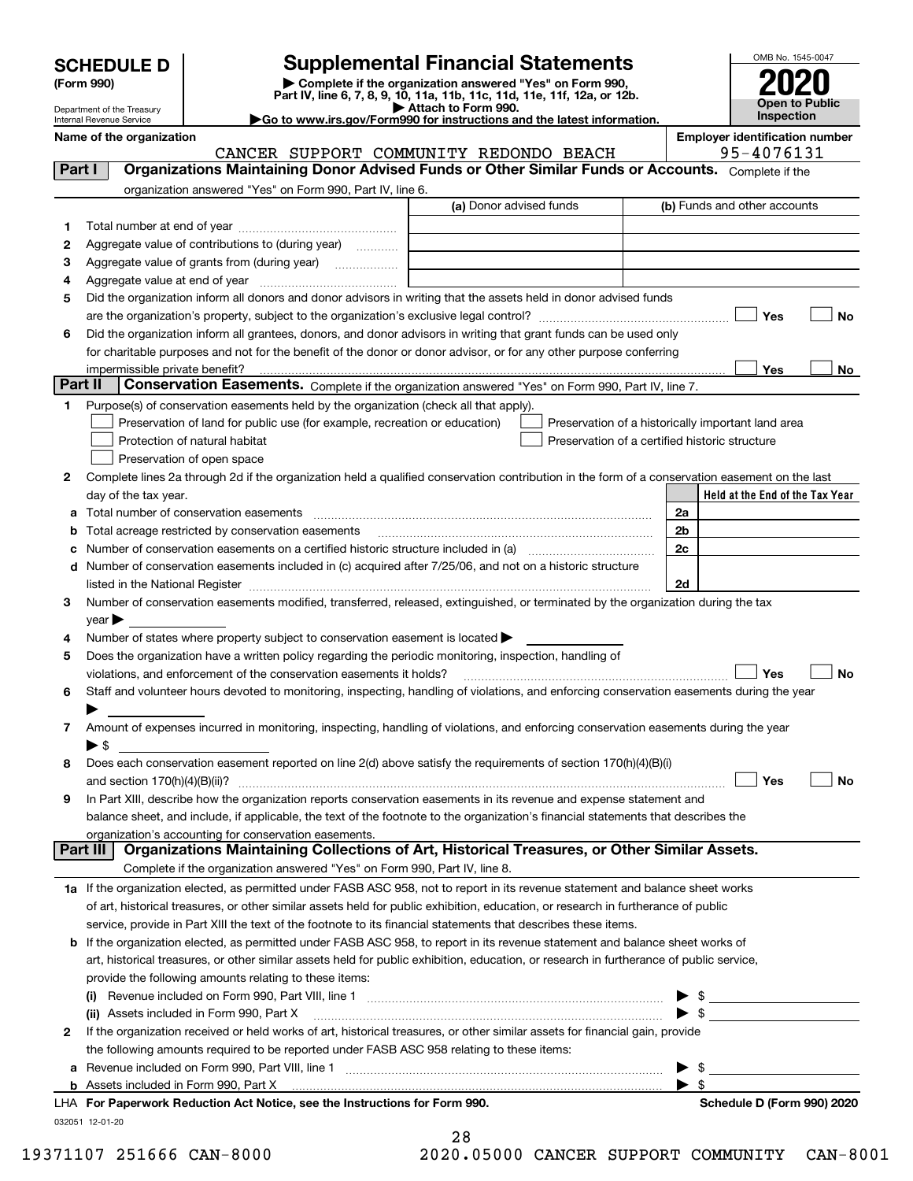| <b>SCHEDULE D</b> |  |
|-------------------|--|
|-------------------|--|

| (Form 990) |  |
|------------|--|
|------------|--|

# **Supplemental Financial Statements**

(Form 990)<br>
Pepartment of the Treasury<br>
Department of the Treasury<br>
Department of the Treasury<br>
Department of the Treasury<br> **Co to www.irs.gov/Form990 for instructions and the latest information.**<br> **Co to www.irs.gov/Form9** 



Department of the Treasury Internal Revenue Service

**Name of the organization Employer identification number**

|         | CANCER SUPPORT COMMUNITY REDONDO BEACH                                                                                                         |                         | 95-4076131                                                                                                                                                                                                                                                                                                               |
|---------|------------------------------------------------------------------------------------------------------------------------------------------------|-------------------------|--------------------------------------------------------------------------------------------------------------------------------------------------------------------------------------------------------------------------------------------------------------------------------------------------------------------------|
| Part I  | Organizations Maintaining Donor Advised Funds or Other Similar Funds or Accounts. Complete if the                                              |                         |                                                                                                                                                                                                                                                                                                                          |
|         | organization answered "Yes" on Form 990, Part IV, line 6.                                                                                      |                         |                                                                                                                                                                                                                                                                                                                          |
|         |                                                                                                                                                | (a) Donor advised funds | (b) Funds and other accounts                                                                                                                                                                                                                                                                                             |
| 1       |                                                                                                                                                |                         |                                                                                                                                                                                                                                                                                                                          |
| 2       | Aggregate value of contributions to (during year)                                                                                              |                         |                                                                                                                                                                                                                                                                                                                          |
| з       | Aggregate value of grants from (during year)                                                                                                   |                         |                                                                                                                                                                                                                                                                                                                          |
| 4       |                                                                                                                                                |                         |                                                                                                                                                                                                                                                                                                                          |
| 5       | Did the organization inform all donors and donor advisors in writing that the assets held in donor advised funds                               |                         |                                                                                                                                                                                                                                                                                                                          |
|         |                                                                                                                                                |                         | Yes<br>No                                                                                                                                                                                                                                                                                                                |
| 6       | Did the organization inform all grantees, donors, and donor advisors in writing that grant funds can be used only                              |                         |                                                                                                                                                                                                                                                                                                                          |
|         | for charitable purposes and not for the benefit of the donor or donor advisor, or for any other purpose conferring                             |                         |                                                                                                                                                                                                                                                                                                                          |
|         | impermissible private benefit?                                                                                                                 |                         | Yes<br>No                                                                                                                                                                                                                                                                                                                |
| Part II | Conservation Easements. Complete if the organization answered "Yes" on Form 990, Part IV, line 7.                                              |                         |                                                                                                                                                                                                                                                                                                                          |
| 1       | Purpose(s) of conservation easements held by the organization (check all that apply).                                                          |                         |                                                                                                                                                                                                                                                                                                                          |
|         | Preservation of land for public use (for example, recreation or education)                                                                     |                         | Preservation of a historically important land area                                                                                                                                                                                                                                                                       |
|         | Protection of natural habitat                                                                                                                  |                         | Preservation of a certified historic structure                                                                                                                                                                                                                                                                           |
|         | Preservation of open space                                                                                                                     |                         |                                                                                                                                                                                                                                                                                                                          |
| 2       | Complete lines 2a through 2d if the organization held a qualified conservation contribution in the form of a conservation easement on the last |                         |                                                                                                                                                                                                                                                                                                                          |
|         | day of the tax year.                                                                                                                           |                         | Held at the End of the Tax Year                                                                                                                                                                                                                                                                                          |
| а       |                                                                                                                                                |                         | 2a                                                                                                                                                                                                                                                                                                                       |
| b       | Total acreage restricted by conservation easements                                                                                             |                         | 2b                                                                                                                                                                                                                                                                                                                       |
| с       |                                                                                                                                                |                         | 2c                                                                                                                                                                                                                                                                                                                       |
| d       | Number of conservation easements included in (c) acquired after 7/25/06, and not on a historic structure                                       |                         |                                                                                                                                                                                                                                                                                                                          |
|         | listed in the National Register [111] March 1999 State of March 1999 State of March 1999 State of March 1999 St                                |                         | 2d                                                                                                                                                                                                                                                                                                                       |
| з       | Number of conservation easements modified, transferred, released, extinguished, or terminated by the organization during the tax               |                         |                                                                                                                                                                                                                                                                                                                          |
|         | year                                                                                                                                           |                         |                                                                                                                                                                                                                                                                                                                          |
| 4       | Number of states where property subject to conservation easement is located >                                                                  |                         |                                                                                                                                                                                                                                                                                                                          |
| 5       | Does the organization have a written policy regarding the periodic monitoring, inspection, handling of                                         |                         | Yes<br><b>No</b>                                                                                                                                                                                                                                                                                                         |
|         | violations, and enforcement of the conservation easements it holds?                                                                            |                         |                                                                                                                                                                                                                                                                                                                          |
| 6       | Staff and volunteer hours devoted to monitoring, inspecting, handling of violations, and enforcing conservation easements during the year      |                         |                                                                                                                                                                                                                                                                                                                          |
| 7       | Amount of expenses incurred in monitoring, inspecting, handling of violations, and enforcing conservation easements during the year            |                         |                                                                                                                                                                                                                                                                                                                          |
|         | $\blacktriangleright$ \$                                                                                                                       |                         |                                                                                                                                                                                                                                                                                                                          |
| 8       | Does each conservation easement reported on line 2(d) above satisfy the requirements of section 170(h)(4)(B)(i)                                |                         |                                                                                                                                                                                                                                                                                                                          |
|         |                                                                                                                                                |                         | Yes<br>No                                                                                                                                                                                                                                                                                                                |
| 9       | In Part XIII, describe how the organization reports conservation easements in its revenue and expense statement and                            |                         |                                                                                                                                                                                                                                                                                                                          |
|         | balance sheet, and include, if applicable, the text of the footnote to the organization's financial statements that describes the              |                         |                                                                                                                                                                                                                                                                                                                          |
|         | organization's accounting for conservation easements.                                                                                          |                         |                                                                                                                                                                                                                                                                                                                          |
|         | Organizations Maintaining Collections of Art, Historical Treasures, or Other Similar Assets.<br>Part III                                       |                         |                                                                                                                                                                                                                                                                                                                          |
|         | Complete if the organization answered "Yes" on Form 990, Part IV, line 8.                                                                      |                         |                                                                                                                                                                                                                                                                                                                          |
|         | 1a If the organization elected, as permitted under FASB ASC 958, not to report in its revenue statement and balance sheet works                |                         |                                                                                                                                                                                                                                                                                                                          |
|         | of art, historical treasures, or other similar assets held for public exhibition, education, or research in furtherance of public              |                         |                                                                                                                                                                                                                                                                                                                          |
|         | service, provide in Part XIII the text of the footnote to its financial statements that describes these items.                                 |                         |                                                                                                                                                                                                                                                                                                                          |
| b       | If the organization elected, as permitted under FASB ASC 958, to report in its revenue statement and balance sheet works of                    |                         |                                                                                                                                                                                                                                                                                                                          |
|         | art, historical treasures, or other similar assets held for public exhibition, education, or research in furtherance of public service,        |                         |                                                                                                                                                                                                                                                                                                                          |
|         | provide the following amounts relating to these items:                                                                                         |                         |                                                                                                                                                                                                                                                                                                                          |
|         |                                                                                                                                                |                         | $\frac{1}{2}$ $\frac{1}{2}$ $\frac{1}{2}$ $\frac{1}{2}$ $\frac{1}{2}$ $\frac{1}{2}$ $\frac{1}{2}$ $\frac{1}{2}$ $\frac{1}{2}$ $\frac{1}{2}$ $\frac{1}{2}$ $\frac{1}{2}$ $\frac{1}{2}$ $\frac{1}{2}$ $\frac{1}{2}$ $\frac{1}{2}$ $\frac{1}{2}$ $\frac{1}{2}$ $\frac{1}{2}$ $\frac{1}{2}$ $\frac{1}{2}$ $\frac{1}{2}$<br>▶ |
|         | (ii) Assets included in Form 990, Part X                                                                                                       |                         | $\blacktriangleright$ \$                                                                                                                                                                                                                                                                                                 |
| 2       | If the organization received or held works of art, historical treasures, or other similar assets for financial gain, provide                   |                         |                                                                                                                                                                                                                                                                                                                          |
|         | the following amounts required to be reported under FASB ASC 958 relating to these items:                                                      |                         |                                                                                                                                                                                                                                                                                                                          |
| a       |                                                                                                                                                |                         | - \$<br>▶                                                                                                                                                                                                                                                                                                                |
|         | <b>b</b> Assets included in Form 990, Part X                                                                                                   |                         | $\blacktriangleright$ \$                                                                                                                                                                                                                                                                                                 |
|         | LHA For Paperwork Reduction Act Notice, see the Instructions for Form 990.                                                                     |                         | Schedule D (Form 990) 2020                                                                                                                                                                                                                                                                                               |
|         | 032051 12-01-20                                                                                                                                |                         |                                                                                                                                                                                                                                                                                                                          |

| 28  |           |  |  |
|-----|-----------|--|--|
| ^ ^ | 0 F O O O |  |  |

 $\sim$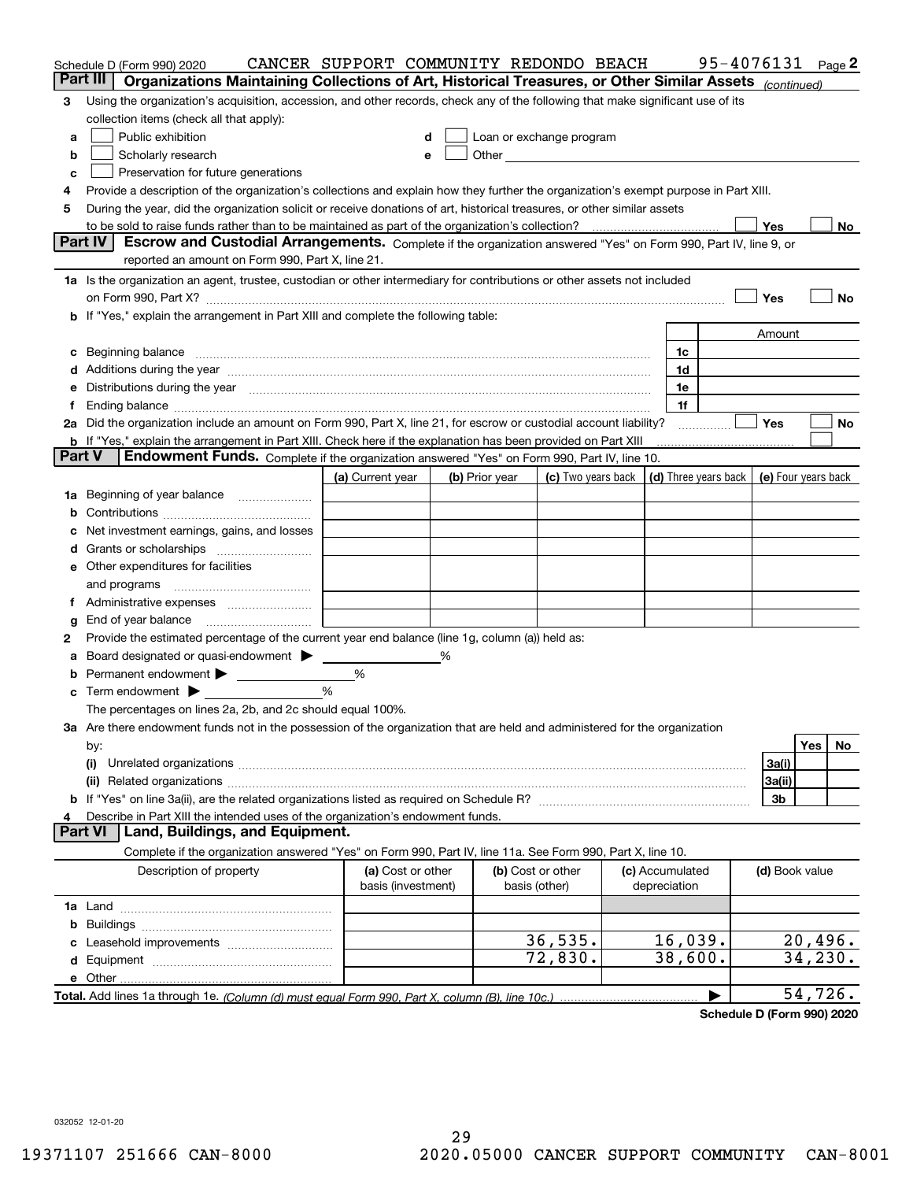|        | Schedule D (Form 990) 2020                                                                                                                                                                                                           | CANCER SUPPORT COMMUNITY REDONDO BEACH |   |                |                          |                                 | 95-4076131 Page 2                          |                |          |     |
|--------|--------------------------------------------------------------------------------------------------------------------------------------------------------------------------------------------------------------------------------------|----------------------------------------|---|----------------|--------------------------|---------------------------------|--------------------------------------------|----------------|----------|-----|
|        | Part III<br>Organizations Maintaining Collections of Art, Historical Treasures, or Other Similar Assets (continued)                                                                                                                  |                                        |   |                |                          |                                 |                                            |                |          |     |
| 3      | Using the organization's acquisition, accession, and other records, check any of the following that make significant use of its                                                                                                      |                                        |   |                |                          |                                 |                                            |                |          |     |
|        | collection items (check all that apply):                                                                                                                                                                                             |                                        |   |                |                          |                                 |                                            |                |          |     |
| a      | Public exhibition                                                                                                                                                                                                                    | d                                      |   |                | Loan or exchange program |                                 |                                            |                |          |     |
| b      | Scholarly research                                                                                                                                                                                                                   | е                                      |   |                |                          |                                 |                                            |                |          |     |
| c      | Preservation for future generations                                                                                                                                                                                                  |                                        |   |                |                          |                                 |                                            |                |          |     |
| 4      | Provide a description of the organization's collections and explain how they further the organization's exempt purpose in Part XIII.                                                                                                 |                                        |   |                |                          |                                 |                                            |                |          |     |
| 5      | During the year, did the organization solicit or receive donations of art, historical treasures, or other similar assets                                                                                                             |                                        |   |                |                          |                                 |                                            |                |          |     |
|        |                                                                                                                                                                                                                                      |                                        |   |                |                          |                                 |                                            | Yes            |          | No. |
|        | <b>Part IV</b><br>Escrow and Custodial Arrangements. Complete if the organization answered "Yes" on Form 990, Part IV, line 9, or                                                                                                    |                                        |   |                |                          |                                 |                                            |                |          |     |
|        | reported an amount on Form 990, Part X, line 21.                                                                                                                                                                                     |                                        |   |                |                          |                                 |                                            |                |          |     |
|        | 1a Is the organization an agent, trustee, custodian or other intermediary for contributions or other assets not included                                                                                                             |                                        |   |                |                          |                                 |                                            |                |          |     |
|        |                                                                                                                                                                                                                                      |                                        |   |                |                          |                                 |                                            | Yes            |          | No  |
|        | If "Yes," explain the arrangement in Part XIII and complete the following table:                                                                                                                                                     |                                        |   |                |                          |                                 |                                            |                |          |     |
|        |                                                                                                                                                                                                                                      |                                        |   |                |                          |                                 |                                            | Amount         |          |     |
| c      | Beginning balance <b>contract to the contract of the contract of the contract of the contract of the contract of the contract of the contract of the contract of the contract of the contract of the contract of the contract of</b> |                                        |   |                |                          | 1c<br>1d                        |                                            |                |          |     |
| d      | Additions during the year manufactured and an annual contract of the year manufactured and all the year manufactured and all the year manufactured and all the year manufactured and all the year manufactured and all the yea       |                                        |   |                |                          | 1e                              |                                            |                |          |     |
|        | Distributions during the year manufactured and continuum control of the year manufactured and control of the year manufactured and control of the state of the state of the state of the state of the state of the state of th       |                                        |   |                |                          | 1f                              |                                            |                |          |     |
|        | 2a Did the organization include an amount on Form 990, Part X, line 21, for escrow or custodial account liability?                                                                                                                   |                                        |   |                |                          |                                 |                                            | Yes            |          | No  |
|        | <b>b</b> If "Yes," explain the arrangement in Part XIII. Check here if the explanation has been provided on Part XIII                                                                                                                |                                        |   |                |                          |                                 |                                            |                |          |     |
| Part V | Endowment Funds. Complete if the organization answered "Yes" on Form 990, Part IV, line 10.                                                                                                                                          |                                        |   |                |                          |                                 |                                            |                |          |     |
|        |                                                                                                                                                                                                                                      | (a) Current year                       |   | (b) Prior year | (c) Two years back       |                                 | (d) Three years back   (e) Four years back |                |          |     |
| 1a     | Beginning of year balance                                                                                                                                                                                                            |                                        |   |                |                          |                                 |                                            |                |          |     |
| b      |                                                                                                                                                                                                                                      |                                        |   |                |                          |                                 |                                            |                |          |     |
|        | Net investment earnings, gains, and losses                                                                                                                                                                                           |                                        |   |                |                          |                                 |                                            |                |          |     |
| d      |                                                                                                                                                                                                                                      |                                        |   |                |                          |                                 |                                            |                |          |     |
|        | e Other expenditures for facilities                                                                                                                                                                                                  |                                        |   |                |                          |                                 |                                            |                |          |     |
|        | and programs                                                                                                                                                                                                                         |                                        |   |                |                          |                                 |                                            |                |          |     |
|        |                                                                                                                                                                                                                                      |                                        |   |                |                          |                                 |                                            |                |          |     |
| g      | End of year balance                                                                                                                                                                                                                  |                                        |   |                |                          |                                 |                                            |                |          |     |
| 2      | Provide the estimated percentage of the current year end balance (line 1g, column (a)) held as:                                                                                                                                      |                                        |   |                |                          |                                 |                                            |                |          |     |
|        | Board designated or quasi-endowment                                                                                                                                                                                                  |                                        | % |                |                          |                                 |                                            |                |          |     |
| b      | Permanent endowment > _____________                                                                                                                                                                                                  | %                                      |   |                |                          |                                 |                                            |                |          |     |
| c      | Term endowment $\blacktriangleright$                                                                                                                                                                                                 | %                                      |   |                |                          |                                 |                                            |                |          |     |
|        | The percentages on lines 2a, 2b, and 2c should equal 100%.                                                                                                                                                                           |                                        |   |                |                          |                                 |                                            |                |          |     |
|        | 3a Are there endowment funds not in the possession of the organization that are held and administered for the organization                                                                                                           |                                        |   |                |                          |                                 |                                            |                |          |     |
|        | by:                                                                                                                                                                                                                                  |                                        |   |                |                          |                                 |                                            |                | Yes      | No  |
|        | (i)                                                                                                                                                                                                                                  |                                        |   |                |                          |                                 |                                            | 3a(i)          |          |     |
|        |                                                                                                                                                                                                                                      |                                        |   |                |                          |                                 |                                            | 3a(ii)         |          |     |
|        |                                                                                                                                                                                                                                      |                                        |   |                |                          |                                 |                                            | 3b             |          |     |
|        | Describe in Part XIII the intended uses of the organization's endowment funds.<br>Land, Buildings, and Equipment.<br>Part VI                                                                                                         |                                        |   |                |                          |                                 |                                            |                |          |     |
|        |                                                                                                                                                                                                                                      |                                        |   |                |                          |                                 |                                            |                |          |     |
|        | Complete if the organization answered "Yes" on Form 990, Part IV, line 11a. See Form 990, Part X, line 10.                                                                                                                           | (a) Cost or other                      |   |                | (b) Cost or other        |                                 |                                            |                |          |     |
|        | Description of property                                                                                                                                                                                                              | basis (investment)                     |   |                | basis (other)            | (c) Accumulated<br>depreciation |                                            | (d) Book value |          |     |
|        |                                                                                                                                                                                                                                      |                                        |   |                |                          |                                 |                                            |                |          |     |
| b      |                                                                                                                                                                                                                                      |                                        |   |                |                          |                                 |                                            |                |          |     |
|        |                                                                                                                                                                                                                                      |                                        |   |                | 36,535.                  | 16,039.                         |                                            |                | 20,496.  |     |
|        |                                                                                                                                                                                                                                      |                                        |   |                | 72,830.                  | 38,600.                         |                                            |                | 34, 230. |     |
|        | e Other                                                                                                                                                                                                                              |                                        |   |                |                          |                                 |                                            |                |          |     |
|        |                                                                                                                                                                                                                                      |                                        |   |                |                          |                                 |                                            |                | 54,726.  |     |
|        |                                                                                                                                                                                                                                      |                                        |   |                |                          |                                 |                                            |                |          |     |

**Schedule D (Form 990) 2020**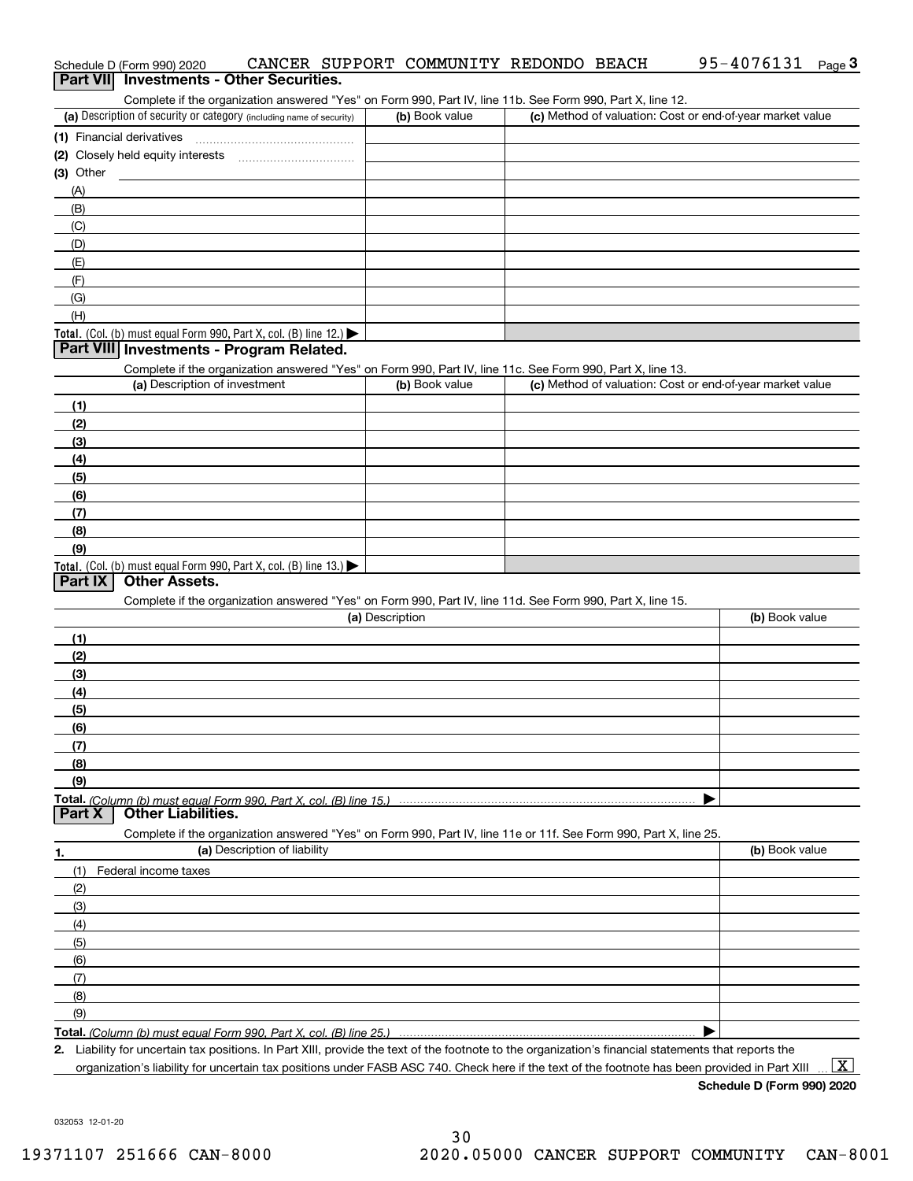| Schedule D (Form 990) 2020<br>Part VII Investments - Other Securities.                                                                               |                 | CANCER SUPPORT COMMUNITY REDONDO BEACH | 95-4076131<br>Page $3$                                    |
|------------------------------------------------------------------------------------------------------------------------------------------------------|-----------------|----------------------------------------|-----------------------------------------------------------|
| Complete if the organization answered "Yes" on Form 990, Part IV, line 11b. See Form 990, Part X, line 12.                                           |                 |                                        |                                                           |
| (a) Description of security or category (including name of security)                                                                                 | (b) Book value  |                                        | (c) Method of valuation: Cost or end-of-year market value |
| (1) Financial derivatives                                                                                                                            |                 |                                        |                                                           |
|                                                                                                                                                      |                 |                                        |                                                           |
| (3) Other                                                                                                                                            |                 |                                        |                                                           |
| (A)                                                                                                                                                  |                 |                                        |                                                           |
| (B)                                                                                                                                                  |                 |                                        |                                                           |
| (C)                                                                                                                                                  |                 |                                        |                                                           |
| (D)                                                                                                                                                  |                 |                                        |                                                           |
| (E)                                                                                                                                                  |                 |                                        |                                                           |
| (F)                                                                                                                                                  |                 |                                        |                                                           |
| (G)                                                                                                                                                  |                 |                                        |                                                           |
| (H)                                                                                                                                                  |                 |                                        |                                                           |
| Total. (Col. (b) must equal Form 990, Part X, col. (B) line 12.) $\blacktriangleright$<br>Part VIII Investments - Program Related.                   |                 |                                        |                                                           |
| Complete if the organization answered "Yes" on Form 990, Part IV, line 11c. See Form 990, Part X, line 13.                                           |                 |                                        |                                                           |
| (a) Description of investment                                                                                                                        | (b) Book value  |                                        | (c) Method of valuation: Cost or end-of-year market value |
| (1)                                                                                                                                                  |                 |                                        |                                                           |
| (2)                                                                                                                                                  |                 |                                        |                                                           |
| (3)                                                                                                                                                  |                 |                                        |                                                           |
| (4)                                                                                                                                                  |                 |                                        |                                                           |
| (5)                                                                                                                                                  |                 |                                        |                                                           |
| (6)                                                                                                                                                  |                 |                                        |                                                           |
| (7)                                                                                                                                                  |                 |                                        |                                                           |
| (8)                                                                                                                                                  |                 |                                        |                                                           |
| (9)                                                                                                                                                  |                 |                                        |                                                           |
| Total. (Col. (b) must equal Form 990, Part X, col. (B) line 13.)<br><b>Other Assets.</b><br>Part IX                                                  |                 |                                        |                                                           |
|                                                                                                                                                      |                 |                                        |                                                           |
| Complete if the organization answered "Yes" on Form 990, Part IV, line 11d. See Form 990, Part X, line 15.                                           | (a) Description |                                        | (b) Book value                                            |
| (1)                                                                                                                                                  |                 |                                        |                                                           |
| (2)                                                                                                                                                  |                 |                                        |                                                           |
| (3)                                                                                                                                                  |                 |                                        |                                                           |
| (4)                                                                                                                                                  |                 |                                        |                                                           |
| (5)                                                                                                                                                  |                 |                                        |                                                           |
| (6)                                                                                                                                                  |                 |                                        |                                                           |
| (7)                                                                                                                                                  |                 |                                        |                                                           |
| (8)                                                                                                                                                  |                 |                                        |                                                           |
| (9)                                                                                                                                                  |                 |                                        |                                                           |
| Total. (Column (b) must equal Form 990. Part X, col. (B) line 15.)                                                                                   |                 |                                        |                                                           |
| <b>Other Liabilities.</b><br>Part X                                                                                                                  |                 |                                        |                                                           |
| Complete if the organization answered "Yes" on Form 990, Part IV, line 11e or 11f. See Form 990, Part X, line 25.<br>(a) Description of liability    |                 |                                        | (b) Book value                                            |
| 1.                                                                                                                                                   |                 |                                        |                                                           |
| (1)<br>Federal income taxes                                                                                                                          |                 |                                        |                                                           |
| (2)                                                                                                                                                  |                 |                                        |                                                           |
| (3)<br>(4)                                                                                                                                           |                 |                                        |                                                           |
| (5)                                                                                                                                                  |                 |                                        |                                                           |
| (6)                                                                                                                                                  |                 |                                        |                                                           |
| (7)                                                                                                                                                  |                 |                                        |                                                           |
| (8)                                                                                                                                                  |                 |                                        |                                                           |
| (9)                                                                                                                                                  |                 |                                        |                                                           |
| Total. (Column (b) must equal Form 990. Part X, col. (B) line 25.)                                                                                   |                 |                                        |                                                           |
| 2. Liability for uncertain tax positions. In Part XIII, provide the text of the footnote to the organization's financial statements that reports the |                 |                                        |                                                           |
| organization's liability for uncertain tax positions under FASB ASC 740. Check here if the text of the footnote has been provided in Part XIII       |                 |                                        | $\mathbf{X}$                                              |

**Schedule D (Form 990) 2020**

032053 12-01-20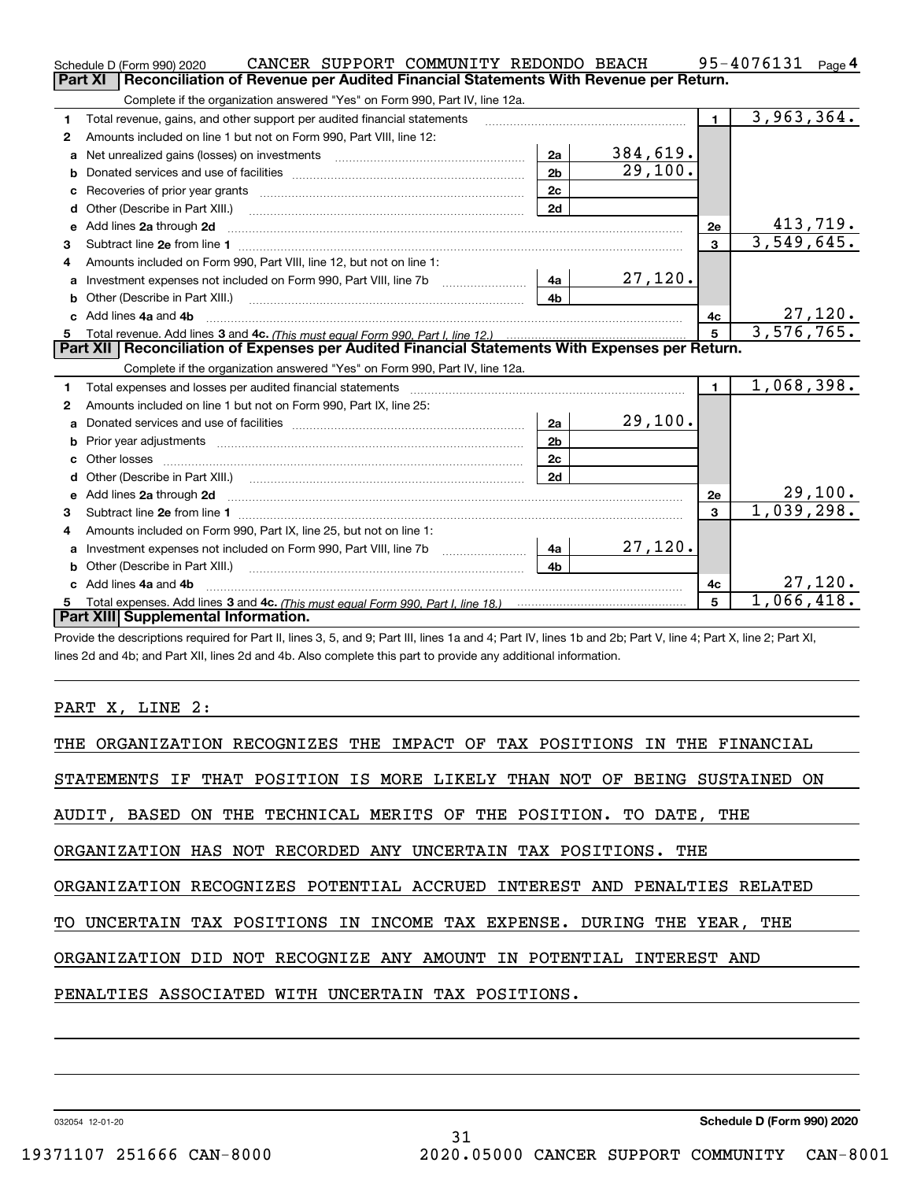| Reconciliation of Revenue per Audited Financial Statements With Revenue per Return.<br>Complete if the organization answered "Yes" on Form 990, Part IV, line 12a.<br>$\overline{3,963},364.$<br>$\blacksquare$<br>Total revenue, gains, and other support per audited financial statements<br>1<br>Amounts included on line 1 but not on Form 990, Part VIII, line 12:<br>2<br>384,619.<br>2a<br>Net unrealized gains (losses) on investments [11] matter contracts and the unrealized gains (losses) on investments<br>a<br>29,100.<br>2 <sub>b</sub><br>b<br>2c<br>2d<br>d<br><u>413,719.</u><br>Add lines 2a through 2d<br><b>2e</b><br>е<br>3,549,645.<br>$\mathbf{3}$<br>3<br>Amounts included on Form 990, Part VIII, line 12, but not on line 1:<br>4<br>27,120.<br>a<br>4 <sub>b</sub><br>27,120.<br>c Add lines 4a and 4b<br>4c<br>3,576,765.<br>$5\overline{5}$<br>Part XII   Reconciliation of Expenses per Audited Financial Statements With Expenses per Return.<br>Complete if the organization answered "Yes" on Form 990, Part IV, line 12a.<br>1,068,398.<br>$\blacksquare$<br>Total expenses and losses per audited financial statements<br>1<br>Amounts included on line 1 but not on Form 990, Part IX, line 25:<br>2<br>29,100.<br>2a<br>a<br>2 <sub>b</sub><br>b<br>2 <sub>c</sub><br>2d<br>$\frac{29,100}{1,039,298.}$<br>e Add lines 2a through 2d<br>2e<br>$\overline{3}$<br>з<br>Amounts included on Form 990, Part IX, line 25, but not on line 1:<br>4<br>27,120.<br>Investment expenses not included on Form 990, Part VIII, line 7b [1000000000000000000000000000000000<br>4a<br>a<br>4 <sub>h</sub><br>Other (Describe in Part XIII.)<br>c Add lines 4a and 4b<br>4c | CANCER SUPPORT COMMUNITY REDONDO BEACH<br>Schedule D (Form 990) 2020 |  | 95-4076131<br>Page $4$ |
|------------------------------------------------------------------------------------------------------------------------------------------------------------------------------------------------------------------------------------------------------------------------------------------------------------------------------------------------------------------------------------------------------------------------------------------------------------------------------------------------------------------------------------------------------------------------------------------------------------------------------------------------------------------------------------------------------------------------------------------------------------------------------------------------------------------------------------------------------------------------------------------------------------------------------------------------------------------------------------------------------------------------------------------------------------------------------------------------------------------------------------------------------------------------------------------------------------------------------------------------------------------------------------------------------------------------------------------------------------------------------------------------------------------------------------------------------------------------------------------------------------------------------------------------------------------------------------------------------------------------------------------------------------------------------------------------------|----------------------------------------------------------------------|--|------------------------|
|                                                                                                                                                                                                                                                                                                                                                                                                                                                                                                                                                                                                                                                                                                                                                                                                                                                                                                                                                                                                                                                                                                                                                                                                                                                                                                                                                                                                                                                                                                                                                                                                                                                                                                      | <b>Part XI</b>                                                       |  |                        |
|                                                                                                                                                                                                                                                                                                                                                                                                                                                                                                                                                                                                                                                                                                                                                                                                                                                                                                                                                                                                                                                                                                                                                                                                                                                                                                                                                                                                                                                                                                                                                                                                                                                                                                      |                                                                      |  |                        |
|                                                                                                                                                                                                                                                                                                                                                                                                                                                                                                                                                                                                                                                                                                                                                                                                                                                                                                                                                                                                                                                                                                                                                                                                                                                                                                                                                                                                                                                                                                                                                                                                                                                                                                      |                                                                      |  |                        |
|                                                                                                                                                                                                                                                                                                                                                                                                                                                                                                                                                                                                                                                                                                                                                                                                                                                                                                                                                                                                                                                                                                                                                                                                                                                                                                                                                                                                                                                                                                                                                                                                                                                                                                      |                                                                      |  |                        |
|                                                                                                                                                                                                                                                                                                                                                                                                                                                                                                                                                                                                                                                                                                                                                                                                                                                                                                                                                                                                                                                                                                                                                                                                                                                                                                                                                                                                                                                                                                                                                                                                                                                                                                      |                                                                      |  |                        |
|                                                                                                                                                                                                                                                                                                                                                                                                                                                                                                                                                                                                                                                                                                                                                                                                                                                                                                                                                                                                                                                                                                                                                                                                                                                                                                                                                                                                                                                                                                                                                                                                                                                                                                      |                                                                      |  |                        |
|                                                                                                                                                                                                                                                                                                                                                                                                                                                                                                                                                                                                                                                                                                                                                                                                                                                                                                                                                                                                                                                                                                                                                                                                                                                                                                                                                                                                                                                                                                                                                                                                                                                                                                      |                                                                      |  |                        |
|                                                                                                                                                                                                                                                                                                                                                                                                                                                                                                                                                                                                                                                                                                                                                                                                                                                                                                                                                                                                                                                                                                                                                                                                                                                                                                                                                                                                                                                                                                                                                                                                                                                                                                      |                                                                      |  |                        |
|                                                                                                                                                                                                                                                                                                                                                                                                                                                                                                                                                                                                                                                                                                                                                                                                                                                                                                                                                                                                                                                                                                                                                                                                                                                                                                                                                                                                                                                                                                                                                                                                                                                                                                      |                                                                      |  |                        |
|                                                                                                                                                                                                                                                                                                                                                                                                                                                                                                                                                                                                                                                                                                                                                                                                                                                                                                                                                                                                                                                                                                                                                                                                                                                                                                                                                                                                                                                                                                                                                                                                                                                                                                      |                                                                      |  |                        |
|                                                                                                                                                                                                                                                                                                                                                                                                                                                                                                                                                                                                                                                                                                                                                                                                                                                                                                                                                                                                                                                                                                                                                                                                                                                                                                                                                                                                                                                                                                                                                                                                                                                                                                      |                                                                      |  |                        |
|                                                                                                                                                                                                                                                                                                                                                                                                                                                                                                                                                                                                                                                                                                                                                                                                                                                                                                                                                                                                                                                                                                                                                                                                                                                                                                                                                                                                                                                                                                                                                                                                                                                                                                      |                                                                      |  |                        |
|                                                                                                                                                                                                                                                                                                                                                                                                                                                                                                                                                                                                                                                                                                                                                                                                                                                                                                                                                                                                                                                                                                                                                                                                                                                                                                                                                                                                                                                                                                                                                                                                                                                                                                      |                                                                      |  |                        |
|                                                                                                                                                                                                                                                                                                                                                                                                                                                                                                                                                                                                                                                                                                                                                                                                                                                                                                                                                                                                                                                                                                                                                                                                                                                                                                                                                                                                                                                                                                                                                                                                                                                                                                      |                                                                      |  |                        |
|                                                                                                                                                                                                                                                                                                                                                                                                                                                                                                                                                                                                                                                                                                                                                                                                                                                                                                                                                                                                                                                                                                                                                                                                                                                                                                                                                                                                                                                                                                                                                                                                                                                                                                      |                                                                      |  |                        |
|                                                                                                                                                                                                                                                                                                                                                                                                                                                                                                                                                                                                                                                                                                                                                                                                                                                                                                                                                                                                                                                                                                                                                                                                                                                                                                                                                                                                                                                                                                                                                                                                                                                                                                      |                                                                      |  |                        |
|                                                                                                                                                                                                                                                                                                                                                                                                                                                                                                                                                                                                                                                                                                                                                                                                                                                                                                                                                                                                                                                                                                                                                                                                                                                                                                                                                                                                                                                                                                                                                                                                                                                                                                      |                                                                      |  |                        |
|                                                                                                                                                                                                                                                                                                                                                                                                                                                                                                                                                                                                                                                                                                                                                                                                                                                                                                                                                                                                                                                                                                                                                                                                                                                                                                                                                                                                                                                                                                                                                                                                                                                                                                      |                                                                      |  |                        |
|                                                                                                                                                                                                                                                                                                                                                                                                                                                                                                                                                                                                                                                                                                                                                                                                                                                                                                                                                                                                                                                                                                                                                                                                                                                                                                                                                                                                                                                                                                                                                                                                                                                                                                      |                                                                      |  |                        |
|                                                                                                                                                                                                                                                                                                                                                                                                                                                                                                                                                                                                                                                                                                                                                                                                                                                                                                                                                                                                                                                                                                                                                                                                                                                                                                                                                                                                                                                                                                                                                                                                                                                                                                      |                                                                      |  |                        |
|                                                                                                                                                                                                                                                                                                                                                                                                                                                                                                                                                                                                                                                                                                                                                                                                                                                                                                                                                                                                                                                                                                                                                                                                                                                                                                                                                                                                                                                                                                                                                                                                                                                                                                      |                                                                      |  |                        |
|                                                                                                                                                                                                                                                                                                                                                                                                                                                                                                                                                                                                                                                                                                                                                                                                                                                                                                                                                                                                                                                                                                                                                                                                                                                                                                                                                                                                                                                                                                                                                                                                                                                                                                      |                                                                      |  |                        |
|                                                                                                                                                                                                                                                                                                                                                                                                                                                                                                                                                                                                                                                                                                                                                                                                                                                                                                                                                                                                                                                                                                                                                                                                                                                                                                                                                                                                                                                                                                                                                                                                                                                                                                      |                                                                      |  |                        |
|                                                                                                                                                                                                                                                                                                                                                                                                                                                                                                                                                                                                                                                                                                                                                                                                                                                                                                                                                                                                                                                                                                                                                                                                                                                                                                                                                                                                                                                                                                                                                                                                                                                                                                      |                                                                      |  |                        |
|                                                                                                                                                                                                                                                                                                                                                                                                                                                                                                                                                                                                                                                                                                                                                                                                                                                                                                                                                                                                                                                                                                                                                                                                                                                                                                                                                                                                                                                                                                                                                                                                                                                                                                      |                                                                      |  |                        |
|                                                                                                                                                                                                                                                                                                                                                                                                                                                                                                                                                                                                                                                                                                                                                                                                                                                                                                                                                                                                                                                                                                                                                                                                                                                                                                                                                                                                                                                                                                                                                                                                                                                                                                      |                                                                      |  |                        |
|                                                                                                                                                                                                                                                                                                                                                                                                                                                                                                                                                                                                                                                                                                                                                                                                                                                                                                                                                                                                                                                                                                                                                                                                                                                                                                                                                                                                                                                                                                                                                                                                                                                                                                      |                                                                      |  |                        |
|                                                                                                                                                                                                                                                                                                                                                                                                                                                                                                                                                                                                                                                                                                                                                                                                                                                                                                                                                                                                                                                                                                                                                                                                                                                                                                                                                                                                                                                                                                                                                                                                                                                                                                      |                                                                      |  |                        |
|                                                                                                                                                                                                                                                                                                                                                                                                                                                                                                                                                                                                                                                                                                                                                                                                                                                                                                                                                                                                                                                                                                                                                                                                                                                                                                                                                                                                                                                                                                                                                                                                                                                                                                      |                                                                      |  | 27,120.                |
| 1,066,418.<br>5                                                                                                                                                                                                                                                                                                                                                                                                                                                                                                                                                                                                                                                                                                                                                                                                                                                                                                                                                                                                                                                                                                                                                                                                                                                                                                                                                                                                                                                                                                                                                                                                                                                                                      |                                                                      |  |                        |
| Part XIII Supplemental Information.                                                                                                                                                                                                                                                                                                                                                                                                                                                                                                                                                                                                                                                                                                                                                                                                                                                                                                                                                                                                                                                                                                                                                                                                                                                                                                                                                                                                                                                                                                                                                                                                                                                                  |                                                                      |  |                        |

Provide the descriptions required for Part II, lines 3, 5, and 9; Part III, lines 1a and 4; Part IV, lines 1b and 2b; Part V, line 4; Part X, line 2; Part XI, lines 2d and 4b; and Part XII, lines 2d and 4b. Also complete this part to provide any additional information.

## PART X, LINE 2:

31

032054 12-01-20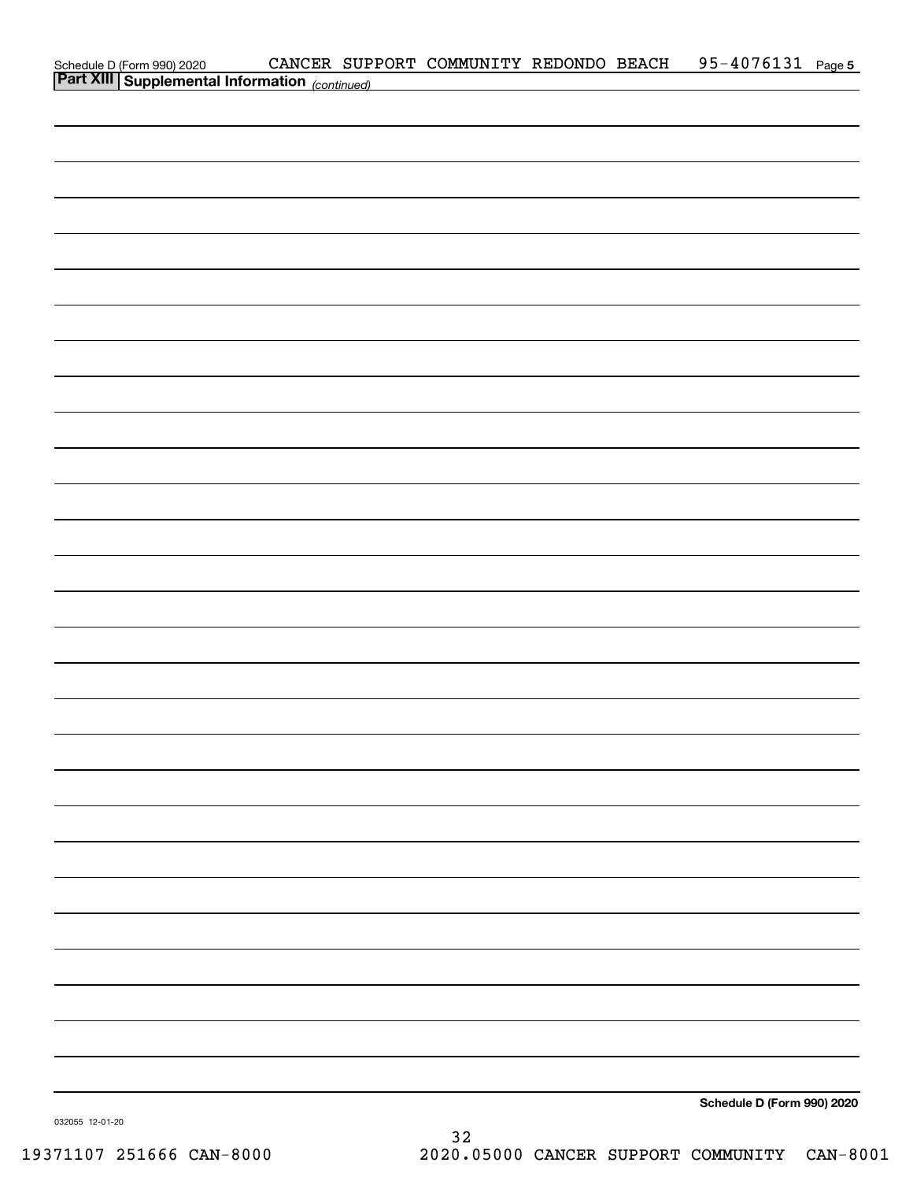| Schedule D (Form 990) 2020 CANCER SUP:<br>Part XIII Supplemental Information (continued) |  |  |                            |  |
|------------------------------------------------------------------------------------------|--|--|----------------------------|--|
|                                                                                          |  |  |                            |  |
|                                                                                          |  |  |                            |  |
|                                                                                          |  |  |                            |  |
|                                                                                          |  |  |                            |  |
|                                                                                          |  |  |                            |  |
|                                                                                          |  |  |                            |  |
|                                                                                          |  |  |                            |  |
|                                                                                          |  |  |                            |  |
|                                                                                          |  |  |                            |  |
|                                                                                          |  |  |                            |  |
|                                                                                          |  |  |                            |  |
|                                                                                          |  |  |                            |  |
|                                                                                          |  |  |                            |  |
|                                                                                          |  |  |                            |  |
|                                                                                          |  |  |                            |  |
|                                                                                          |  |  |                            |  |
|                                                                                          |  |  |                            |  |
|                                                                                          |  |  |                            |  |
|                                                                                          |  |  |                            |  |
|                                                                                          |  |  |                            |  |
|                                                                                          |  |  |                            |  |
|                                                                                          |  |  |                            |  |
|                                                                                          |  |  |                            |  |
|                                                                                          |  |  |                            |  |
|                                                                                          |  |  |                            |  |
|                                                                                          |  |  |                            |  |
|                                                                                          |  |  |                            |  |
|                                                                                          |  |  |                            |  |
|                                                                                          |  |  |                            |  |
|                                                                                          |  |  |                            |  |
|                                                                                          |  |  |                            |  |
|                                                                                          |  |  |                            |  |
|                                                                                          |  |  |                            |  |
|                                                                                          |  |  |                            |  |
|                                                                                          |  |  |                            |  |
|                                                                                          |  |  | Schedule D (Form 990) 2020 |  |

032055 12-01-20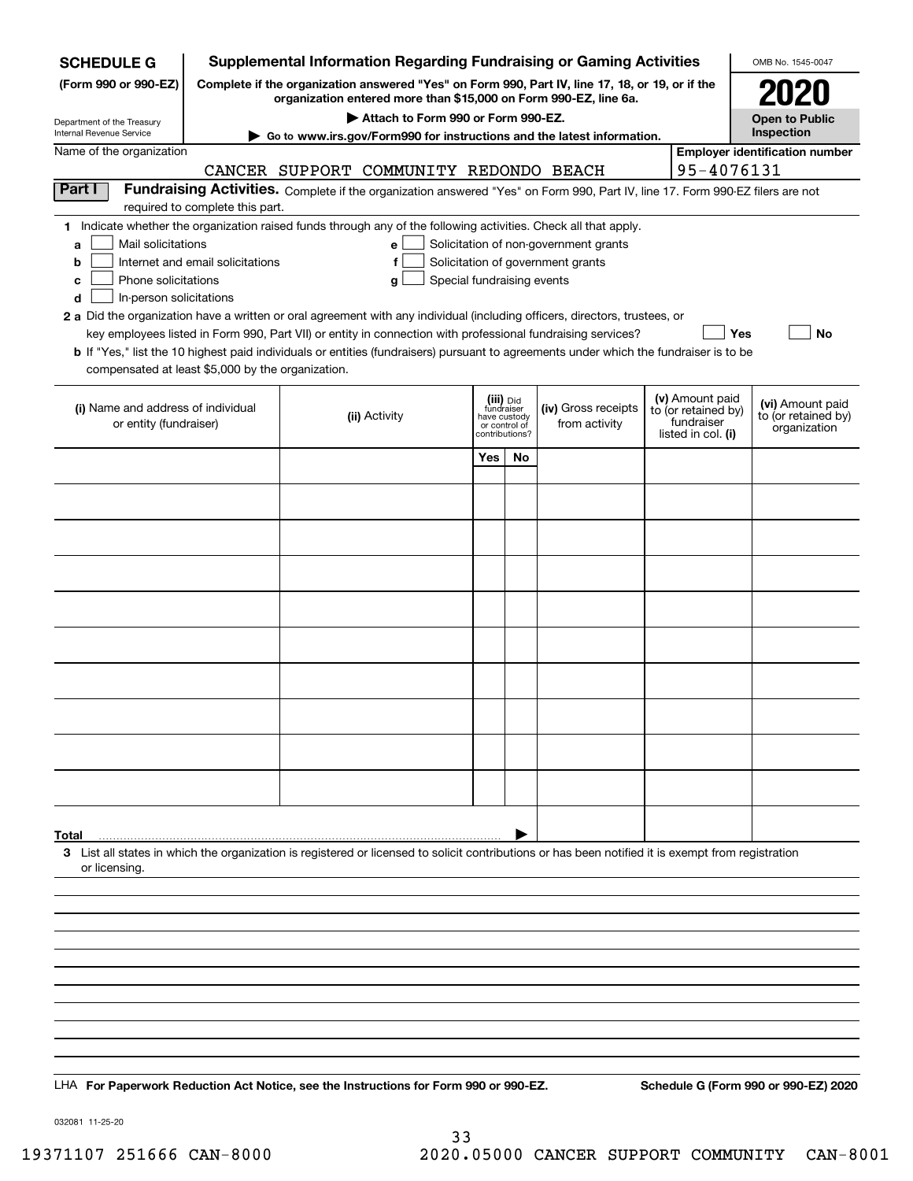| <b>SCHEDULE G</b>                                                                                                                                                                                                                                                                                                                         | <b>Supplemental Information Regarding Fundraising or Gaming Activities</b>                                                                                          |                                                                                                                                              |                                    |                                                                            |    |                                                                            |  |                                                                            | OMB No. 1545-0047                                       |  |
|-------------------------------------------------------------------------------------------------------------------------------------------------------------------------------------------------------------------------------------------------------------------------------------------------------------------------------------------|---------------------------------------------------------------------------------------------------------------------------------------------------------------------|----------------------------------------------------------------------------------------------------------------------------------------------|------------------------------------|----------------------------------------------------------------------------|----|----------------------------------------------------------------------------|--|----------------------------------------------------------------------------|---------------------------------------------------------|--|
| (Form 990 or 990-EZ)                                                                                                                                                                                                                                                                                                                      | Complete if the organization answered "Yes" on Form 990, Part IV, line 17, 18, or 19, or if the<br>organization entered more than \$15,000 on Form 990-EZ, line 6a. |                                                                                                                                              |                                    |                                                                            |    |                                                                            |  |                                                                            |                                                         |  |
| Department of the Treasury<br>Internal Revenue Service                                                                                                                                                                                                                                                                                    |                                                                                                                                                                     |                                                                                                                                              | Attach to Form 990 or Form 990-EZ. |                                                                            |    |                                                                            |  |                                                                            | <b>Open to Public</b><br>Inspection                     |  |
| Name of the organization                                                                                                                                                                                                                                                                                                                  |                                                                                                                                                                     | ► Go to www.irs.gov/Form990 for instructions and the latest information.                                                                     |                                    |                                                                            |    |                                                                            |  |                                                                            | <b>Employer identification number</b>                   |  |
|                                                                                                                                                                                                                                                                                                                                           |                                                                                                                                                                     | CANCER SUPPORT COMMUNITY REDONDO BEACH                                                                                                       |                                    |                                                                            |    |                                                                            |  | 95-4076131                                                                 |                                                         |  |
| Part I                                                                                                                                                                                                                                                                                                                                    |                                                                                                                                                                     | Fundraising Activities. Complete if the organization answered "Yes" on Form 990, Part IV, line 17. Form 990-EZ filers are not                |                                    |                                                                            |    |                                                                            |  |                                                                            |                                                         |  |
|                                                                                                                                                                                                                                                                                                                                           | required to complete this part.                                                                                                                                     |                                                                                                                                              |                                    |                                                                            |    |                                                                            |  |                                                                            |                                                         |  |
| 1 Indicate whether the organization raised funds through any of the following activities. Check all that apply.<br>Mail solicitations<br>a<br>b<br>Phone solicitations<br>c<br>In-person solicitations<br>d<br>2 a Did the organization have a written or oral agreement with any individual (including officers, directors, trustees, or | Internet and email solicitations                                                                                                                                    | e<br>f<br>g<br>key employees listed in Form 990, Part VII) or entity in connection with professional fundraising services?                   | Special fundraising events         |                                                                            |    | Solicitation of non-government grants<br>Solicitation of government grants |  | Yes                                                                        | No                                                      |  |
|                                                                                                                                                                                                                                                                                                                                           |                                                                                                                                                                     | <b>b</b> If "Yes," list the 10 highest paid individuals or entities (fundraisers) pursuant to agreements under which the fundraiser is to be |                                    |                                                                            |    |                                                                            |  |                                                                            |                                                         |  |
| compensated at least \$5,000 by the organization.                                                                                                                                                                                                                                                                                         |                                                                                                                                                                     |                                                                                                                                              |                                    |                                                                            |    |                                                                            |  |                                                                            |                                                         |  |
| (i) Name and address of individual<br>or entity (fundraiser)                                                                                                                                                                                                                                                                              |                                                                                                                                                                     | (ii) Activity                                                                                                                                |                                    | (iii) Did<br>fundraiser<br>have custody<br>or control of<br>contributions? |    | (iv) Gross receipts<br>from activity                                       |  | (v) Amount paid<br>to (or retained by)<br>fundraiser<br>listed in col. (i) | (vi) Amount paid<br>to (or retained by)<br>organization |  |
|                                                                                                                                                                                                                                                                                                                                           |                                                                                                                                                                     |                                                                                                                                              |                                    | Yes                                                                        | No |                                                                            |  |                                                                            |                                                         |  |
|                                                                                                                                                                                                                                                                                                                                           |                                                                                                                                                                     |                                                                                                                                              |                                    |                                                                            |    |                                                                            |  |                                                                            |                                                         |  |
|                                                                                                                                                                                                                                                                                                                                           |                                                                                                                                                                     |                                                                                                                                              |                                    |                                                                            |    |                                                                            |  |                                                                            |                                                         |  |
|                                                                                                                                                                                                                                                                                                                                           |                                                                                                                                                                     |                                                                                                                                              |                                    |                                                                            |    |                                                                            |  |                                                                            |                                                         |  |
|                                                                                                                                                                                                                                                                                                                                           |                                                                                                                                                                     |                                                                                                                                              |                                    |                                                                            |    |                                                                            |  |                                                                            |                                                         |  |
|                                                                                                                                                                                                                                                                                                                                           |                                                                                                                                                                     |                                                                                                                                              |                                    |                                                                            |    |                                                                            |  |                                                                            |                                                         |  |
|                                                                                                                                                                                                                                                                                                                                           |                                                                                                                                                                     |                                                                                                                                              |                                    |                                                                            |    |                                                                            |  |                                                                            |                                                         |  |
|                                                                                                                                                                                                                                                                                                                                           |                                                                                                                                                                     |                                                                                                                                              |                                    |                                                                            |    |                                                                            |  |                                                                            |                                                         |  |
|                                                                                                                                                                                                                                                                                                                                           |                                                                                                                                                                     |                                                                                                                                              |                                    |                                                                            |    |                                                                            |  |                                                                            |                                                         |  |
|                                                                                                                                                                                                                                                                                                                                           |                                                                                                                                                                     |                                                                                                                                              |                                    |                                                                            |    |                                                                            |  |                                                                            |                                                         |  |
|                                                                                                                                                                                                                                                                                                                                           |                                                                                                                                                                     |                                                                                                                                              |                                    |                                                                            |    |                                                                            |  |                                                                            |                                                         |  |
|                                                                                                                                                                                                                                                                                                                                           |                                                                                                                                                                     |                                                                                                                                              |                                    |                                                                            |    |                                                                            |  |                                                                            |                                                         |  |
|                                                                                                                                                                                                                                                                                                                                           |                                                                                                                                                                     |                                                                                                                                              |                                    |                                                                            |    |                                                                            |  |                                                                            |                                                         |  |
| Total<br>3 List all states in which the organization is registered or licensed to solicit contributions or has been notified it is exempt from registration<br>or licensing.                                                                                                                                                              |                                                                                                                                                                     |                                                                                                                                              |                                    |                                                                            |    |                                                                            |  |                                                                            |                                                         |  |
|                                                                                                                                                                                                                                                                                                                                           |                                                                                                                                                                     |                                                                                                                                              |                                    |                                                                            |    |                                                                            |  |                                                                            |                                                         |  |
|                                                                                                                                                                                                                                                                                                                                           |                                                                                                                                                                     |                                                                                                                                              |                                    |                                                                            |    |                                                                            |  |                                                                            |                                                         |  |
|                                                                                                                                                                                                                                                                                                                                           |                                                                                                                                                                     |                                                                                                                                              |                                    |                                                                            |    |                                                                            |  |                                                                            |                                                         |  |
|                                                                                                                                                                                                                                                                                                                                           |                                                                                                                                                                     |                                                                                                                                              |                                    |                                                                            |    |                                                                            |  |                                                                            |                                                         |  |
|                                                                                                                                                                                                                                                                                                                                           |                                                                                                                                                                     |                                                                                                                                              |                                    |                                                                            |    |                                                                            |  |                                                                            |                                                         |  |
|                                                                                                                                                                                                                                                                                                                                           |                                                                                                                                                                     |                                                                                                                                              |                                    |                                                                            |    |                                                                            |  |                                                                            |                                                         |  |
|                                                                                                                                                                                                                                                                                                                                           |                                                                                                                                                                     |                                                                                                                                              |                                    |                                                                            |    |                                                                            |  |                                                                            |                                                         |  |
| LHA For Paperwork Reduction Act Notice, see the Instructions for Form 990 or 990-EZ.                                                                                                                                                                                                                                                      |                                                                                                                                                                     |                                                                                                                                              |                                    |                                                                            |    |                                                                            |  |                                                                            | Schedule G (Form 990 or 990-EZ) 2020                    |  |
|                                                                                                                                                                                                                                                                                                                                           |                                                                                                                                                                     |                                                                                                                                              |                                    |                                                                            |    |                                                                            |  |                                                                            |                                                         |  |

032081 11-25-20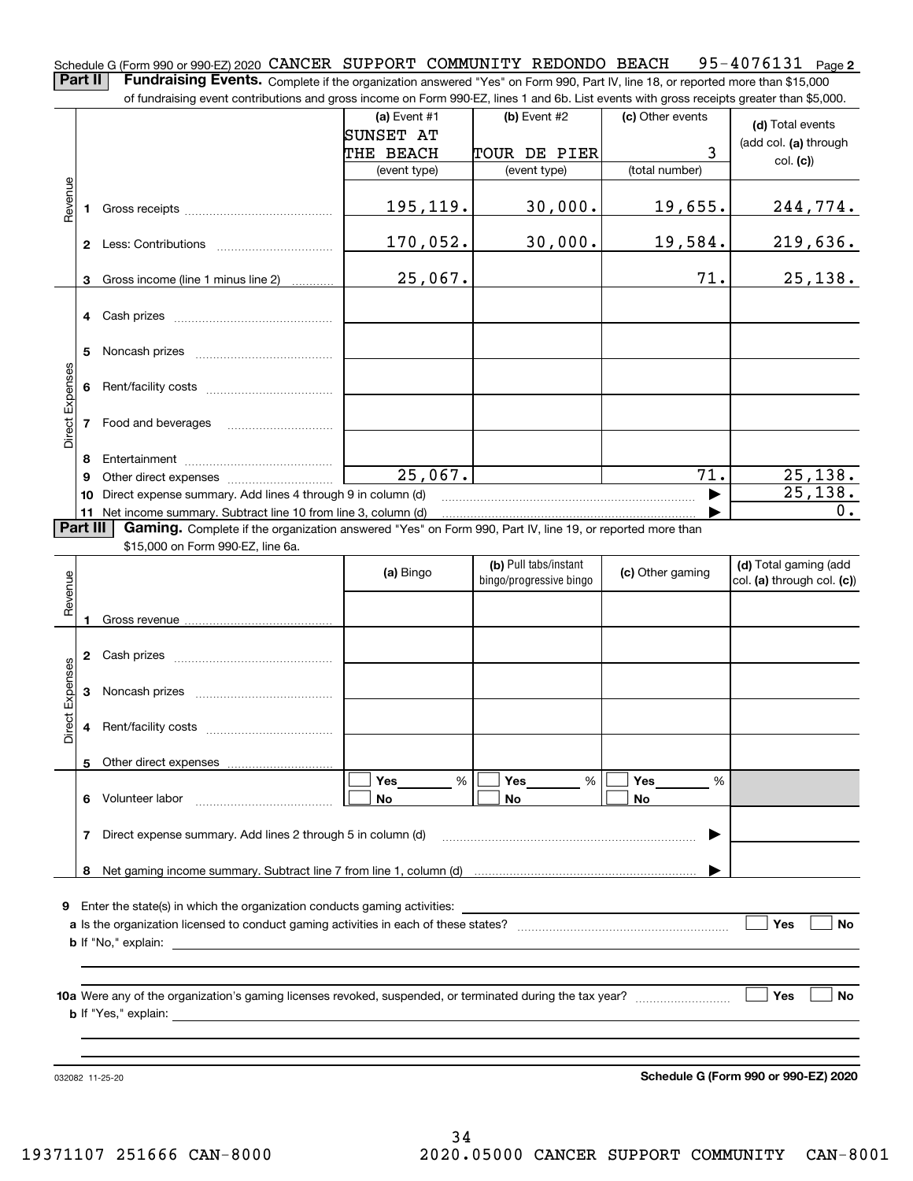Schedule G (Form 990 or 990-EZ) 2020 **CANCER SUPPORT COMMUNITY REDONDO BEACH** 95-4076131 <sub>Page</sub> 2 **Part II** | Fundraising Events. Complete if the organization answered "Yes" on Form 990, Part IV, line 18, or reported more than \$15,000

of fundraising event contributions and gross income on Form 990-EZ, lines 1 and 6b. List events with gross receipts greater than \$5,000.

|                 |                                                         | or iuridraising event contributions and gross income on Form 990-EZ, lines T and 6D. List events with gross receipts greater than \$5,000. |                  |                         |                  |                            |  |  |  |  |
|-----------------|---------------------------------------------------------|--------------------------------------------------------------------------------------------------------------------------------------------|------------------|-------------------------|------------------|----------------------------|--|--|--|--|
|                 |                                                         |                                                                                                                                            | (a) Event $#1$   | $(b)$ Event #2          | (c) Other events | (d) Total events           |  |  |  |  |
|                 |                                                         |                                                                                                                                            | SUNSET AT        |                         |                  | (add col. (a) through      |  |  |  |  |
|                 |                                                         |                                                                                                                                            | <b>THE BEACH</b> | TOUR DE PIER            | 3                | col. (c)                   |  |  |  |  |
|                 |                                                         |                                                                                                                                            | (event type)     | (event type)            | (total number)   |                            |  |  |  |  |
| Revenue         |                                                         |                                                                                                                                            |                  |                         |                  |                            |  |  |  |  |
|                 |                                                         |                                                                                                                                            | 195,119.         | 30,000.                 | 19,655.          | 244,774.                   |  |  |  |  |
|                 |                                                         |                                                                                                                                            | 170,052.         | 30,000.                 | 19,584.          | 219,636.                   |  |  |  |  |
|                 |                                                         |                                                                                                                                            |                  |                         |                  |                            |  |  |  |  |
|                 | 3                                                       | Gross income (line 1 minus line 2)                                                                                                         | 25,067.          |                         | 71.              | 25,138.                    |  |  |  |  |
|                 |                                                         |                                                                                                                                            |                  |                         |                  |                            |  |  |  |  |
|                 |                                                         |                                                                                                                                            |                  |                         |                  |                            |  |  |  |  |
|                 |                                                         |                                                                                                                                            |                  |                         |                  |                            |  |  |  |  |
|                 |                                                         |                                                                                                                                            |                  |                         |                  |                            |  |  |  |  |
| Direct Expenses |                                                         |                                                                                                                                            |                  |                         |                  |                            |  |  |  |  |
|                 |                                                         |                                                                                                                                            |                  |                         |                  |                            |  |  |  |  |
|                 |                                                         |                                                                                                                                            |                  |                         |                  |                            |  |  |  |  |
|                 | 7 Food and beverages                                    |                                                                                                                                            |                  |                         |                  |                            |  |  |  |  |
|                 | 8                                                       |                                                                                                                                            |                  |                         |                  |                            |  |  |  |  |
|                 | 9                                                       |                                                                                                                                            | 25,067.          |                         | 71.              | 25, 138.                   |  |  |  |  |
|                 |                                                         | 10 Direct expense summary. Add lines 4 through 9 in column (d)                                                                             |                  |                         |                  | 25, 138.                   |  |  |  |  |
|                 |                                                         | 11 Net income summary. Subtract line 10 from line 3, column (d)                                                                            |                  |                         |                  | 0.                         |  |  |  |  |
|                 | Part III                                                | Gaming. Complete if the organization answered "Yes" on Form 990, Part IV, line 19, or reported more than                                   |                  |                         |                  |                            |  |  |  |  |
|                 |                                                         | \$15,000 on Form 990-EZ, line 6a.                                                                                                          |                  |                         |                  |                            |  |  |  |  |
|                 |                                                         |                                                                                                                                            | (a) Bingo        | (b) Pull tabs/instant   | (c) Other gaming | (d) Total gaming (add      |  |  |  |  |
| Revenue         |                                                         |                                                                                                                                            |                  | bingo/progressive bingo |                  | col. (a) through col. (c)) |  |  |  |  |
|                 |                                                         |                                                                                                                                            |                  |                         |                  |                            |  |  |  |  |
|                 | 1.                                                      |                                                                                                                                            |                  |                         |                  |                            |  |  |  |  |
|                 |                                                         |                                                                                                                                            |                  |                         |                  |                            |  |  |  |  |
|                 |                                                         |                                                                                                                                            |                  |                         |                  |                            |  |  |  |  |
| Direct Expenses |                                                         |                                                                                                                                            |                  |                         |                  |                            |  |  |  |  |
|                 |                                                         |                                                                                                                                            |                  |                         |                  |                            |  |  |  |  |
|                 |                                                         |                                                                                                                                            |                  |                         |                  |                            |  |  |  |  |
|                 |                                                         |                                                                                                                                            |                  |                         |                  |                            |  |  |  |  |
|                 |                                                         | 5 Other direct expenses                                                                                                                    |                  |                         |                  |                            |  |  |  |  |
|                 |                                                         |                                                                                                                                            | Yes<br>%         | Yes<br>%                | Yes<br>%         |                            |  |  |  |  |
|                 | 6                                                       | Volunteer labor                                                                                                                            | No               | No                      | No               |                            |  |  |  |  |
|                 | 7                                                       | Direct expense summary. Add lines 2 through 5 in column (d)                                                                                |                  |                         |                  |                            |  |  |  |  |
|                 |                                                         |                                                                                                                                            |                  |                         |                  |                            |  |  |  |  |
|                 | 8                                                       |                                                                                                                                            |                  |                         |                  |                            |  |  |  |  |
|                 |                                                         |                                                                                                                                            |                  |                         |                  |                            |  |  |  |  |
|                 |                                                         | 9 Enter the state(s) in which the organization conducts gaming activities:                                                                 |                  |                         |                  |                            |  |  |  |  |
| Yes             |                                                         |                                                                                                                                            |                  |                         |                  |                            |  |  |  |  |
|                 |                                                         | <b>b</b> If "No," explain:                                                                                                                 |                  |                         |                  |                            |  |  |  |  |
|                 |                                                         |                                                                                                                                            |                  |                         |                  |                            |  |  |  |  |
|                 |                                                         |                                                                                                                                            |                  |                         |                  |                            |  |  |  |  |
|                 |                                                         | Yes<br>No                                                                                                                                  |                  |                         |                  |                            |  |  |  |  |
|                 | <b>b</b> If "Yes," explain: <b>b</b> If "Yes," explain: |                                                                                                                                            |                  |                         |                  |                            |  |  |  |  |
|                 |                                                         |                                                                                                                                            |                  |                         |                  |                            |  |  |  |  |
|                 |                                                         |                                                                                                                                            |                  |                         |                  |                            |  |  |  |  |

032082 11-25-20

**Schedule G (Form 990 or 990-EZ) 2020**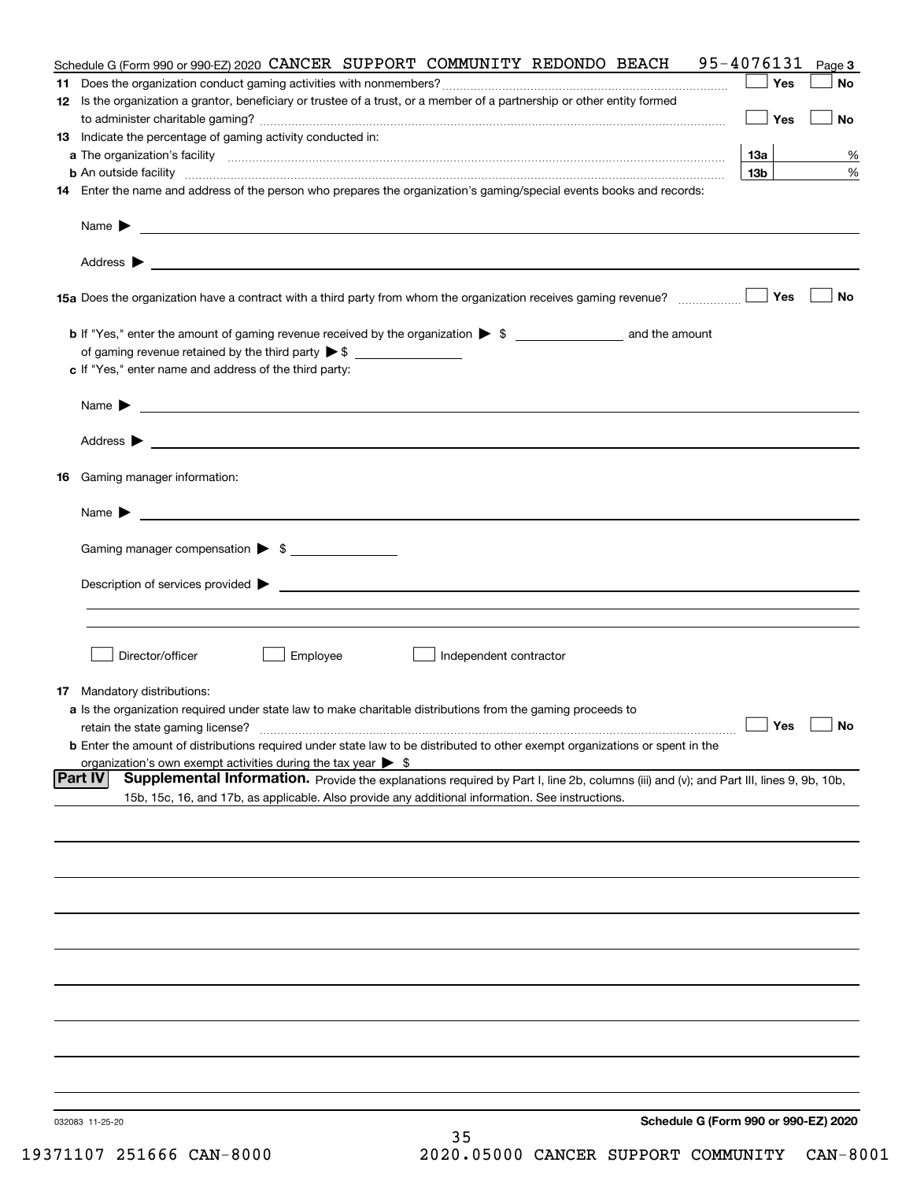| <b>Part IV</b><br>Supplemental Information. Provide the explanations required by Part I, line 2b, columns (iii) and (v); and Part III, lines 9, 9b, 10b,<br>15b, 15c, 16, and 17b, as applicable. Also provide any additional information. See instructions.      |
|-------------------------------------------------------------------------------------------------------------------------------------------------------------------------------------------------------------------------------------------------------------------|
| <b>b</b> Enter the amount of distributions required under state law to be distributed to other exempt organizations or spent in the<br>organization's own exempt activities during the tax year $\triangleright$ \$                                               |
| $\Box$ Yes<br>$\Box$ No<br>retain the state gaming license?                                                                                                                                                                                                       |
| <b>17</b> Mandatory distributions:<br>a Is the organization required under state law to make charitable distributions from the gaming proceeds to                                                                                                                 |
|                                                                                                                                                                                                                                                                   |
| Director/officer<br>Employee<br>Independent contractor                                                                                                                                                                                                            |
|                                                                                                                                                                                                                                                                   |
|                                                                                                                                                                                                                                                                   |
| Gaming manager compensation > \$                                                                                                                                                                                                                                  |
| $Name \rightarrow$                                                                                                                                                                                                                                                |
| Gaming manager information:<br>16                                                                                                                                                                                                                                 |
| Address $\blacktriangleright$                                                                                                                                                                                                                                     |
|                                                                                                                                                                                                                                                                   |
| <u> 1989 - Johann Barbara, marka a shekara ta 1989 - An tsaran a shekara tsa 1989 - An tsara tsara tsa 1989 - An</u><br>Name $\blacktriangleright$                                                                                                                |
| c If "Yes," enter name and address of the third party:                                                                                                                                                                                                            |
| of gaming revenue retained by the third party $\triangleright$ \$                                                                                                                                                                                                 |
| No<br>Yes                                                                                                                                                                                                                                                         |
|                                                                                                                                                                                                                                                                   |
|                                                                                                                                                                                                                                                                   |
| 14 Enter the name and address of the person who prepares the organization's gaming/special events books and records:                                                                                                                                              |
| 13 <sub>b</sub><br>%<br><b>b</b> An outside facility <b>contained an according to the contract of the contract of the contract of the contract of the contract of the contract of the contract of the contract of the contract of the contract of the contrac</b> |
| 13 Indicate the percentage of gaming activity conducted in:<br>13а<br>%                                                                                                                                                                                           |
| Yes<br>No                                                                                                                                                                                                                                                         |
| Yes<br>No<br>12 Is the organization a grantor, beneficiary or trustee of a trust, or a member of a partnership or other entity formed                                                                                                                             |
| 95-4076131<br>Schedule G (Form 990 or 990-EZ) 2020 CANCER SUPPORT COMMUNITY REDONDO BEACH<br>Page 3                                                                                                                                                               |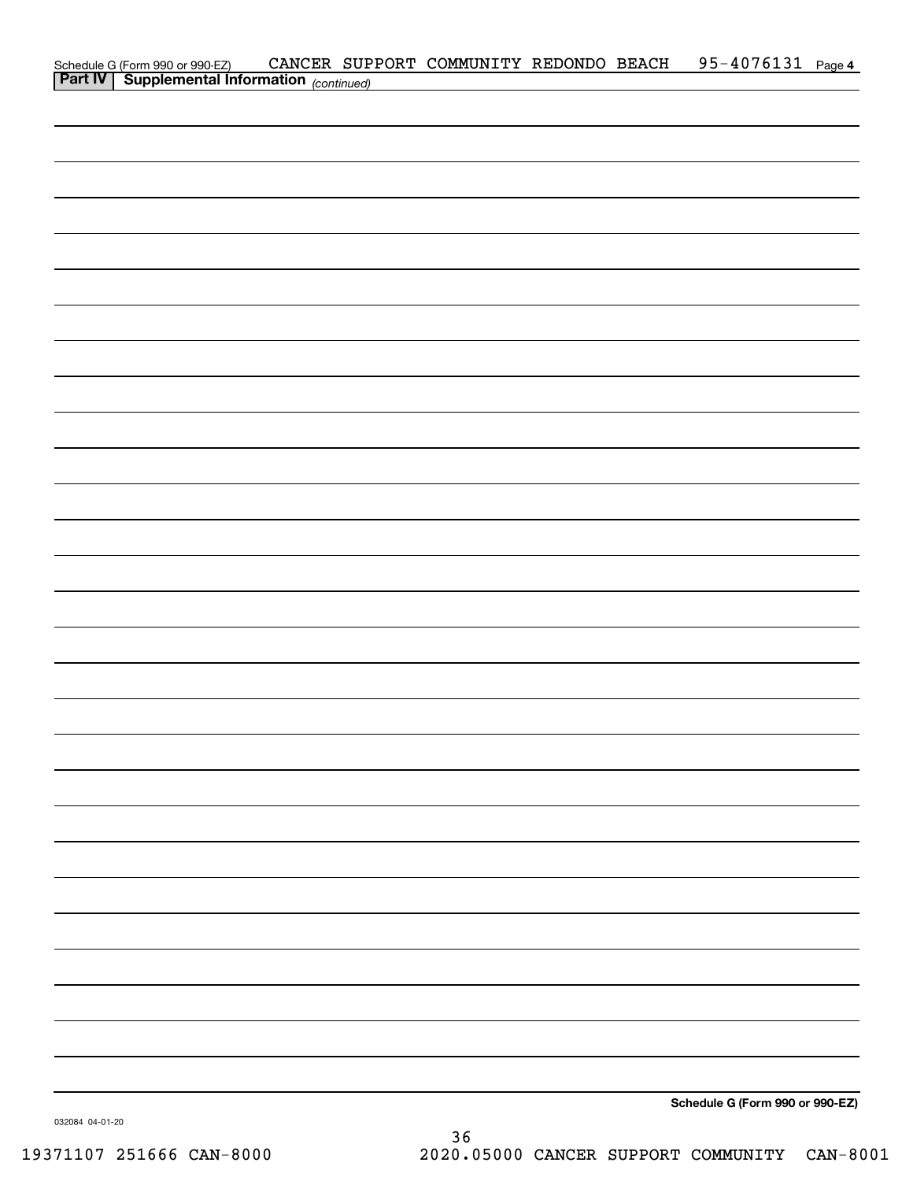|                                                                                            |  | CANCER SUPPORT COMMUNITY REDONDO BEACH |  | 95-4076131 Page 4               |  |
|--------------------------------------------------------------------------------------------|--|----------------------------------------|--|---------------------------------|--|
| Schedule G (Form 990 or 990-EZ) CANCER SUP<br>Part IV Supplemental Information (continued) |  |                                        |  |                                 |  |
|                                                                                            |  |                                        |  |                                 |  |
|                                                                                            |  |                                        |  |                                 |  |
|                                                                                            |  |                                        |  |                                 |  |
|                                                                                            |  |                                        |  |                                 |  |
|                                                                                            |  |                                        |  |                                 |  |
|                                                                                            |  |                                        |  |                                 |  |
|                                                                                            |  |                                        |  |                                 |  |
|                                                                                            |  |                                        |  |                                 |  |
|                                                                                            |  |                                        |  |                                 |  |
|                                                                                            |  |                                        |  |                                 |  |
|                                                                                            |  |                                        |  |                                 |  |
|                                                                                            |  |                                        |  |                                 |  |
|                                                                                            |  |                                        |  |                                 |  |
|                                                                                            |  |                                        |  |                                 |  |
|                                                                                            |  |                                        |  |                                 |  |
|                                                                                            |  |                                        |  |                                 |  |
|                                                                                            |  |                                        |  |                                 |  |
|                                                                                            |  |                                        |  |                                 |  |
|                                                                                            |  |                                        |  |                                 |  |
|                                                                                            |  |                                        |  |                                 |  |
|                                                                                            |  |                                        |  |                                 |  |
|                                                                                            |  |                                        |  |                                 |  |
|                                                                                            |  |                                        |  |                                 |  |
|                                                                                            |  |                                        |  |                                 |  |
|                                                                                            |  |                                        |  |                                 |  |
|                                                                                            |  |                                        |  |                                 |  |
|                                                                                            |  |                                        |  |                                 |  |
|                                                                                            |  |                                        |  |                                 |  |
|                                                                                            |  |                                        |  |                                 |  |
|                                                                                            |  |                                        |  |                                 |  |
|                                                                                            |  |                                        |  |                                 |  |
|                                                                                            |  |                                        |  |                                 |  |
|                                                                                            |  |                                        |  |                                 |  |
|                                                                                            |  |                                        |  |                                 |  |
|                                                                                            |  |                                        |  |                                 |  |
|                                                                                            |  |                                        |  |                                 |  |
|                                                                                            |  |                                        |  |                                 |  |
|                                                                                            |  |                                        |  |                                 |  |
|                                                                                            |  |                                        |  |                                 |  |
|                                                                                            |  |                                        |  |                                 |  |
|                                                                                            |  |                                        |  |                                 |  |
|                                                                                            |  |                                        |  |                                 |  |
|                                                                                            |  |                                        |  |                                 |  |
|                                                                                            |  |                                        |  |                                 |  |
|                                                                                            |  |                                        |  |                                 |  |
|                                                                                            |  |                                        |  |                                 |  |
|                                                                                            |  |                                        |  |                                 |  |
|                                                                                            |  |                                        |  |                                 |  |
|                                                                                            |  |                                        |  |                                 |  |
|                                                                                            |  |                                        |  |                                 |  |
|                                                                                            |  |                                        |  |                                 |  |
|                                                                                            |  |                                        |  |                                 |  |
|                                                                                            |  |                                        |  |                                 |  |
|                                                                                            |  |                                        |  |                                 |  |
|                                                                                            |  |                                        |  |                                 |  |
|                                                                                            |  |                                        |  |                                 |  |
|                                                                                            |  |                                        |  | Schedule G (Form 990 or 990-EZ) |  |

032084 04-01-20